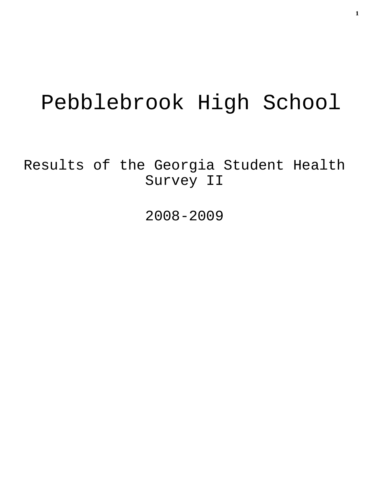# Pebblebrook High School

Results of the Georgia Student Health Survey II

2008-2009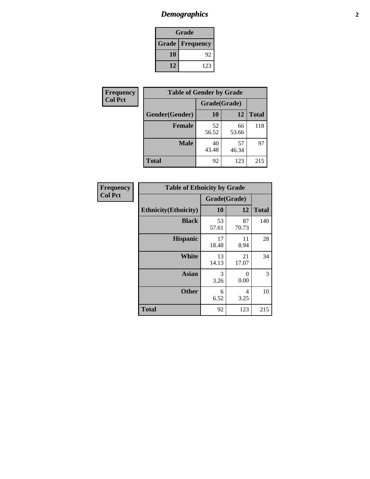# *Demographics* **2**

| Grade                    |     |  |  |  |
|--------------------------|-----|--|--|--|
| <b>Grade   Frequency</b> |     |  |  |  |
| 10                       | 92  |  |  |  |
| 12                       | 123 |  |  |  |

| <b>Frequency</b> | <b>Table of Gender by Grade</b> |              |             |              |  |  |
|------------------|---------------------------------|--------------|-------------|--------------|--|--|
| <b>Col Pct</b>   |                                 | Grade(Grade) |             |              |  |  |
|                  | Gender(Gender)                  | <b>10</b>    | 12          | <b>Total</b> |  |  |
|                  | <b>Female</b>                   | 52<br>56.52  | 66<br>53.66 | 118          |  |  |
|                  | <b>Male</b>                     | 40<br>43.48  | 57<br>46.34 | 97           |  |  |
|                  | <b>Total</b>                    | 92           | 123         | 215          |  |  |

| <b>Frequency</b><br>Col Pct |
|-----------------------------|
|                             |

| <b>Table of Ethnicity by Grade</b> |              |             |              |  |  |  |
|------------------------------------|--------------|-------------|--------------|--|--|--|
|                                    | Grade(Grade) |             |              |  |  |  |
| <b>Ethnicity</b> (Ethnicity)       | 10           | 12          | <b>Total</b> |  |  |  |
| <b>Black</b>                       | 53<br>57.61  | 87<br>70.73 | 140          |  |  |  |
| <b>Hispanic</b>                    | 17<br>18.48  | 11<br>8.94  | 28           |  |  |  |
| White                              | 13<br>14.13  | 21<br>17.07 | 34           |  |  |  |
| <b>Asian</b>                       | 3<br>3.26    | 0<br>0.00   | 3            |  |  |  |
| <b>Other</b>                       | 6<br>6.52    | 4<br>3.25   | 10           |  |  |  |
| <b>Total</b>                       | 92           | 123         | 215          |  |  |  |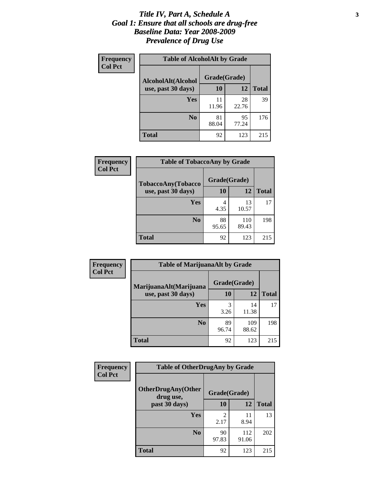### *Title IV, Part A, Schedule A* **3** *Goal 1: Ensure that all schools are drug-free Baseline Data: Year 2008-2009 Prevalence of Drug Use*

| Frequency<br><b>Col Pct</b> | <b>Table of AlcoholAlt by Grade</b> |              |             |              |  |  |
|-----------------------------|-------------------------------------|--------------|-------------|--------------|--|--|
|                             | AlcoholAlt(Alcohol                  | Grade(Grade) |             |              |  |  |
|                             | use, past 30 days)                  | 10           | 12          | <b>Total</b> |  |  |
|                             | Yes                                 | 11<br>11.96  | 28<br>22.76 | 39           |  |  |
|                             | N <sub>0</sub>                      | 81<br>88.04  | 95<br>77.24 | 176          |  |  |
|                             | <b>Total</b>                        | 92           | 123         | 215          |  |  |

| Frequency      | <b>Table of TobaccoAny by Grade</b> |              |              |              |  |  |
|----------------|-------------------------------------|--------------|--------------|--------------|--|--|
| <b>Col Pct</b> | <b>TobaccoAny(Tobacco</b>           | Grade(Grade) |              |              |  |  |
|                | use, past 30 days)                  | <b>10</b>    | 12           | <b>Total</b> |  |  |
|                | Yes                                 | 4<br>4.35    | 13<br>10.57  | 17           |  |  |
|                | N <sub>0</sub>                      | 88<br>95.65  | 110<br>89.43 | 198          |  |  |
|                | <b>Total</b>                        | 92           | 123          | 215          |  |  |

| Frequency<br><b>Col Pct</b> | <b>Table of MarijuanaAlt by Grade</b> |              |              |              |  |  |
|-----------------------------|---------------------------------------|--------------|--------------|--------------|--|--|
|                             | MarijuanaAlt(Marijuana                | Grade(Grade) |              |              |  |  |
|                             | use, past 30 days)                    | <b>10</b>    | 12           | <b>Total</b> |  |  |
|                             | <b>Yes</b>                            | 3<br>3.26    | 14<br>11.38  | 17           |  |  |
|                             | N <sub>0</sub>                        | 89<br>96.74  | 109<br>88.62 | 198          |  |  |
|                             | <b>Total</b>                          | 92           | 123          | 215          |  |  |

| Frequency      | <b>Table of OtherDrugAny by Grade</b>  |                        |              |              |  |  |
|----------------|----------------------------------------|------------------------|--------------|--------------|--|--|
| <b>Col Pct</b> | <b>OtherDrugAny(Other</b><br>drug use, | Grade(Grade)           |              |              |  |  |
|                | past 30 days)                          | 10                     | 12           | <b>Total</b> |  |  |
|                | <b>Yes</b>                             | $\mathfrak{D}$<br>2.17 | 11<br>8.94   | 13           |  |  |
|                | N <sub>0</sub>                         | 90<br>97.83            | 112<br>91.06 | 202          |  |  |
|                | <b>Total</b>                           | 92                     | 123          | 215          |  |  |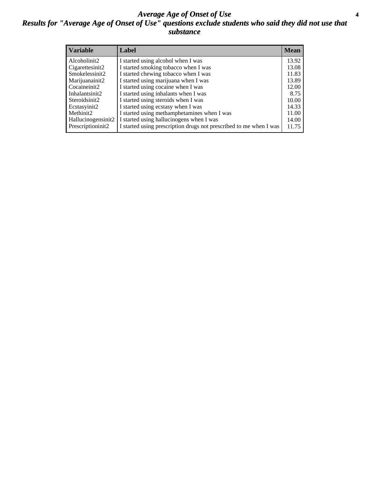### *Average Age of Onset of Use* **4** *Results for "Average Age of Onset of Use" questions exclude students who said they did not use that substance*

| <b>Variable</b>    | Label                                                              | <b>Mean</b> |
|--------------------|--------------------------------------------------------------------|-------------|
| Alcoholinit2       | I started using alcohol when I was                                 | 13.92       |
| Cigarettesinit2    | I started smoking tobacco when I was                               | 13.08       |
| Smokelessinit2     | I started chewing tobacco when I was                               | 11.83       |
| Marijuanainit2     | I started using marijuana when I was                               | 13.89       |
| Cocaineinit2       | I started using cocaine when I was                                 | 12.00       |
| Inhalantsinit2     | I started using inhalants when I was                               | 8.75        |
| Steroidsinit2      | I started using steroids when I was                                | 10.00       |
| Ecstasyinit2       | I started using ecstasy when I was                                 | 14.33       |
| Methinit2          | I started using methamphetamines when I was                        | 11.00       |
| Hallucinogensinit2 | I started using hallucinogens when I was                           | 14.00       |
| Prescriptioninit2  | I started using prescription drugs not prescribed to me when I was | 11.75       |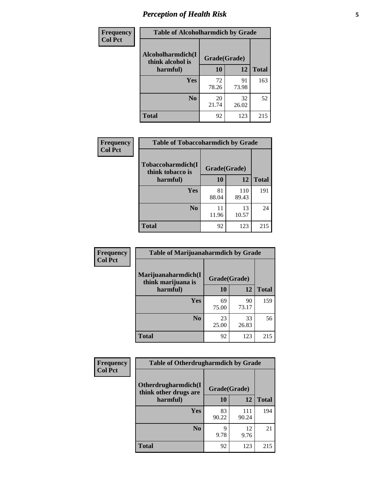# *Perception of Health Risk* **5**

| Frequency      | <b>Table of Alcoholharmdich by Grade</b> |              |             |              |  |
|----------------|------------------------------------------|--------------|-------------|--------------|--|
| <b>Col Pct</b> | Alcoholharmdich(I<br>think alcohol is    | Grade(Grade) |             |              |  |
|                | harmful)                                 | 10           | 12          | <b>Total</b> |  |
|                | Yes                                      | 72<br>78.26  | 91<br>73.98 | 163          |  |
|                | N <sub>0</sub>                           | 20<br>21.74  | 32<br>26.02 | 52           |  |
|                | <b>Total</b>                             | 92           | 123         | 215          |  |

| Frequency      | <b>Table of Tobaccoharmdich by Grade</b> |              |              |              |  |
|----------------|------------------------------------------|--------------|--------------|--------------|--|
| <b>Col Pct</b> | Tobaccoharmdich(I<br>think tobacco is    | Grade(Grade) |              |              |  |
|                | harmful)                                 | 10           | 12           | <b>Total</b> |  |
|                | Yes                                      | 81<br>88.04  | 110<br>89.43 | 191          |  |
|                | N <sub>0</sub>                           | 11<br>11.96  | 13<br>10.57  | 24           |  |
|                | <b>Total</b>                             | 92           | 123          | 215          |  |

| Frequency      | <b>Table of Marijuanaharmdich by Grade</b> |              |             |              |  |  |
|----------------|--------------------------------------------|--------------|-------------|--------------|--|--|
| <b>Col Pct</b> | Marijuanaharmdich(I<br>think marijuana is  | Grade(Grade) |             |              |  |  |
|                | harmful)                                   | 10           | 12          | <b>Total</b> |  |  |
|                | Yes                                        | 69<br>75.00  | 90<br>73.17 | 159          |  |  |
|                | N <sub>0</sub>                             | 23<br>25.00  | 33<br>26.83 | 56           |  |  |
|                | <b>Total</b>                               | 92           | 123         | 215          |  |  |

| Frequency      | <b>Table of Otherdrugharmdich by Grade</b>   |              |              |              |  |
|----------------|----------------------------------------------|--------------|--------------|--------------|--|
| <b>Col Pct</b> | Otherdrugharmdich(I<br>think other drugs are | Grade(Grade) |              |              |  |
|                | harmful)                                     | <b>10</b>    | 12           | <b>Total</b> |  |
|                | <b>Yes</b>                                   | 83<br>90.22  | 111<br>90.24 | 194          |  |
|                | N <sub>0</sub>                               | q<br>9.78    | 12<br>9.76   | 21           |  |
|                | <b>Total</b>                                 | 92           | 123          | 215          |  |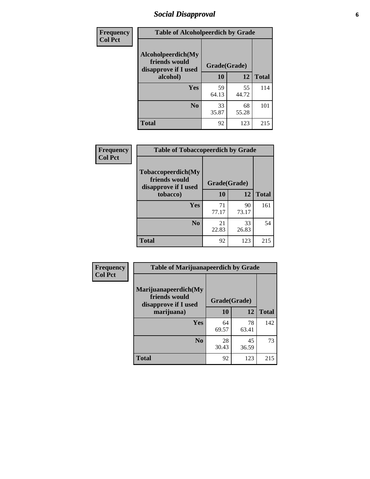# *Social Disapproval* **6**

| Frequency      | <b>Table of Alcoholpeerdich by Grade</b>                    |              |             |              |
|----------------|-------------------------------------------------------------|--------------|-------------|--------------|
| <b>Col Pct</b> | Alcoholpeerdich(My<br>friends would<br>disapprove if I used | Grade(Grade) |             |              |
|                | alcohol)                                                    | 10           | 12          | <b>Total</b> |
|                | <b>Yes</b>                                                  | 59<br>64.13  | 55<br>44.72 | 114          |
|                | N <sub>0</sub>                                              | 33<br>35.87  | 68<br>55.28 | 101          |
|                | <b>Total</b>                                                | 92           | 123         | 215          |

| <b>Frequency</b> |
|------------------|
| <b>Col Pct</b>   |

| <b>Table of Tobaccopeerdich by Grade</b>                    |             |              |              |  |
|-------------------------------------------------------------|-------------|--------------|--------------|--|
| Tobaccopeerdich(My<br>friends would<br>disapprove if I used |             | Grade(Grade) |              |  |
| tobacco)                                                    | 10          | 12           | <b>Total</b> |  |
| Yes                                                         | 71<br>77.17 | 90<br>73.17  | 161          |  |
| N <sub>0</sub>                                              | 21<br>22.83 | 33<br>26.83  | 54           |  |
| <b>Total</b>                                                | 92          | 123          | 215          |  |

| Frequency      | <b>Table of Marijuanapeerdich by Grade</b>                    |              |             |              |  |
|----------------|---------------------------------------------------------------|--------------|-------------|--------------|--|
| <b>Col Pct</b> | Marijuanapeerdich(My<br>friends would<br>disapprove if I used | Grade(Grade) |             |              |  |
|                | marijuana)                                                    | 10           | 12          | <b>Total</b> |  |
|                | <b>Yes</b>                                                    | 64<br>69.57  | 78<br>63.41 | 142          |  |
|                | N <sub>0</sub>                                                | 28<br>30.43  | 45<br>36.59 | 73           |  |
|                | <b>Total</b>                                                  | 92           | 123         | 215          |  |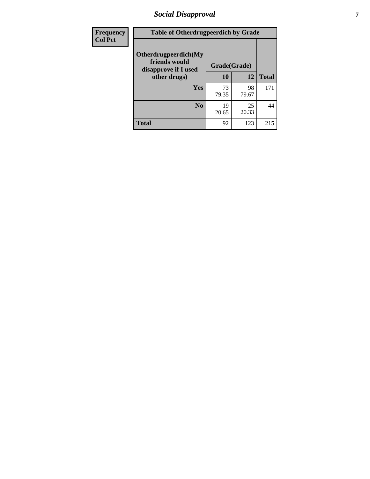# *Social Disapproval* **7**

| Frequency      | <b>Table of Otherdrugpeerdich by Grade</b>                    |              |             |              |  |
|----------------|---------------------------------------------------------------|--------------|-------------|--------------|--|
| <b>Col Pct</b> | Otherdrugpeerdich(My<br>friends would<br>disapprove if I used | Grade(Grade) |             |              |  |
|                | other drugs)                                                  | 10           | 12          | <b>Total</b> |  |
|                | <b>Yes</b>                                                    | 73<br>79.35  | 98<br>79.67 | 171          |  |
|                | N <sub>0</sub>                                                | 19<br>20.65  | 25<br>20.33 | 44           |  |
|                | <b>Total</b>                                                  | 92           | 123         | 215          |  |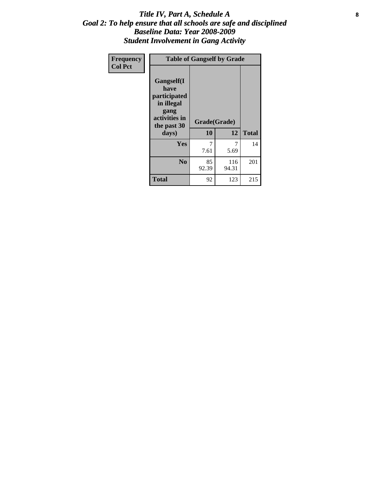### Title IV, Part A, Schedule A **8** *Goal 2: To help ensure that all schools are safe and disciplined Baseline Data: Year 2008-2009 Student Involvement in Gang Activity*

| Frequency      | <b>Table of Gangself by Grade</b>                                                                 |                    |              |              |
|----------------|---------------------------------------------------------------------------------------------------|--------------------|--------------|--------------|
| <b>Col Pct</b> | Gangself(I<br>have<br>participated<br>in illegal<br>gang<br>activities in<br>the past 30<br>days) | Grade(Grade)<br>10 | 12           | <b>Total</b> |
|                | Yes                                                                                               | 7<br>7.61          | 7<br>5.69    | 14           |
|                | N <sub>0</sub>                                                                                    | 85<br>92.39        | 116<br>94.31 | 201          |
|                | Total                                                                                             | 92                 | 123          | 215          |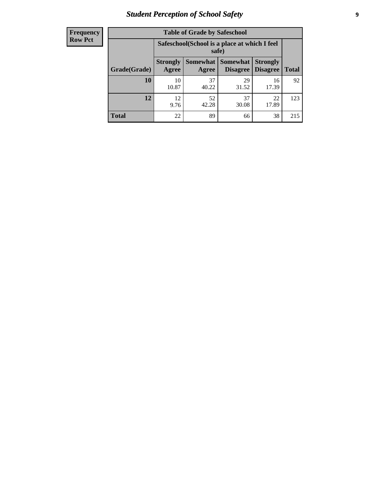# *Student Perception of School Safety* **9**

| <b>Frequency</b><br>Row Pct |
|-----------------------------|
|                             |

| <b>Table of Grade by Safeschool</b> |                          |                                                                                                       |             |             |     |  |  |  |
|-------------------------------------|--------------------------|-------------------------------------------------------------------------------------------------------|-------------|-------------|-----|--|--|--|
|                                     |                          | Safeschool (School is a place at which I feel<br>safe)                                                |             |             |     |  |  |  |
| Grade(Grade)                        | <b>Strongly</b><br>Agree | <b>Somewhat   Somewhat</b><br><b>Strongly</b><br><b>Disagree</b><br>Disagree<br><b>Total</b><br>Agree |             |             |     |  |  |  |
| 10                                  | 10<br>10.87              | 37<br>40.22                                                                                           | 29<br>31.52 | 16<br>17.39 | 92  |  |  |  |
| 12                                  | 12.<br>9.76              | 52<br>42.28                                                                                           | 37<br>30.08 | 22<br>17.89 | 123 |  |  |  |
| <b>Total</b>                        | 22                       | 89                                                                                                    | 66          | 38          | 215 |  |  |  |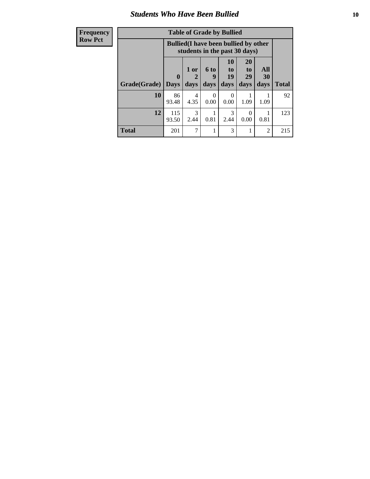### *Students Who Have Been Bullied* **10**

| <b>Frequency</b> | <b>Table of Grade by Bullied</b>                                              |              |                      |                  |                                 |                       |                |              |
|------------------|-------------------------------------------------------------------------------|--------------|----------------------|------------------|---------------------------------|-----------------------|----------------|--------------|
| <b>Row Pct</b>   | <b>Bullied</b> (I have been bullied by other<br>students in the past 30 days) |              |                      |                  |                                 |                       |                |              |
|                  |                                                                               | $\mathbf{0}$ | 1 or<br>$\mathbf{2}$ | <b>6 to</b><br>9 | <b>10</b><br>$\mathbf{t}$<br>19 | <b>20</b><br>to<br>29 | All<br>30      |              |
|                  | Grade(Grade)                                                                  | <b>Days</b>  | days                 | days             | days                            | days                  | days           | <b>Total</b> |
|                  | 10                                                                            | 86<br>93.48  | 4<br>4.35            | $\Omega$<br>0.00 | $\Omega$<br>0.00                | 1.09                  | 1.09           | 92           |
|                  | 12                                                                            | 115<br>93.50 | 3<br>2.44            | 0.81             | 3<br>2.44                       | $\Omega$<br>0.00      | 0.81           | 123          |
|                  | <b>Total</b>                                                                  | 201          | 7                    |                  | 3                               |                       | $\overline{2}$ | 215          |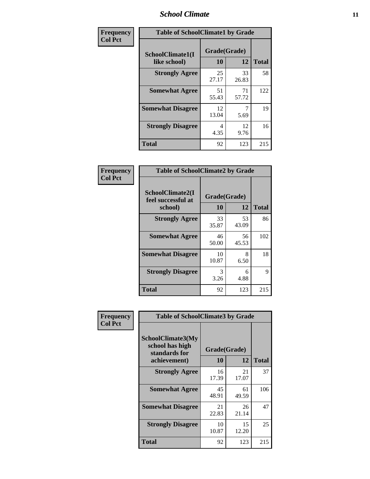### *School Climate* **11**

| Frequency      | <b>Table of SchoolClimate1 by Grade</b> |                    |             |              |  |  |
|----------------|-----------------------------------------|--------------------|-------------|--------------|--|--|
| <b>Col Pct</b> | SchoolClimate1(I<br>like school)        | Grade(Grade)<br>10 | 12          | <b>Total</b> |  |  |
|                | <b>Strongly Agree</b>                   | 25<br>27.17        | 33<br>26.83 | 58           |  |  |
|                | <b>Somewhat Agree</b>                   | 51<br>55.43        | 71<br>57.72 | 122          |  |  |
|                | <b>Somewhat Disagree</b>                | 12<br>13.04        | 5.69        | 19           |  |  |
|                | <b>Strongly Disagree</b>                | 4<br>4.35          | 12<br>9.76  | 16           |  |  |
|                | <b>Total</b>                            | 92                 | 123         | 215          |  |  |

| Frequency      | <b>Table of SchoolClimate2 by Grade</b>           |                    |             |              |  |  |
|----------------|---------------------------------------------------|--------------------|-------------|--------------|--|--|
| <b>Col Pct</b> | SchoolClimate2(I<br>feel successful at<br>school) | Grade(Grade)<br>10 | 12          | <b>Total</b> |  |  |
|                | <b>Strongly Agree</b>                             | 33<br>35.87        | 53<br>43.09 | 86           |  |  |
|                | <b>Somewhat Agree</b>                             | 46<br>50.00        | 56<br>45.53 | 102          |  |  |
|                | <b>Somewhat Disagree</b>                          | 10<br>10.87        | 8<br>6.50   | 18           |  |  |
|                | <b>Strongly Disagree</b>                          | 3<br>3.26          | 6<br>4.88   | 9            |  |  |
|                | <b>Total</b>                                      | 92                 | 123         | 215          |  |  |

| Frequency      | <b>Table of SchoolClimate3 by Grade</b>                      |              |             |              |  |
|----------------|--------------------------------------------------------------|--------------|-------------|--------------|--|
| <b>Col Pct</b> | <b>SchoolClimate3(My</b><br>school has high<br>standards for | Grade(Grade) |             |              |  |
|                | achievement)                                                 | 10           | 12          | <b>Total</b> |  |
|                | <b>Strongly Agree</b>                                        | 16<br>17.39  | 21<br>17.07 | 37           |  |
|                | <b>Somewhat Agree</b>                                        | 45<br>48.91  | 61<br>49.59 | 106          |  |
|                | <b>Somewhat Disagree</b>                                     | 21<br>22.83  | 26<br>21.14 | 47           |  |
|                | <b>Strongly Disagree</b>                                     | 10<br>10.87  | 15<br>12.20 | 25           |  |
|                | Total                                                        | 92           | 123         | 215          |  |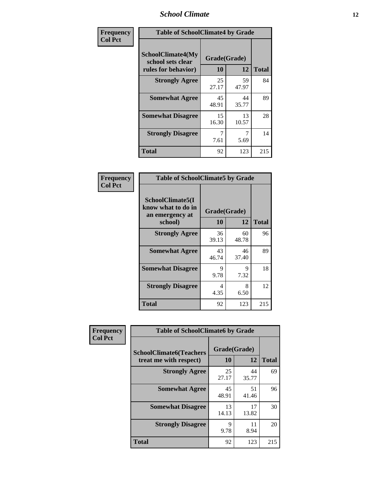### *School Climate* **12**

| Frequency      | <b>Table of SchoolClimate4 by Grade</b>                       |                    |             |              |
|----------------|---------------------------------------------------------------|--------------------|-------------|--------------|
| <b>Col Pct</b> | SchoolClimate4(My<br>school sets clear<br>rules for behavior) | Grade(Grade)<br>10 | 12          | <b>Total</b> |
|                | <b>Strongly Agree</b>                                         | 25<br>27.17        | 59<br>47.97 | 84           |
|                | <b>Somewhat Agree</b>                                         | 45<br>48.91        | 44<br>35.77 | 89           |
|                | <b>Somewhat Disagree</b>                                      | 15<br>16.30        | 13<br>10.57 | 28           |
|                | <b>Strongly Disagree</b>                                      | 7<br>7.61          | 7<br>5.69   | 14           |
|                | Total                                                         | 92                 | 123         | 215          |

| <b>Table of SchoolClimate5 by Grade</b>                              |                    |             |              |  |
|----------------------------------------------------------------------|--------------------|-------------|--------------|--|
| SchoolClimate5(I<br>know what to do in<br>an emergency at<br>school) | Grade(Grade)<br>10 | 12          | <b>Total</b> |  |
| <b>Strongly Agree</b>                                                | 36<br>39.13        | 60<br>48.78 | 96           |  |
| <b>Somewhat Agree</b>                                                | 43<br>46.74        | 46<br>37.40 | 89           |  |
| <b>Somewhat Disagree</b>                                             | 9<br>9.78          | 9<br>7.32   | 18           |  |
| <b>Strongly Disagree</b>                                             | 4<br>4.35          | 8<br>6.50   | 12           |  |
| <b>Total</b>                                                         | 92                 | 123         | 215          |  |

| Frequency      | <b>Table of SchoolClimate6 by Grade</b>                  |                    |             |              |
|----------------|----------------------------------------------------------|--------------------|-------------|--------------|
| <b>Col Pct</b> | <b>SchoolClimate6(Teachers</b><br>treat me with respect) | Grade(Grade)<br>10 | 12          | <b>Total</b> |
|                | <b>Strongly Agree</b>                                    | 25<br>27.17        | 44<br>35.77 | 69           |
|                | <b>Somewhat Agree</b>                                    | 45<br>48.91        | 51<br>41.46 | 96           |
|                | <b>Somewhat Disagree</b>                                 | 13<br>14.13        | 17<br>13.82 | 30           |
|                | <b>Strongly Disagree</b>                                 | 9<br>9.78          | 11<br>8.94  | 20           |
|                | <b>Total</b>                                             | 92                 | 123         | 215          |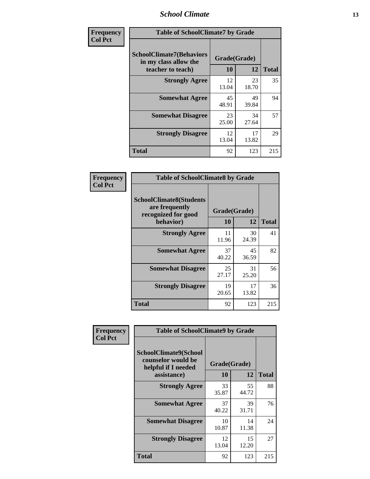### *School Climate* **13**

| Frequency      | <b>Table of SchoolClimate7 by Grade</b>                                       |                           |             |              |
|----------------|-------------------------------------------------------------------------------|---------------------------|-------------|--------------|
| <b>Col Pct</b> | <b>SchoolClimate7(Behaviors</b><br>in my class allow the<br>teacher to teach) | Grade(Grade)<br><b>10</b> | 12          | <b>Total</b> |
|                | <b>Strongly Agree</b>                                                         | 12<br>13.04               | 23<br>18.70 | 35           |
|                | <b>Somewhat Agree</b>                                                         | 45<br>48.91               | 49<br>39.84 | 94           |
|                | <b>Somewhat Disagree</b>                                                      | 23<br>25.00               | 34<br>27.64 | 57           |
|                | <b>Strongly Disagree</b>                                                      | 12<br>13.04               | 17<br>13.82 | 29           |
|                | <b>Total</b>                                                                  | 92                        | 123         | 215          |

| Frequency      | <b>Table of SchoolClimate8 by Grade</b>                                 |              |             |              |
|----------------|-------------------------------------------------------------------------|--------------|-------------|--------------|
| <b>Col Pct</b> | <b>SchoolClimate8(Students</b><br>are frequently<br>recognized for good | Grade(Grade) |             |              |
|                | behavior)                                                               | 10           | 12          | <b>Total</b> |
|                | <b>Strongly Agree</b>                                                   | 11<br>11.96  | 30<br>24.39 | 41           |
|                | <b>Somewhat Agree</b>                                                   | 37<br>40.22  | 45<br>36.59 | 82           |
|                | <b>Somewhat Disagree</b>                                                | 25<br>27.17  | 31<br>25.20 | 56           |
|                | <b>Strongly Disagree</b>                                                | 19<br>20.65  | 17<br>13.82 | 36           |
|                | <b>Total</b>                                                            | 92           | 123         | 215          |

| <b>Frequency</b> | <b>Table of SchoolClimate9 by Grade</b>                                           |                    |             |              |
|------------------|-----------------------------------------------------------------------------------|--------------------|-------------|--------------|
| <b>Col Pct</b>   | SchoolClimate9(School<br>counselor would be<br>helpful if I needed<br>assistance) | Grade(Grade)<br>10 | 12          | <b>Total</b> |
|                  | <b>Strongly Agree</b>                                                             | 33<br>35.87        | 55<br>44.72 | 88           |
|                  | <b>Somewhat Agree</b>                                                             | 37<br>40.22        | 39<br>31.71 | 76           |
|                  | <b>Somewhat Disagree</b>                                                          | 10<br>10.87        | 14<br>11.38 | 24           |
|                  | <b>Strongly Disagree</b>                                                          | 12<br>13.04        | 15<br>12.20 | 27           |
|                  | <b>Total</b>                                                                      | 92                 | 123         | 215          |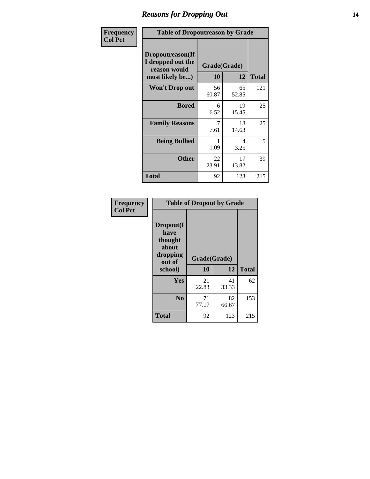### *Reasons for Dropping Out* **14**

| Frequency      |                                                                          | <b>Table of Dropoutreason by Grade</b> |                    |              |  |
|----------------|--------------------------------------------------------------------------|----------------------------------------|--------------------|--------------|--|
| <b>Col Pct</b> | Dropoutreason(If<br>I dropped out the<br>reason would<br>most likely be) | 10                                     | Grade(Grade)<br>12 | <b>Total</b> |  |
|                | Won't Drop out                                                           | 56<br>60.87                            | 65<br>52.85        | 121          |  |
|                | <b>Bored</b>                                                             | 6<br>6.52                              | 19<br>15.45        | 25           |  |
|                | <b>Family Reasons</b>                                                    | 7<br>7.61                              | 18<br>14.63        | 25           |  |
|                | <b>Being Bullied</b>                                                     | 1.09                                   | 4<br>3.25          | 5            |  |
|                | <b>Other</b>                                                             | 22<br>23.91                            | 17<br>13.82        | 39           |  |
|                | <b>Total</b>                                                             | 92                                     | 123                | 215          |  |

| Frequency      | <b>Table of Dropout by Grade</b>                            |              |             |              |  |
|----------------|-------------------------------------------------------------|--------------|-------------|--------------|--|
| <b>Col Pct</b> | Dropout(I<br>have<br>thought<br>about<br>dropping<br>out of | Grade(Grade) |             |              |  |
|                | school)                                                     | 10           | 12          | <b>Total</b> |  |
|                | Yes                                                         | 21           | 41          | 62           |  |
|                |                                                             | 22.83        | 33.33       |              |  |
|                | N <sub>0</sub>                                              | 71<br>77.17  | 82<br>66.67 | 153          |  |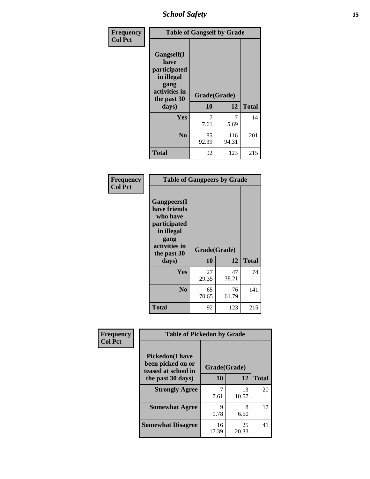*School Safety* **15**

| Frequency      | <b>Table of Gangself by Grade</b>                                                                 |                    |              |              |
|----------------|---------------------------------------------------------------------------------------------------|--------------------|--------------|--------------|
| <b>Col Pct</b> | Gangself(I<br>have<br>participated<br>in illegal<br>gang<br>activities in<br>the past 30<br>days) | Grade(Grade)<br>10 | 12           | <b>Total</b> |
|                | Yes                                                                                               | 7<br>7.61          | 7<br>5.69    | 14           |
|                | N <sub>o</sub>                                                                                    | 85<br>92.39        | 116<br>94.31 | 201          |
|                | <b>Total</b>                                                                                      | 92                 | 123          | 215          |

| Frequency<br><b>Col Pct</b> | <b>Table of Gangpeers by Grade</b>                                                                                             |                    |             |              |
|-----------------------------|--------------------------------------------------------------------------------------------------------------------------------|--------------------|-------------|--------------|
|                             | <b>Gangpeers</b> (I<br>have friends<br>who have<br>participated<br>in illegal<br>gang<br>activities in<br>the past 30<br>days) | Grade(Grade)<br>10 | 12          | <b>Total</b> |
|                             | <b>Yes</b>                                                                                                                     | 27<br>29.35        | 47<br>38.21 | 74           |
|                             | N <sub>0</sub>                                                                                                                 | 65<br>70.65        | 76<br>61.79 | 141          |
|                             | <b>Total</b>                                                                                                                   | 92                 | 123         | 215          |

| Frequency<br><b>Col Pct</b> | <b>Table of Pickedon by Grade</b>                                  |              |             |              |
|-----------------------------|--------------------------------------------------------------------|--------------|-------------|--------------|
|                             | <b>Pickedon(I have</b><br>been picked on or<br>teased at school in | Grade(Grade) |             |              |
|                             | the past 30 days)                                                  | 10           | 12          | <b>Total</b> |
|                             | <b>Strongly Agree</b>                                              | 7.61         | 13<br>10.57 | 20           |
|                             | <b>Somewhat Agree</b>                                              | 9<br>9.78    | 8<br>6.50   | 17           |
|                             | <b>Somewhat Disagree</b>                                           | 16<br>17.39  | 25<br>20.33 | 41           |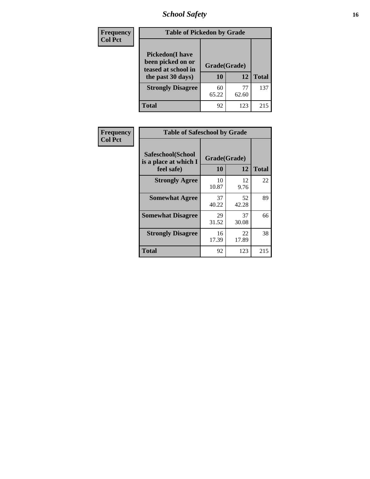# *School Safety* **16**

| Frequency      |                                                                                          | <b>Table of Pickedon by Grade</b> |             |              |  |  |  |  |  |
|----------------|------------------------------------------------------------------------------------------|-----------------------------------|-------------|--------------|--|--|--|--|--|
| <b>Col Pct</b> | <b>Pickedon</b> (I have<br>been picked on or<br>teased at school in<br>the past 30 days) | Grade(Grade)<br>10                | 12          | <b>Total</b> |  |  |  |  |  |
|                | <b>Strongly Disagree</b>                                                                 | 60<br>65.22                       | 77<br>62.60 | 137          |  |  |  |  |  |
|                | Total                                                                                    | 92                                | 123         | 215          |  |  |  |  |  |

| Frequency      |                                                          | <b>Table of Safeschool by Grade</b> |             |              |  |  |  |  |  |
|----------------|----------------------------------------------------------|-------------------------------------|-------------|--------------|--|--|--|--|--|
| <b>Col Pct</b> | Safeschool(School<br>is a place at which I<br>feel safe) | Grade(Grade)<br>10                  | 12          | <b>Total</b> |  |  |  |  |  |
|                | <b>Strongly Agree</b>                                    | 10<br>10.87                         | 12<br>9.76  | 22           |  |  |  |  |  |
|                | <b>Somewhat Agree</b>                                    | 37<br>40.22                         | 52<br>42.28 | 89           |  |  |  |  |  |
|                | <b>Somewhat Disagree</b>                                 | 29<br>31.52                         | 37<br>30.08 | 66           |  |  |  |  |  |
|                | <b>Strongly Disagree</b>                                 | 16<br>17.39                         | 22<br>17.89 | 38           |  |  |  |  |  |
|                | Total                                                    | 92                                  | 123         | 215          |  |  |  |  |  |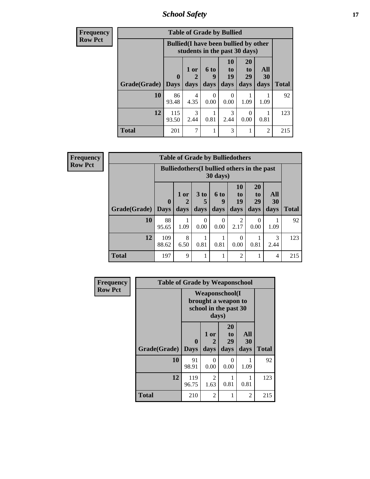*School Safety* **17**

| <b>Frequency</b> | <b>Table of Grade by Bullied</b> |                                                                               |                      |                  |                          |                       |                |              |  |  |
|------------------|----------------------------------|-------------------------------------------------------------------------------|----------------------|------------------|--------------------------|-----------------------|----------------|--------------|--|--|
| <b>Row Pct</b>   |                                  | <b>Bullied</b> (I have been bullied by other<br>students in the past 30 days) |                      |                  |                          |                       |                |              |  |  |
|                  |                                  | $\mathbf 0$                                                                   | 1 or<br>$\mathbf{2}$ | 6 to<br>9        | 10<br>$\mathbf{t}$<br>19 | <b>20</b><br>to<br>29 | All<br>30      |              |  |  |
|                  | Grade(Grade)   Days              |                                                                               | days                 | days             | days                     | days                  | days           | <b>Total</b> |  |  |
|                  | 10                               | 86<br>93.48                                                                   | 4<br>4.35            | $\Omega$<br>0.00 | 0<br>0.00                | 1.09                  | 1.09           | 92           |  |  |
|                  | 12                               | 115<br>93.50                                                                  | 3<br>2.44            | 0.81             | 3<br>2.44                | $\Omega$<br>0.00      | 0.81           | 123          |  |  |
|                  | <b>Total</b>                     | 201                                                                           | 7                    |                  | 3                        |                       | $\overline{2}$ | 215          |  |  |

| Frequency      |              |                                                                |           |                      |           | <b>Table of Grade by Bulliedothers</b> |                       |                |              |
|----------------|--------------|----------------------------------------------------------------|-----------|----------------------|-----------|----------------------------------------|-----------------------|----------------|--------------|
| <b>Row Pct</b> |              | <b>Bulliedothers</b> (I bullied others in the past<br>30 days) |           |                      |           |                                        |                       |                |              |
|                |              | $\mathbf{0}$                                                   | $1$ or    | 3 <sub>to</sub><br>5 | 6 to<br>q | 10<br>to<br>19                         | <b>20</b><br>to<br>29 | All<br>30      |              |
|                | Grade(Grade) | <b>Days</b>                                                    | days      | days                 | days      | days                                   | days                  | days           | <b>Total</b> |
|                | <b>10</b>    | 88<br>95.65                                                    | 1.09      | $\Omega$<br>0.00     | 0<br>0.00 | $\mathfrak{D}$<br>2.17                 | 0<br>0.00             | 1.09           | 92           |
|                | 12           | 109<br>88.62                                                   | 8<br>6.50 | 0.81                 | 0.81      | $\Omega$<br>0.00                       | 0.81                  | 3<br>2.44      | 123          |
|                | <b>Total</b> | 197                                                            | 9         |                      |           | $\mathcal{D}_{\mathcal{A}}$            |                       | $\overline{4}$ | 215          |

| <b>Frequency</b> | <b>Table of Grade by Weaponschool</b> |                                                                        |                        |                               |                   |              |
|------------------|---------------------------------------|------------------------------------------------------------------------|------------------------|-------------------------------|-------------------|--------------|
| <b>Row Pct</b>   |                                       | <b>Weaponschool</b> (I<br>brought a weapon to<br>school in the past 30 |                        |                               |                   |              |
|                  | Grade(Grade)                          | $\bf{0}$<br><b>Days</b>                                                | 1 or<br>2<br>days      | <b>20</b><br>to<br>29<br>days | All<br>30<br>days | <b>Total</b> |
|                  | 10                                    | 91<br>98.91                                                            | 0<br>0.00              | $\Omega$<br>0.00              | 1.09              | 92           |
|                  | 12                                    | 119<br>96.75                                                           | $\mathfrak{D}$<br>1.63 | 0.81                          | 0.81              | 123          |
|                  | <b>Total</b>                          | 210                                                                    | $\mathfrak{D}$         |                               | 2                 | 215          |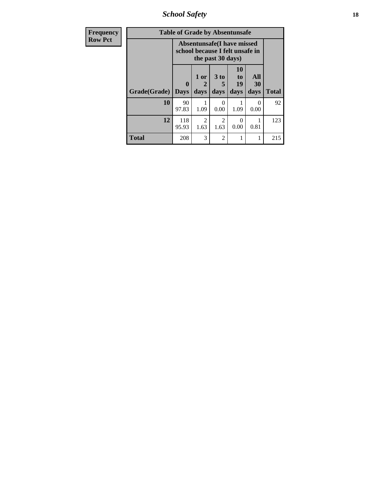*School Safety* **18**

| <b>Frequency</b> | <b>Table of Grade by Absentunsafe</b> |                                                                      |                        |                                     |                               |                      |              |  |  |
|------------------|---------------------------------------|----------------------------------------------------------------------|------------------------|-------------------------------------|-------------------------------|----------------------|--------------|--|--|
| <b>Row Pct</b>   |                                       | <b>Absentunsafe(I have missed</b><br>school because I felt unsafe in |                        |                                     |                               |                      |              |  |  |
|                  | Grade(Grade)                          | 0<br><b>Days</b>                                                     | 1 or<br>2<br>days      | 3 to<br>5<br>days                   | <b>10</b><br>to<br>19<br>days | All<br>30<br>days    | <b>Total</b> |  |  |
|                  | 10                                    | 90<br>97.83                                                          | 1.09                   | 0<br>0.00                           | 1.09                          | $\mathbf{0}$<br>0.00 | 92           |  |  |
|                  | 12                                    | 118<br>95.93                                                         | $\overline{2}$<br>1.63 | $\mathcal{D}_{\mathcal{A}}$<br>1.63 | ∩<br>0.00                     | 0.81                 | 123          |  |  |
|                  | <b>Total</b>                          | 208                                                                  | 3                      | $\mathfrak{D}$                      |                               |                      | 215          |  |  |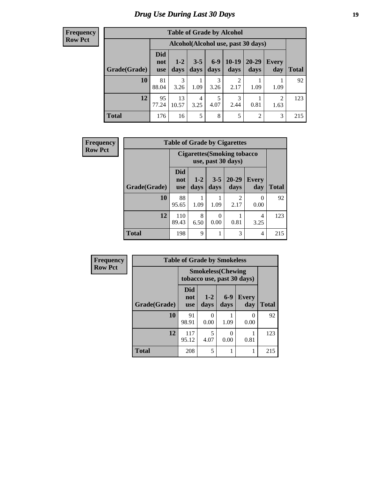#### **Frequency Row Pct**

| <b>Table of Grade by Alcohol</b> |                                 |                                    |                 |               |                        |                   |                        |       |  |
|----------------------------------|---------------------------------|------------------------------------|-----------------|---------------|------------------------|-------------------|------------------------|-------|--|
|                                  |                                 | Alcohol(Alcohol use, past 30 days) |                 |               |                        |                   |                        |       |  |
| Grade(Grade)                     | <b>Did</b><br>not<br><b>use</b> | $1 - 2$<br>days                    | $3 - 5$<br>days | $6-9$<br>days | 10-19<br>days          | $20 - 29$<br>days | Every<br>day           | Total |  |
| 10                               | 81<br>88.04                     | 3<br>3.26                          | 1.09            | 3<br>3.26     | $\overline{2}$<br>2.17 | 1.09              | 1.09                   | 92    |  |
| 12                               | 95<br>77.24                     | 13<br>10.57                        | 4<br>3.25       | 5<br>4.07     | 3<br>2.44              | 0.81              | $\overline{2}$<br>1.63 | 123   |  |
| <b>Total</b>                     | 176                             | 16                                 | 5               | 8             | 5                      | 2                 | 3                      | 215   |  |

| Frequency      |              | <b>Table of Grade by Cigarettes</b> |               |                  |                                                           |                     |       |  |  |
|----------------|--------------|-------------------------------------|---------------|------------------|-----------------------------------------------------------|---------------------|-------|--|--|
| <b>Row Pct</b> |              |                                     |               |                  | <b>Cigarettes (Smoking tobacco)</b><br>use, past 30 days) |                     |       |  |  |
|                | Grade(Grade) | <b>Did</b><br>not<br><b>use</b>     | $1-2$<br>days | $3 - 5$<br>days  | $20 - 29$<br>days                                         | <b>Every</b><br>day | Total |  |  |
|                | 10           | 88<br>95.65                         | 1.09          | 1.09             | $\mathcal{D}$<br>2.17                                     | 0<br>0.00           | 92    |  |  |
|                | 12           | 110<br>89.43                        | 8<br>6.50     | $\Omega$<br>0.00 | 0.81                                                      | 4<br>3.25           | 123   |  |  |
|                | <b>Total</b> | 198                                 | 9             |                  | 3                                                         | 4                   | 215   |  |  |

| <b>Frequency</b> |              | <b>Table of Grade by Smokeless</b> |                                                         |               |                     |              |  |  |  |
|------------------|--------------|------------------------------------|---------------------------------------------------------|---------------|---------------------|--------------|--|--|--|
| <b>Row Pct</b>   |              |                                    | <b>Smokeless</b> (Chewing<br>tobacco use, past 30 days) |               |                     |              |  |  |  |
|                  | Grade(Grade) | Did<br>not<br><b>use</b>           | $1 - 2$<br>days                                         | $6-9$<br>days | <b>Every</b><br>day | <b>Total</b> |  |  |  |
|                  | 10           | 91<br>98.91                        | 0<br>0.00                                               | 1.09          | 0<br>0.00           | 92           |  |  |  |
|                  | 12           | 117<br>95.12                       | 5<br>4.07                                               | 0.00          | 0.81                | 123          |  |  |  |
|                  | <b>Total</b> | 208                                | 5                                                       | 1             |                     | 215          |  |  |  |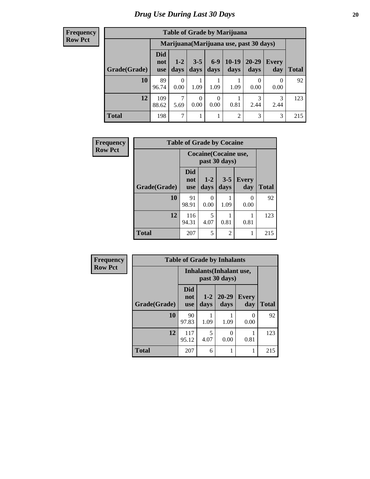#### **Frequency Row Pct**

| <b>Table of Grade by Marijuana</b> |                                 |                                         |                 |                 |                 |               |              |       |  |
|------------------------------------|---------------------------------|-----------------------------------------|-----------------|-----------------|-----------------|---------------|--------------|-------|--|
|                                    |                                 | Marijuana (Marijuana use, past 30 days) |                 |                 |                 |               |              |       |  |
| Grade(Grade)                       | <b>Did</b><br>not<br><b>use</b> | $1 - 2$<br>days                         | $3 - 5$<br>days | $6 - 9$<br>days | $10-19$<br>days | 20-29<br>days | Every<br>day | Total |  |
| 10                                 | 89<br>96.74                     | $\theta$<br>0.00                        | 1.09            | 1.09            | 1.09            | 0<br>0.00     | 0<br>0.00    | 92    |  |
| 12                                 | 109<br>88.62                    | 7<br>5.69                               | 0<br>0.00       | 0<br>0.00       | 0.81            | 3<br>2.44     | 3<br>2.44    | 123   |  |
| <b>Total</b>                       | 198                             | 7                                       |                 | 1               | 2               | 3             | 3            | 215   |  |

| Frequency      |              | <b>Table of Grade by Cocaine</b> |               |                 |              |              |
|----------------|--------------|----------------------------------|---------------|-----------------|--------------|--------------|
| <b>Row Pct</b> |              | Cocaine (Cocaine use,            |               |                 |              |              |
|                | Grade(Grade) | <b>Did</b><br>not<br><b>use</b>  | $1-2$<br>days | $3 - 5$<br>days | Every<br>day | <b>Total</b> |
|                | 10           | 91<br>98.91                      | 0<br>0.00     | 1.09            | 0<br>0.00    | 92           |
|                | 12           | 116<br>94.31                     | 5<br>4.07     | 0.81            | 0.81         | 123          |
|                | <b>Total</b> | 207                              | 5             | $\overline{2}$  |              | 215          |

| Frequency      | <b>Table of Grade by Inhalants</b> |                                 |                 |                   |                     |              |  |  |  |
|----------------|------------------------------------|---------------------------------|-----------------|-------------------|---------------------|--------------|--|--|--|
| <b>Row Pct</b> |                                    | <b>Inhalants</b> (Inhalant use, |                 |                   |                     |              |  |  |  |
|                | Grade(Grade)                       | <b>Did</b><br>not<br><b>use</b> | $1 - 2$<br>days | $20 - 29$<br>days | <b>Every</b><br>day | <b>Total</b> |  |  |  |
|                | 10                                 | 90<br>97.83                     | 1.09            | 1.09              | 0<br>0.00           | 92           |  |  |  |
|                | 12                                 | 117<br>95.12                    | 5<br>4.07       | 0<br>0.00         | 0.81                | 123          |  |  |  |
|                | <b>Total</b>                       | 207                             | 6               |                   |                     | 215          |  |  |  |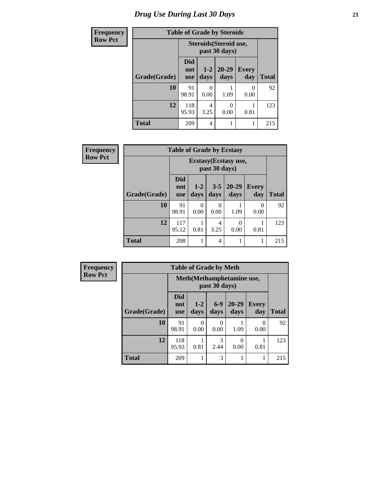# *Drug Use During Last 30 Days* **21**

| <b>Frequency</b> | <b>Table of Grade by Steroids</b> |                   |                                         |                   |                     |              |
|------------------|-----------------------------------|-------------------|-----------------------------------------|-------------------|---------------------|--------------|
| <b>Row Pct</b>   |                                   |                   | Steroids (Steroid use,<br>past 30 days) |                   |                     |              |
|                  | Grade(Grade)                      | Did<br>not<br>use | $1 - 2$<br>days                         | $20 - 29$<br>days | <b>Every</b><br>day | <b>Total</b> |
|                  | 10                                | 91<br>98.91       | 0.00                                    | 1.09              | 0<br>0.00           | 92           |
|                  | 12                                | 118<br>95.93      | 4<br>3.25                               | 0.00              | 0.81                | 123          |
|                  | <b>Total</b>                      | 209               | 4                                       |                   | 1                   | 215          |

| Frequency      | <b>Table of Grade by Ecstasy</b> |                                 |               |                        |                       |              |              |
|----------------|----------------------------------|---------------------------------|---------------|------------------------|-----------------------|--------------|--------------|
| <b>Row Pct</b> |                                  |                                 |               | past 30 days)          | Ecstasy (Ecstasy use, |              |              |
|                | Grade(Grade)                     | <b>Did</b><br>not<br><b>use</b> | $1-2$<br>days | $3 - 5$<br>days        | $20 - 29$<br>days     | Every<br>day | <b>Total</b> |
|                | 10                               | 91<br>98.91                     | 0<br>0.00     | 0<br>0.00              | 1.09                  | 0<br>0.00    | 92           |
|                | 12                               | 117<br>95.12                    | 0.81          | $\overline{4}$<br>3.25 | 0<br>0.00             | 0.81         | 123          |
|                | <b>Total</b>                     | 208                             |               | $\overline{4}$         |                       |              | 215          |

| Frequency      | <b>Table of Grade by Meth</b> |                                            |                  |               |               |                     |              |
|----------------|-------------------------------|--------------------------------------------|------------------|---------------|---------------|---------------------|--------------|
| <b>Row Pct</b> |                               | Meth(Methamphetamine use,<br>past 30 days) |                  |               |               |                     |              |
|                | Grade(Grade)                  | <b>Did</b><br>not<br><b>use</b>            | $1-2$<br>days    | $6-9$<br>days | 20-29<br>days | <b>Every</b><br>day | <b>Total</b> |
|                | 10                            | 91<br>98.91                                | $\Omega$<br>0.00 | 0<br>0.00     | 1.09          | $\theta$<br>0.00    | 92           |
|                | 12                            | 118<br>95.93                               | 0.81             | 3<br>2.44     | 0<br>0.00     | 0.81                | 123          |
|                | <b>Total</b>                  | 209                                        |                  | 3             |               |                     | 215          |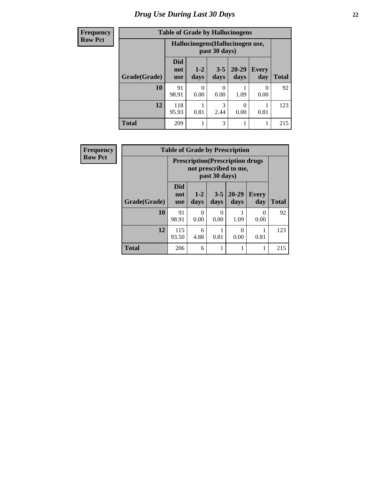| <b>Frequency</b> | <b>Table of Grade by Hallucinogens</b> |                          |               |                                                   |                   |              |              |  |  |
|------------------|----------------------------------------|--------------------------|---------------|---------------------------------------------------|-------------------|--------------|--------------|--|--|
| <b>Row Pct</b>   |                                        |                          |               | Hallucinogens (Hallucinogen use,<br>past 30 days) |                   |              |              |  |  |
|                  | Grade(Grade)                           | Did<br>not<br><b>use</b> | $1-2$<br>days | $3 - 5$<br>days                                   | $20 - 29$<br>days | Every<br>day | <b>Total</b> |  |  |
|                  | 10                                     | 91<br>98.91              | 0<br>0.00     | $\mathbf{\Omega}$<br>0.00                         | 1.09              | 0<br>0.00    | 92           |  |  |
|                  | 12                                     | 118<br>95.93             | 0.81          | 3<br>2.44                                         | 0<br>0.00         | 0.81         | 123          |  |  |
|                  | <b>Total</b>                           | 209                      |               | 3                                                 |                   | 1            | 215          |  |  |

| Frequency      | <b>Table of Grade by Prescription</b> |                                 |               |                 |                                                                  |                     |              |  |  |
|----------------|---------------------------------------|---------------------------------|---------------|-----------------|------------------------------------------------------------------|---------------------|--------------|--|--|
| <b>Row Pct</b> |                                       |                                 |               | past 30 days)   | <b>Prescription</b> (Prescription drugs<br>not prescribed to me, |                     |              |  |  |
|                | Grade(Grade)                          | <b>Did</b><br>not<br><b>use</b> | $1-2$<br>days | $3 - 5$<br>days | $20-29$<br>days                                                  | <b>Every</b><br>day | <b>Total</b> |  |  |
|                | 10                                    | 91<br>98.91                     | 0<br>0.00     | 0<br>0.00       | 1.09                                                             | 0<br>0.00           | 92           |  |  |
|                | 12                                    | 115<br>93.50                    | 6<br>4.88     | 0.81            | 0<br>0.00                                                        | 0.81                | 123          |  |  |
|                | <b>Total</b>                          | 206                             | 6             | 1               |                                                                  |                     | 215          |  |  |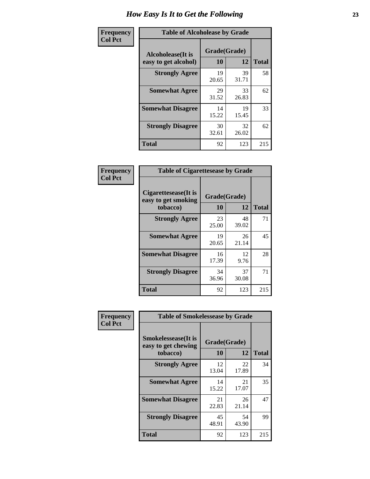| Frequency      | <b>Table of Alcoholease by Grade</b>              |                    |             |              |
|----------------|---------------------------------------------------|--------------------|-------------|--------------|
| <b>Col Pct</b> | <b>Alcoholease</b> (It is<br>easy to get alcohol) | Grade(Grade)<br>10 | 12          | <b>Total</b> |
|                | <b>Strongly Agree</b>                             | 19<br>20.65        | 39<br>31.71 | 58           |
|                | <b>Somewhat Agree</b>                             | 29<br>31.52        | 33<br>26.83 | 62           |
|                | <b>Somewhat Disagree</b>                          | 14<br>15.22        | 19<br>15.45 | 33           |
|                | <b>Strongly Disagree</b>                          | 30<br>32.61        | 32<br>26.02 | 62           |
|                | <b>Total</b>                                      | 92                 | 123         | 215          |

| Frequency      | <b>Table of Cigarettesease by Grade</b>                  |                           |             |              |  |  |
|----------------|----------------------------------------------------------|---------------------------|-------------|--------------|--|--|
| <b>Col Pct</b> | Cigarettesease (It is<br>easy to get smoking<br>tobacco) | Grade(Grade)<br><b>10</b> | 12          | <b>Total</b> |  |  |
|                | <b>Strongly Agree</b>                                    | 23<br>25.00               | 48<br>39.02 | 71           |  |  |
|                | <b>Somewhat Agree</b>                                    | 19<br>20.65               | 26<br>21.14 | 45           |  |  |
|                | <b>Somewhat Disagree</b>                                 | 16<br>17.39               | 12<br>9.76  | 28           |  |  |
|                | <b>Strongly Disagree</b>                                 | 34<br>36.96               | 37<br>30.08 | 71           |  |  |
|                | <b>Total</b>                                             | 92                        | 123         | 215          |  |  |

| Frequency      | <b>Table of Smokelessease by Grade</b>             |              |             |              |
|----------------|----------------------------------------------------|--------------|-------------|--------------|
| <b>Col Pct</b> | <b>Smokelessease</b> (It is<br>easy to get chewing | Grade(Grade) |             |              |
|                | tobacco)                                           | 10           | 12          | <b>Total</b> |
|                | <b>Strongly Agree</b>                              | 12<br>13.04  | 22<br>17.89 | 34           |
|                | <b>Somewhat Agree</b>                              | 14<br>15.22  | 21<br>17.07 | 35           |
|                | <b>Somewhat Disagree</b>                           | 21<br>22.83  | 26<br>21.14 | 47           |
|                | <b>Strongly Disagree</b>                           | 45<br>48.91  | 54<br>43.90 | 99           |
|                | <b>Total</b>                                       | 92           | 123         | 215          |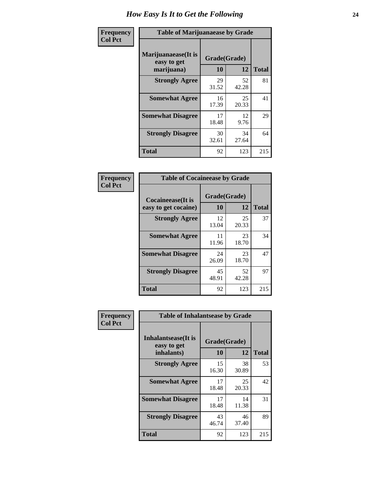| Frequency      | <b>Table of Marijuanaease by Grade</b>            |                           |             |              |  |  |
|----------------|---------------------------------------------------|---------------------------|-------------|--------------|--|--|
| <b>Col Pct</b> | Marijuanaease (It is<br>easy to get<br>marijuana) | Grade(Grade)<br><b>10</b> | 12          | <b>Total</b> |  |  |
|                | <b>Strongly Agree</b>                             | 29<br>31.52               | 52<br>42.28 | 81           |  |  |
|                | <b>Somewhat Agree</b>                             | 16<br>17.39               | 25<br>20.33 | 41           |  |  |
|                | <b>Somewhat Disagree</b>                          | 17<br>18.48               | 12<br>9.76  | 29           |  |  |
|                | <b>Strongly Disagree</b>                          | 30<br>32.61               | 34<br>27.64 | 64           |  |  |
|                | <b>Total</b>                                      | 92                        | 123         | 215          |  |  |

| <b>Table of Cocaineease by Grade</b> |             |              |              |  |  |  |  |  |
|--------------------------------------|-------------|--------------|--------------|--|--|--|--|--|
| <b>Cocaineease</b> (It is            |             | Grade(Grade) |              |  |  |  |  |  |
| easy to get cocaine)                 | 10          | 12           | <b>Total</b> |  |  |  |  |  |
| <b>Strongly Agree</b>                | 12<br>13.04 | 25<br>20.33  | 37           |  |  |  |  |  |
| <b>Somewhat Agree</b>                | 11<br>11.96 | 23<br>18.70  | 34           |  |  |  |  |  |
| <b>Somewhat Disagree</b>             | 24<br>26.09 | 23<br>18.70  | 47           |  |  |  |  |  |
| <b>Strongly Disagree</b>             | 45<br>48.91 | 52<br>42.28  | 97           |  |  |  |  |  |
| <b>Total</b>                         | 92          | 123          | 215          |  |  |  |  |  |

| Frequency      | <b>Table of Inhalantsease by Grade</b>     |              |             |              |
|----------------|--------------------------------------------|--------------|-------------|--------------|
| <b>Col Pct</b> | <b>Inhalantsease</b> (It is<br>easy to get | Grade(Grade) |             |              |
|                | inhalants)                                 | 10           | 12          | <b>Total</b> |
|                | <b>Strongly Agree</b>                      | 15<br>16.30  | 38<br>30.89 | 53           |
|                | <b>Somewhat Agree</b>                      | 17<br>18.48  | 25<br>20.33 | 42           |
|                | <b>Somewhat Disagree</b>                   | 17<br>18.48  | 14<br>11.38 | 31           |
|                | <b>Strongly Disagree</b>                   | 43<br>46.74  | 46<br>37.40 | 89           |
|                | <b>Total</b>                               | 92           | 123         | 215          |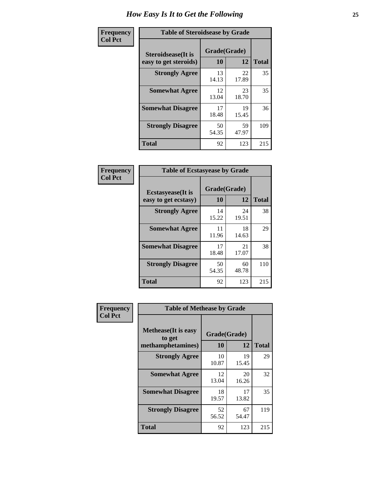| Frequency      | <b>Table of Steroidsease by Grade</b>               |                    |             |              |  |  |
|----------------|-----------------------------------------------------|--------------------|-------------|--------------|--|--|
| <b>Col Pct</b> | <b>Steroidsease</b> (It is<br>easy to get steroids) | Grade(Grade)<br>10 | 12          | <b>Total</b> |  |  |
|                | <b>Strongly Agree</b>                               | 13<br>14.13        | 22<br>17.89 | 35           |  |  |
|                | <b>Somewhat Agree</b>                               | 12<br>13.04        | 23<br>18.70 | 35           |  |  |
|                | <b>Somewhat Disagree</b>                            | 17<br>18.48        | 19<br>15.45 | 36           |  |  |
|                | <b>Strongly Disagree</b>                            | 50<br>54.35        | 59<br>47.97 | 109          |  |  |
|                | <b>Total</b>                                        | 92                 | 123         | 215          |  |  |

| Frequency      | <b>Table of Ecstasyease by Grade</b>              |                    |             |              |  |  |  |  |  |
|----------------|---------------------------------------------------|--------------------|-------------|--------------|--|--|--|--|--|
| <b>Col Pct</b> | <b>Ecstasyease</b> (It is<br>easy to get ecstasy) | Grade(Grade)<br>10 | 12          | <b>Total</b> |  |  |  |  |  |
|                | <b>Strongly Agree</b>                             | 14<br>15.22        | 24<br>19.51 | 38           |  |  |  |  |  |
|                | <b>Somewhat Agree</b>                             | 11<br>11.96        | 18<br>14.63 | 29           |  |  |  |  |  |
|                | <b>Somewhat Disagree</b>                          | 17<br>18.48        | 21<br>17.07 | 38           |  |  |  |  |  |
|                | <b>Strongly Disagree</b>                          | 50<br>54.35        | 60<br>48.78 | 110          |  |  |  |  |  |
|                | Total                                             | 92                 | 123         | 215          |  |  |  |  |  |

| Frequency      | <b>Table of Methease by Grade</b>     |              |             |              |  |  |  |  |  |  |
|----------------|---------------------------------------|--------------|-------------|--------------|--|--|--|--|--|--|
| <b>Col Pct</b> | <b>Methease</b> (It is easy<br>to get | Grade(Grade) |             |              |  |  |  |  |  |  |
|                | methamphetamines)                     | 10           | 12          | <b>Total</b> |  |  |  |  |  |  |
|                | <b>Strongly Agree</b>                 | 10<br>10.87  | 19<br>15.45 | 29           |  |  |  |  |  |  |
|                | <b>Somewhat Agree</b>                 | 12<br>13.04  | 20<br>16.26 | 32           |  |  |  |  |  |  |
|                | <b>Somewhat Disagree</b>              | 18<br>19.57  | 17<br>13.82 | 35           |  |  |  |  |  |  |
|                | <b>Strongly Disagree</b>              | 52<br>56.52  | 67<br>54.47 | 119          |  |  |  |  |  |  |
|                | Total                                 | 92           | 123         | 215          |  |  |  |  |  |  |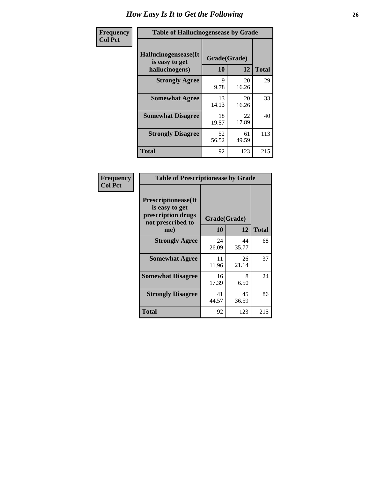| <b>Frequency</b> | <b>Table of Hallucinogensease by Grade</b>               |                    |             |              |  |  |  |  |  |
|------------------|----------------------------------------------------------|--------------------|-------------|--------------|--|--|--|--|--|
| <b>Col Pct</b>   | Hallucinogensease(It<br>is easy to get<br>hallucinogens) | Grade(Grade)<br>10 | 12          | <b>Total</b> |  |  |  |  |  |
|                  | <b>Strongly Agree</b>                                    | 9<br>9.78          | 20<br>16.26 | 29           |  |  |  |  |  |
|                  | <b>Somewhat Agree</b>                                    | 13<br>14.13        | 20<br>16.26 | 33           |  |  |  |  |  |
|                  | <b>Somewhat Disagree</b>                                 | 18<br>19.57        | 22<br>17.89 | 40           |  |  |  |  |  |
|                  | <b>Strongly Disagree</b>                                 | 52<br>56.52        | 61<br>49.59 | 113          |  |  |  |  |  |
|                  | <b>Total</b>                                             | 92                 | 123         | 215          |  |  |  |  |  |

| Frequency<br>Col Pct |
|----------------------|
|                      |

| <b>Table of Prescriptionease by Grade</b>                                                |              |             |              |  |  |  |  |  |
|------------------------------------------------------------------------------------------|--------------|-------------|--------------|--|--|--|--|--|
| <b>Prescriptionease</b> (It<br>is easy to get<br>prescription drugs<br>not prescribed to | Grade(Grade) |             |              |  |  |  |  |  |
| me)                                                                                      | 10           | 12          | <b>Total</b> |  |  |  |  |  |
| <b>Strongly Agree</b>                                                                    | 24<br>26.09  | 44<br>35.77 | 68           |  |  |  |  |  |
| <b>Somewhat Agree</b>                                                                    | 11<br>11.96  | 26<br>21.14 | 37           |  |  |  |  |  |
| <b>Somewhat Disagree</b>                                                                 | 16<br>17.39  | 8<br>6.50   | 24           |  |  |  |  |  |
| <b>Strongly Disagree</b>                                                                 | 41<br>44.57  | 45<br>36.59 | 86           |  |  |  |  |  |
| Total                                                                                    | 92           | 123         | 215          |  |  |  |  |  |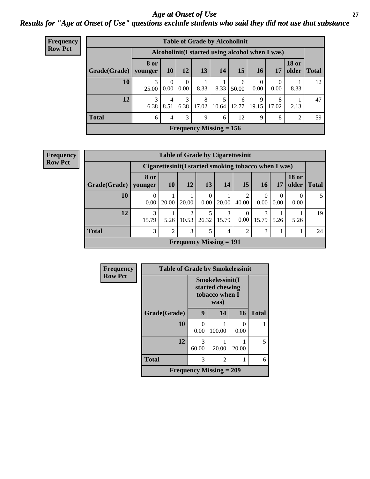### *Age at Onset of Use* **27** *Results for "Age at Onset of Use" questions exclude students who said they did not use that substance*

| <b>Frequency</b> | <b>Table of Grade by Alcoholinit</b> |            |           |                  |              |                        |                                                  |                  |                  |                |             |
|------------------|--------------------------------------|------------|-----------|------------------|--------------|------------------------|--------------------------------------------------|------------------|------------------|----------------|-------------|
| <b>Row Pct</b>   |                                      |            |           |                  |              |                        | Alcoholinit (I started using alcohol when I was) |                  |                  |                |             |
|                  | Grade(Grade)   younger               | 8 or       | <b>10</b> | <b>12</b>        | 13           | 14                     | 15                                               | <b>16</b>        | 17               | <b>18 or</b>   | older Total |
|                  | 10                                   | 3<br>25.00 | 0<br>0.00 | $\theta$<br>0.00 | 8.33         | 8.33                   | 6<br>50.00                                       | $\theta$<br>0.00 | $\Omega$<br>0.00 | 8.33           | 12          |
|                  | 12                                   | 3<br>6.38  | 4<br>8.51 | 3<br>6.38        | 8<br>17.02   | $\mathcal{F}$<br>10.64 | 6<br>12.77                                       | 9<br>19.15       | 8<br>17.02       | 2.13           | 47          |
|                  | <b>Total</b>                         | 6          | 4         | 3                | $\mathbf{Q}$ | 6                      | 12                                               | 9                | 8                | $\overline{2}$ | 59          |
|                  | <b>Frequency Missing = 156</b>       |            |           |                  |              |                        |                                                  |                  |                  |                |             |

| <b>Frequency</b> |
|------------------|
| <b>Row Pct</b>   |

| <b>Table of Grade by Cigarettesinit</b>                                                                                          |                                                      |               |            |                                |            |                         |                  |      |           |    |  |
|----------------------------------------------------------------------------------------------------------------------------------|------------------------------------------------------|---------------|------------|--------------------------------|------------|-------------------------|------------------|------|-----------|----|--|
|                                                                                                                                  | Cigarettesinit(I started smoking tobacco when I was) |               |            |                                |            |                         |                  |      |           |    |  |
| 8 or<br><b>18 or</b><br>12<br>15<br><b>10</b><br>13<br>14<br>older<br>Grade(Grade)<br><b>16</b><br><b>Total</b><br>17<br>vounger |                                                      |               |            |                                |            |                         |                  |      |           |    |  |
| 10                                                                                                                               | 0.00                                                 | 20.00         | 20.00      | $\Omega$<br>0.00               | 20.00      | $\overline{c}$<br>40.00 | $\theta$<br>0.00 | 0.00 | 0<br>0.00 |    |  |
| 12                                                                                                                               | 3<br>15.79                                           | 5.26          | 2<br>10.53 | 5<br>26.32                     | 3<br>15.79 | $\Omega$<br>0.00        | 3<br>15.79       | 5.26 | 5.26      | 19 |  |
| <b>Total</b>                                                                                                                     | 3                                                    | $\mathcal{D}$ | 3          | 5                              | 4          | $\overline{2}$          | 3                |      |           | 24 |  |
|                                                                                                                                  |                                                      |               |            | <b>Frequency Missing = 191</b> |            |                         |                  |      |           |    |  |

| Frequency      | <b>Table of Grade by Smokelessinit</b> |                                                      |                                |       |              |
|----------------|----------------------------------------|------------------------------------------------------|--------------------------------|-------|--------------|
| <b>Row Pct</b> |                                        | Smokelessinit(I<br>started chewing<br>tobacco when I |                                |       |              |
|                | Grade(Grade)                           | 9                                                    | 14                             | 16    | <b>Total</b> |
|                | 10                                     | 0<br>0.00                                            | 100.00                         | 0.00  |              |
|                | 12                                     | 3<br>60.00                                           | 20.00                          | 20.00 | 5            |
|                | <b>Total</b>                           | 3                                                    | $\overline{c}$                 |       | 6            |
|                |                                        |                                                      | <b>Frequency Missing = 209</b> |       |              |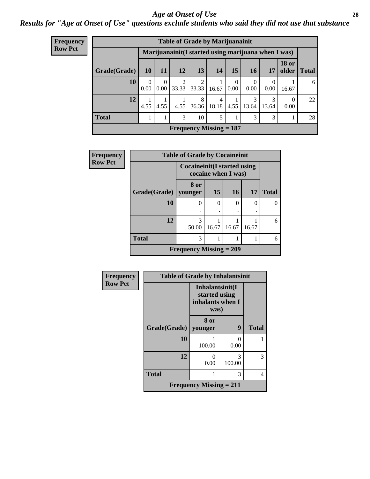### *Age at Onset of Use* **28**

*Results for "Age at Onset of Use" questions exclude students who said they did not use that substance*

| <b>Frequency</b> | <b>Table of Grade by Marijuanainit</b>               |                  |                  |                                |                         |            |                  |                  |                  |                       |              |  |
|------------------|------------------------------------------------------|------------------|------------------|--------------------------------|-------------------------|------------|------------------|------------------|------------------|-----------------------|--------------|--|
| <b>Row Pct</b>   | Marijuanainit (I started using marijuana when I was) |                  |                  |                                |                         |            |                  |                  |                  |                       |              |  |
|                  | Grade(Grade)                                         | 10               | -11              | <b>12</b>                      | 13                      | 14         | 15               | 16               | 17               | <b>18 or</b><br>older | <b>Total</b> |  |
|                  | 10                                                   | $\Omega$<br>0.00 | $\Omega$<br>0.00 | 2<br>33.33                     | $\overline{2}$<br>33.33 | 16.67      | $\left($<br>0.00 | $\theta$<br>0.00 | $\left($<br>0.00 | 16.67                 | 6            |  |
|                  | 12                                                   | 4.55             | 4.55             | 4.55                           | 8<br>36.36              | 4<br>18.18 | 4.55             | 3<br>13.64       | 3<br>13.64       | $\Omega$<br>0.00      | 22           |  |
|                  | <b>Total</b>                                         |                  |                  | 3                              | 10                      | 5          |                  | 3                | 3                |                       | 28           |  |
|                  |                                                      |                  |                  | <b>Frequency Missing = 187</b> |                         |            |                  |                  |                  |                       |              |  |
|                  |                                                      |                  |                  |                                |                         |            |                  |                  |                  |                       |              |  |

| <b>Frequency</b> | <b>Table of Grade by Cocaineinit</b> |                                     |                     |           |           |              |  |  |  |
|------------------|--------------------------------------|-------------------------------------|---------------------|-----------|-----------|--------------|--|--|--|
| <b>Row Pct</b>   |                                      | <b>Cocaineinit</b> (I started using | cocaine when I was) |           |           |              |  |  |  |
|                  | Grade(Grade)                         | 8 or<br>vounger                     | 15                  | <b>16</b> | <b>17</b> | <b>Total</b> |  |  |  |
|                  | 10                                   | 0                                   | $\Omega$            | 0         | ∩         |              |  |  |  |
|                  | 12                                   | 3<br>50.00                          | 16.67               | 16.67     | 16.67     | 6            |  |  |  |
|                  | <b>Total</b>                         | 3                                   |                     |           |           | 6            |  |  |  |
|                  |                                      | <b>Frequency Missing = 209</b>      |                     |           |           |              |  |  |  |

| Frequency      | <b>Table of Grade by Inhalantsinit</b> |                                                              |             |              |
|----------------|----------------------------------------|--------------------------------------------------------------|-------------|--------------|
| <b>Row Pct</b> |                                        | Inhalantsinit(I<br>started using<br>inhalants when I<br>was) |             |              |
|                | Grade(Grade)                           | 8 or<br>younger                                              | 9           | <b>Total</b> |
|                | 10                                     | 100.00                                                       | 0<br>0.00   |              |
|                | 12                                     | 0<br>0.00                                                    | 3<br>100.00 | 3            |
|                | <b>Total</b>                           |                                                              | 3           | 4            |
|                |                                        | <b>Frequency Missing = 211</b>                               |             |              |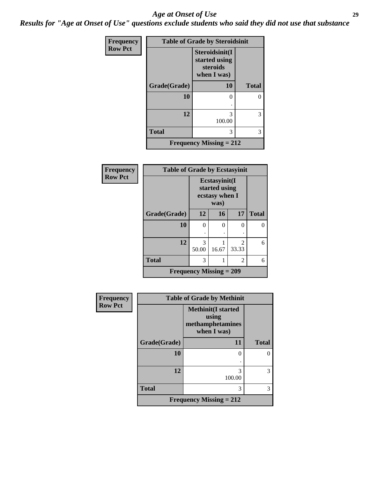#### *Age at Onset of Use* **29**

*Results for "Age at Onset of Use" questions exclude students who said they did not use that substance*

| Frequency      | <b>Table of Grade by Steroidsinit</b> |                                                            |              |  |  |
|----------------|---------------------------------------|------------------------------------------------------------|--------------|--|--|
| <b>Row Pct</b> |                                       | Steroidsinit(I<br>started using<br>steroids<br>when I was) |              |  |  |
|                | Grade(Grade)                          | 10                                                         | <b>Total</b> |  |  |
|                | 10                                    | 0                                                          |              |  |  |
|                | 12                                    | 3<br>100.00                                                | 3            |  |  |
|                | <b>Total</b>                          | 3                                                          | 3            |  |  |
|                |                                       | <b>Frequency Missing = 212</b>                             |              |  |  |

| <b>Frequency</b> | <b>Table of Grade by Ecstasyinit</b> |            |                                                          |                         |              |
|------------------|--------------------------------------|------------|----------------------------------------------------------|-------------------------|--------------|
| <b>Row Pct</b>   |                                      |            | Ecstasyinit(I<br>started using<br>ecstasy when I<br>was) |                         |              |
|                  | Grade(Grade)                         | 12         | 16                                                       | 17                      | <b>Total</b> |
|                  | 10                                   | $\theta$   | 0                                                        | 0                       | O            |
|                  |                                      |            |                                                          |                         |              |
|                  | 12                                   | 3<br>50.00 | 16.67                                                    | $\mathfrak{D}$<br>33.33 | 6            |
|                  | <b>Total</b>                         | 3          | 1                                                        | 2                       | 6            |
|                  | <b>Frequency Missing = 209</b>       |            |                                                          |                         |              |

| Frequency      |              | <b>Table of Grade by Methinit</b>                                     |              |  |  |
|----------------|--------------|-----------------------------------------------------------------------|--------------|--|--|
| <b>Row Pct</b> |              | <b>Methinit(I started</b><br>using<br>methamphetamines<br>when I was) |              |  |  |
|                | Grade(Grade) | 11                                                                    | <b>Total</b> |  |  |
|                | 10           | $\Omega$                                                              | O            |  |  |
|                | 12           | 3<br>100.00                                                           | 3            |  |  |
|                | <b>Total</b> | 3                                                                     | 3            |  |  |
|                |              | Frequency Missing $= 212$                                             |              |  |  |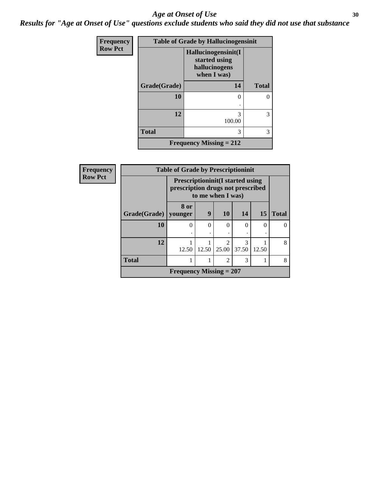### Age at Onset of Use **30**

*Results for "Age at Onset of Use" questions exclude students who said they did not use that substance*

| Frequency      | <b>Table of Grade by Hallucinogensinit</b> |                                                                      |              |  |  |
|----------------|--------------------------------------------|----------------------------------------------------------------------|--------------|--|--|
| <b>Row Pct</b> |                                            | Hallucinogensinit(I<br>started using<br>hallucinogens<br>when I was) |              |  |  |
|                | Grade(Grade)                               | 14                                                                   | <b>Total</b> |  |  |
|                | 10                                         | 0<br>٠                                                               | 0            |  |  |
|                | 12                                         | 3<br>100.00                                                          | 3            |  |  |
|                | <b>Total</b>                               | 3                                                                    | 3            |  |  |
|                |                                            | <b>Frequency Missing = 212</b>                                       |              |  |  |

| Frequency      |                        | <b>Table of Grade by Prescriptioninit</b>                                     |       |                         |            |           |              |
|----------------|------------------------|-------------------------------------------------------------------------------|-------|-------------------------|------------|-----------|--------------|
| <b>Row Pct</b> |                        | <b>Prescriptioninit (I started using</b><br>prescription drugs not prescribed |       | to me when I was)       |            |           |              |
|                | Grade(Grade)   younger | 8 or                                                                          | 9     | <b>10</b>               | 14         | <b>15</b> | <b>Total</b> |
|                | 10                     | $\Omega$                                                                      | 0     | $\Omega$                |            | 0         |              |
|                | 12                     | 12.50                                                                         | 12.50 | $\mathfrak{D}$<br>25.00 | 3<br>37.50 | 12.50     | 8            |
|                | <b>Total</b>           |                                                                               |       | $\overline{2}$          | 3          |           | 8            |
|                |                        | <b>Frequency Missing = 207</b>                                                |       |                         |            |           |              |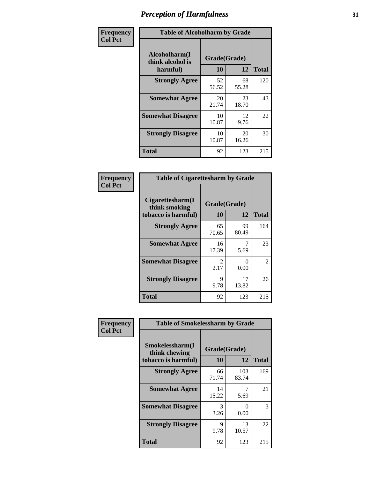| Frequency      | <b>Table of Alcoholharm by Grade</b>          |                    |             |              |
|----------------|-----------------------------------------------|--------------------|-------------|--------------|
| <b>Col Pct</b> | Alcoholharm(I<br>think alcohol is<br>harmful) | Grade(Grade)<br>10 | 12          | <b>Total</b> |
|                | <b>Strongly Agree</b>                         | 52<br>56.52        | 68<br>55.28 | 120          |
|                | <b>Somewhat Agree</b>                         | 20<br>21.74        | 23<br>18.70 | 43           |
|                | <b>Somewhat Disagree</b>                      | 10<br>10.87        | 12<br>9.76  | 22           |
|                | <b>Strongly Disagree</b>                      | 10<br>10.87        | 20<br>16.26 | 30           |
|                | <b>Total</b>                                  | 92                 | 123         | 215          |

| <b>Table of Cigarettesharm by Grade</b>                  |                        |                           |                |  |  |
|----------------------------------------------------------|------------------------|---------------------------|----------------|--|--|
| Cigarettesharm(I<br>think smoking<br>tobacco is harmful) | Grade(Grade)<br>10     | 12                        | <b>Total</b>   |  |  |
| <b>Strongly Agree</b>                                    | 65<br>70.65            | 99<br>80.49               | 164            |  |  |
| <b>Somewhat Agree</b>                                    | 16<br>17.39            | 5.69                      | 23             |  |  |
| <b>Somewhat Disagree</b>                                 | $\mathfrak{D}$<br>2.17 | $\mathbf{\Omega}$<br>0.00 | $\mathfrak{D}$ |  |  |
| <b>Strongly Disagree</b>                                 | 9<br>9.78              | 17<br>13.82               | 26             |  |  |
| <b>Total</b>                                             | 92                     | 123                       | 215            |  |  |

| Frequency      | <b>Table of Smokelessharm by Grade</b>                  |                           |              |              |
|----------------|---------------------------------------------------------|---------------------------|--------------|--------------|
| <b>Col Pct</b> | Smokelessharm(I<br>think chewing<br>tobacco is harmful) | Grade(Grade)<br><b>10</b> | 12           | <b>Total</b> |
|                | <b>Strongly Agree</b>                                   | 66<br>71.74               | 103<br>83.74 | 169          |
|                | <b>Somewhat Agree</b>                                   | 14<br>15.22               | 5.69         | 21           |
|                | <b>Somewhat Disagree</b>                                | 3<br>3.26                 | 0<br>0.00    | 3            |
|                | <b>Strongly Disagree</b>                                | 9<br>9.78                 | 13<br>10.57  | 22           |
|                | <b>Total</b>                                            | 92                        | 123          | 215          |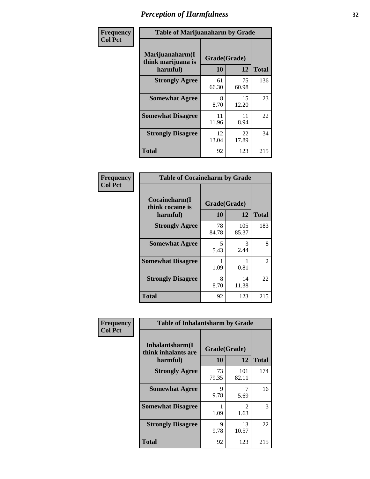| Frequency      | <b>Table of Marijuanaharm by Grade</b>            |                    |             |              |
|----------------|---------------------------------------------------|--------------------|-------------|--------------|
| <b>Col Pct</b> | Marijuanaharm(I<br>think marijuana is<br>harmful) | Grade(Grade)<br>10 | 12          | <b>Total</b> |
|                | <b>Strongly Agree</b>                             | 61<br>66.30        | 75<br>60.98 | 136          |
|                | <b>Somewhat Agree</b>                             | 8<br>8.70          | 15<br>12.20 | 23           |
|                | <b>Somewhat Disagree</b>                          | 11<br>11.96        | 11<br>8.94  | 22           |
|                | <b>Strongly Disagree</b>                          | 12<br>13.04        | 22<br>17.89 | 34           |
|                | <b>Total</b>                                      | 92                 | 123         | 215          |

| <b>Table of Cocaineharm by Grade</b>          |                    |              |              |  |  |
|-----------------------------------------------|--------------------|--------------|--------------|--|--|
| Cocaineharm(I<br>think cocaine is<br>harmful) | Grade(Grade)<br>10 | 12           | <b>Total</b> |  |  |
| <b>Strongly Agree</b>                         | 78<br>84.78        | 105<br>85.37 | 183          |  |  |
| <b>Somewhat Agree</b>                         | 5<br>5.43          | 3<br>2.44    | 8            |  |  |
| <b>Somewhat Disagree</b>                      | 1.09               | 0.81         | 2            |  |  |
| <b>Strongly Disagree</b>                      | 8<br>8.70          | 14<br>11.38  | 22           |  |  |
| <b>Total</b>                                  | 92                 | 123          | 215          |  |  |

| Frequency      | <b>Table of Inhalantsharm by Grade</b>             |                           |                                     |              |  |
|----------------|----------------------------------------------------|---------------------------|-------------------------------------|--------------|--|
| <b>Col Pct</b> | Inhalantsharm(I<br>think inhalants are<br>harmful) | Grade(Grade)<br><b>10</b> | 12                                  | <b>Total</b> |  |
|                | <b>Strongly Agree</b>                              | 73<br>79.35               | 101<br>82.11                        | 174          |  |
|                | <b>Somewhat Agree</b>                              | 9<br>9.78                 | 5.69                                | 16           |  |
|                | <b>Somewhat Disagree</b>                           | 1.09                      | $\mathcal{D}_{\mathcal{L}}$<br>1.63 | 3            |  |
|                | <b>Strongly Disagree</b>                           | 9<br>9.78                 | 13<br>10.57                         | 22           |  |
|                | Total                                              | 92                        | 123                                 | 215          |  |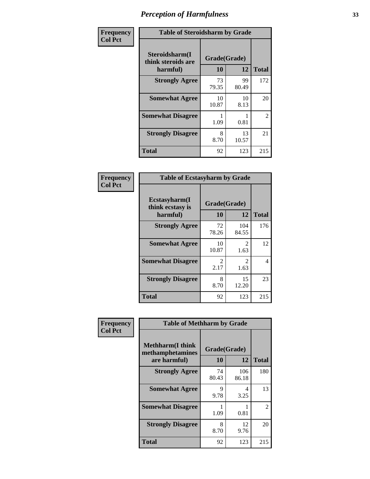| Frequency      | <b>Table of Steroidsharm by Grade</b>            |                    |             |              |
|----------------|--------------------------------------------------|--------------------|-------------|--------------|
| <b>Col Pct</b> | Steroidsharm(I<br>think steroids are<br>harmful) | Grade(Grade)<br>10 | 12          | <b>Total</b> |
|                | <b>Strongly Agree</b>                            | 73<br>79.35        | 99<br>80.49 | 172          |
|                | <b>Somewhat Agree</b>                            | 10<br>10.87        | 10<br>8.13  | 20           |
|                | <b>Somewhat Disagree</b>                         | 1.09               | 0.81        | 2            |
|                | <b>Strongly Disagree</b>                         | 8<br>8.70          | 13<br>10.57 | 21           |
|                | <b>Total</b>                                     | 92                 | 123         | 215          |

| <b>Table of Ecstasyharm by Grade</b>          |                    |                        |              |  |  |
|-----------------------------------------------|--------------------|------------------------|--------------|--|--|
| Ecstasyharm(I<br>think ecstasy is<br>harmful) | Grade(Grade)<br>10 | 12                     | <b>Total</b> |  |  |
| <b>Strongly Agree</b>                         | 72<br>78.26        | 104<br>84.55           | 176          |  |  |
| <b>Somewhat Agree</b>                         | 10<br>10.87        | 2<br>1.63              | 12           |  |  |
| <b>Somewhat Disagree</b>                      | 2<br>2.17          | $\mathfrak{D}$<br>1.63 | 4            |  |  |
| <b>Strongly Disagree</b>                      | 8<br>8.70          | 15<br>12.20            | 23           |  |  |
| <b>Total</b>                                  | 92                 | 123                    | 215          |  |  |

| Frequency      | <b>Table of Methharm by Grade</b>                            |                           |              |              |
|----------------|--------------------------------------------------------------|---------------------------|--------------|--------------|
| <b>Col Pct</b> | <b>Methharm</b> (I think<br>methamphetamines<br>are harmful) | Grade(Grade)<br><b>10</b> | 12           | <b>Total</b> |
|                | <b>Strongly Agree</b>                                        | 74<br>80.43               | 106<br>86.18 | 180          |
|                | <b>Somewhat Agree</b>                                        | 9<br>9.78                 | 4<br>3.25    | 13           |
|                | <b>Somewhat Disagree</b>                                     | 1.09                      | 0.81         | 2            |
|                | <b>Strongly Disagree</b>                                     | 8<br>8.70                 | 12<br>9.76   | 20           |
|                | Total                                                        | 92                        | 123          | 215          |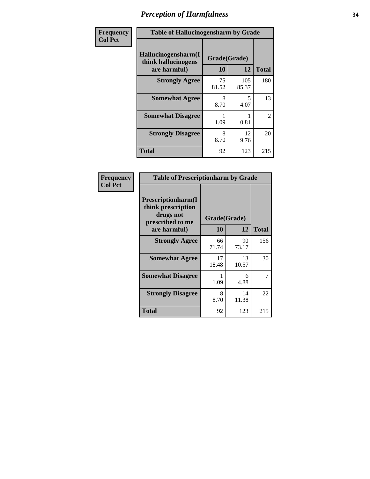| Frequency      | <b>Table of Hallucinogensharm by Grade</b>                 |                    |              |                |
|----------------|------------------------------------------------------------|--------------------|--------------|----------------|
| <b>Col Pct</b> | Hallucinogensharm(I<br>think hallucinogens<br>are harmful) | Grade(Grade)<br>10 | 12           | <b>Total</b>   |
|                | <b>Strongly Agree</b>                                      | 75<br>81.52        | 105<br>85.37 | 180            |
|                | <b>Somewhat Agree</b>                                      | 8<br>8.70          | 5<br>4.07    | 13             |
|                | <b>Somewhat Disagree</b>                                   | 1.09               | 0.81         | $\overline{2}$ |
|                | <b>Strongly Disagree</b>                                   | 8<br>8.70          | 12<br>9.76   | 20             |
|                | <b>Total</b>                                               | 92                 | 123          | 215            |

| <b>Table of Prescriptionharm by Grade</b>                                                         |             |                    |              |  |
|---------------------------------------------------------------------------------------------------|-------------|--------------------|--------------|--|
| <b>Prescriptionharm(I)</b><br>think prescription<br>drugs not<br>prescribed to me<br>are harmful) | 10          | Grade(Grade)<br>12 | <b>Total</b> |  |
| <b>Strongly Agree</b>                                                                             | 66<br>71.74 | 90<br>73.17        | 156          |  |
| <b>Somewhat Agree</b>                                                                             | 17<br>18.48 | 13<br>10.57        | 30           |  |
| <b>Somewhat Disagree</b>                                                                          | 1.09        | 6<br>4.88          | 7            |  |
| <b>Strongly Disagree</b>                                                                          | 8<br>8.70   | 14<br>11.38        | 22           |  |
| Total                                                                                             | 92          | 123                | 215          |  |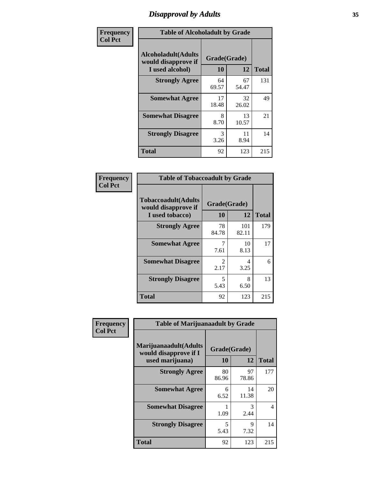# *Disapproval by Adults* **35**

| Frequency      | <b>Table of Alcoholadult by Grade</b>                                 |                    |             |              |
|----------------|-----------------------------------------------------------------------|--------------------|-------------|--------------|
| <b>Col Pct</b> | <b>Alcoholadult</b> (Adults<br>would disapprove if<br>I used alcohol) | Grade(Grade)<br>10 | 12          | <b>Total</b> |
|                | <b>Strongly Agree</b>                                                 | 64<br>69.57        | 67<br>54.47 | 131          |
|                | <b>Somewhat Agree</b>                                                 | 17<br>18.48        | 32<br>26.02 | 49           |
|                | <b>Somewhat Disagree</b>                                              | 8<br>8.70          | 13<br>10.57 | 21           |
|                | <b>Strongly Disagree</b>                                              | 3<br>3.26          | 11<br>8.94  | 14           |
|                | <b>Total</b>                                                          | 92                 | 123         | 215          |

| <b>Table of Tobaccoadult by Grade</b>                                 |                                     |              |              |  |  |
|-----------------------------------------------------------------------|-------------------------------------|--------------|--------------|--|--|
| <b>Tobaccoadult</b> (Adults<br>would disapprove if<br>I used tobacco) | Grade(Grade)<br>10                  | 12           | <b>Total</b> |  |  |
| <b>Strongly Agree</b>                                                 | 78<br>84.78                         | 101<br>82.11 | 179          |  |  |
| <b>Somewhat Agree</b>                                                 | 7<br>7.61                           | 10<br>8.13   | 17           |  |  |
| <b>Somewhat Disagree</b>                                              | $\mathcal{D}_{\mathcal{L}}$<br>2.17 | 4<br>3.25    | 6            |  |  |
| <b>Strongly Disagree</b>                                              | 5<br>5.43                           | 8<br>6.50    | 13           |  |  |
| <b>Total</b>                                                          | 92                                  | 123          | 215          |  |  |

| Frequency      | <b>Table of Marijuanaadult by Grade</b>                           |                    |                     |                |
|----------------|-------------------------------------------------------------------|--------------------|---------------------|----------------|
| <b>Col Pct</b> | Marijuanaadult(Adults<br>would disapprove if I<br>used marijuana) | Grade(Grade)<br>10 | 12                  | <b>Total</b>   |
|                | <b>Strongly Agree</b>                                             | 80<br>86.96        | 97<br>78.86         | 177            |
|                | <b>Somewhat Agree</b>                                             | 6<br>6.52          | 14<br>11.38         | 20             |
|                | <b>Somewhat Disagree</b>                                          | 1.09               | 3<br>2.44           | $\overline{4}$ |
|                | <b>Strongly Disagree</b>                                          | 5<br>5.43          | $\mathbf Q$<br>7.32 | 14             |
|                | <b>Total</b>                                                      | 92                 | 123                 | 215            |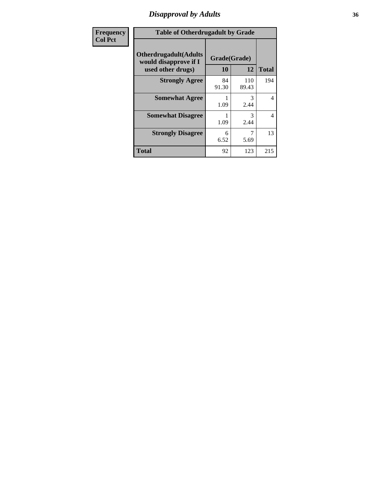# *Disapproval by Adults* **36**

| <b>Frequency</b> | <b>Table of Otherdrugadult by Grade</b>                                     |                    |              |                |
|------------------|-----------------------------------------------------------------------------|--------------------|--------------|----------------|
| <b>Col Pct</b>   | <b>Otherdrugadult</b> (Adults<br>would disapprove if I<br>used other drugs) | Grade(Grade)<br>10 | 12           | <b>Total</b>   |
|                  | <b>Strongly Agree</b>                                                       | 84<br>91.30        | 110<br>89.43 | 194            |
|                  | <b>Somewhat Agree</b>                                                       | 1.09               | 3<br>2.44    | $\overline{4}$ |
|                  | <b>Somewhat Disagree</b>                                                    | 1.09               | 3<br>2.44    | $\overline{4}$ |
|                  | <b>Strongly Disagree</b>                                                    | 6<br>6.52          | 5.69         | 13             |
|                  | <b>Total</b>                                                                | 92                 | 123          | 215            |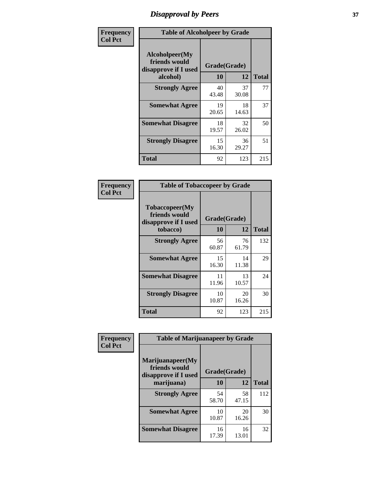# *Disapproval by Peers* **37**

| Frequency      | <b>Table of Alcoholpeer by Grade</b>                    |              |             |              |  |
|----------------|---------------------------------------------------------|--------------|-------------|--------------|--|
| <b>Col Pct</b> | Alcoholpeer(My<br>friends would<br>disapprove if I used | Grade(Grade) |             |              |  |
|                | alcohol)                                                | 10           | 12          | <b>Total</b> |  |
|                | <b>Strongly Agree</b>                                   | 40<br>43.48  | 37<br>30.08 | 77           |  |
|                | <b>Somewhat Agree</b>                                   | 19<br>20.65  | 18<br>14.63 | 37           |  |
|                | <b>Somewhat Disagree</b>                                | 18<br>19.57  | 32<br>26.02 | 50           |  |
|                | <b>Strongly Disagree</b>                                | 15<br>16.30  | 36<br>29.27 | 51           |  |
|                | Total                                                   | 92           | 123         | 215          |  |

| Frequency      | <b>Table of Tobaccopeer by Grade</b>                                |                    |             |              |  |
|----------------|---------------------------------------------------------------------|--------------------|-------------|--------------|--|
| <b>Col Pct</b> | Tobaccopeer(My<br>friends would<br>disapprove if I used<br>tobacco) | Grade(Grade)<br>10 | 12          | <b>Total</b> |  |
|                | <b>Strongly Agree</b>                                               | 56<br>60.87        | 76<br>61.79 | 132          |  |
|                | <b>Somewhat Agree</b>                                               | 15<br>16.30        | 14<br>11.38 | 29           |  |
|                | <b>Somewhat Disagree</b>                                            | 11<br>11.96        | 13<br>10.57 | 24           |  |
|                | <b>Strongly Disagree</b>                                            | 10<br>10.87        | 20<br>16.26 | 30           |  |
|                | <b>Total</b>                                                        | 92                 | 123         | 215          |  |

| Frequency<br><b>Col Pct</b> | <b>Table of Marijuanapeer by Grade</b>                    |              |             |              |
|-----------------------------|-----------------------------------------------------------|--------------|-------------|--------------|
|                             | Marijuanapeer(My<br>friends would<br>disapprove if I used | Grade(Grade) |             |              |
|                             | marijuana)                                                | <b>10</b>    | 12          | <b>Total</b> |
|                             | <b>Strongly Agree</b>                                     | 54<br>58.70  | 58<br>47.15 | 112          |
|                             | <b>Somewhat Agree</b>                                     | 10<br>10.87  | 20<br>16.26 | 30           |
|                             | <b>Somewhat Disagree</b>                                  | 16<br>17.39  | 16<br>13.01 | 32           |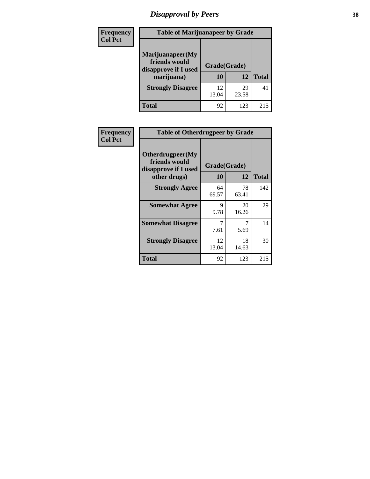# *Disapproval by Peers* **38**

| <b>Frequency</b> | <b>Table of Marijuanapeer by Grade</b>                                  |                    |             |              |  |
|------------------|-------------------------------------------------------------------------|--------------------|-------------|--------------|--|
| <b>Col Pct</b>   | Marijuanapeer(My<br>friends would<br>disapprove if I used<br>marijuana) | Grade(Grade)<br>10 | 12          | <b>Total</b> |  |
|                  | <b>Strongly Disagree</b>                                                | 12.<br>13.04       | 29<br>23.58 | 41           |  |
|                  | <b>Total</b>                                                            | 92                 | 123         | 215          |  |

| <b>Frequency</b> | <b>Table of Otherdrugpeer by Grade</b>                                    |                           |             |              |
|------------------|---------------------------------------------------------------------------|---------------------------|-------------|--------------|
| <b>Col Pct</b>   | Otherdrugpeer(My<br>friends would<br>disapprove if I used<br>other drugs) | Grade(Grade)<br><b>10</b> | 12          | <b>Total</b> |
|                  |                                                                           |                           |             |              |
|                  | <b>Strongly Agree</b>                                                     | 64<br>69.57               | 78<br>63.41 | 142          |
|                  | <b>Somewhat Agree</b>                                                     | 9<br>9.78                 | 20<br>16.26 | 29           |
|                  | <b>Somewhat Disagree</b>                                                  | 7<br>7.61                 | 7<br>5.69   | 14           |
|                  | <b>Strongly Disagree</b>                                                  | 12<br>13.04               | 18<br>14.63 | 30           |
|                  | <b>Total</b>                                                              | 92                        | 123         | 215          |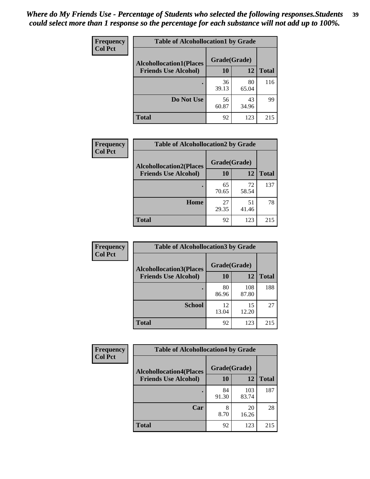| Frequency      | <b>Table of Alcohollocation1 by Grade</b> |              |             |              |
|----------------|-------------------------------------------|--------------|-------------|--------------|
| <b>Col Pct</b> | <b>Alcohollocation1(Places</b>            | Grade(Grade) |             |              |
|                | <b>Friends Use Alcohol)</b>               | 10           | 12          | <b>Total</b> |
|                |                                           | 36<br>39.13  | 80<br>65.04 | 116          |
|                | Do Not Use                                | 56<br>60.87  | 43<br>34.96 | 99           |
|                | <b>Total</b>                              | 92           | 123         | 215          |

| <b>Frequency</b> | <b>Table of Alcohollocation2 by Grade</b>                     |                    |             |              |
|------------------|---------------------------------------------------------------|--------------------|-------------|--------------|
| <b>Col Pct</b>   | <b>Alcohollocation2(Places</b><br><b>Friends Use Alcohol)</b> | Grade(Grade)<br>10 | 12          | <b>Total</b> |
|                  |                                                               |                    |             |              |
|                  |                                                               | 65<br>70.65        | 72<br>58.54 | 137          |
|                  | Home                                                          | 27<br>29.35        | 51<br>41.46 | 78           |
|                  | <b>Total</b>                                                  | 92                 | 123         | 215          |

| Frequency      | <b>Table of Alcohollocation3 by Grade</b>                      |                    |              |              |
|----------------|----------------------------------------------------------------|--------------------|--------------|--------------|
| <b>Col Pct</b> | <b>Alcohollocation3</b> (Places<br><b>Friends Use Alcohol)</b> | Grade(Grade)<br>10 | 12           | <b>Total</b> |
|                |                                                                |                    |              |              |
|                |                                                                | 80<br>86.96        | 108<br>87.80 | 188          |
|                | <b>School</b>                                                  | 12<br>13.04        | 15<br>12.20  | 27           |
|                | <b>Total</b>                                                   | 92                 | 123          | 215          |

| <b>Frequency</b> | <b>Table of Alcohollocation4 by Grade</b> |              |              |              |
|------------------|-------------------------------------------|--------------|--------------|--------------|
| <b>Col Pct</b>   | <b>Alcohollocation4(Places</b>            | Grade(Grade) |              |              |
|                  | <b>Friends Use Alcohol)</b>               | <b>10</b>    | 12           | <b>Total</b> |
|                  |                                           | 84<br>91.30  | 103<br>83.74 | 187          |
|                  | Car                                       | 8<br>8.70    | 20<br>16.26  | 28           |
|                  | <b>Total</b>                              | 92           | 123          | 215          |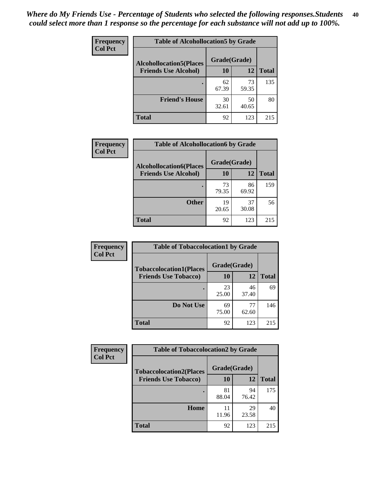| Frequency<br><b>Col Pct</b> | <b>Table of Alcohollocation5 by Grade</b> |              |             |              |
|-----------------------------|-------------------------------------------|--------------|-------------|--------------|
|                             | <b>Alcohollocation5(Places</b>            | Grade(Grade) |             |              |
|                             | <b>Friends Use Alcohol)</b>               | 10           | 12          | <b>Total</b> |
|                             |                                           | 62<br>67.39  | 73<br>59.35 | 135          |
|                             | <b>Friend's House</b>                     | 30<br>32.61  | 50<br>40.65 | 80           |
|                             | <b>Total</b>                              | 92           | 123         | 215          |

| Frequency      | <b>Table of Alcohollocation6 by Grade</b>                     |                           |             |              |
|----------------|---------------------------------------------------------------|---------------------------|-------------|--------------|
| <b>Col Pct</b> | <b>Alcohollocation6(Places</b><br><b>Friends Use Alcohol)</b> | Grade(Grade)<br><b>10</b> | 12          | <b>Total</b> |
|                |                                                               | 73<br>79.35               | 86<br>69.92 | 159          |
|                | <b>Other</b>                                                  | 19<br>20.65               | 37<br>30.08 | 56           |
|                | Total                                                         | 92                        | 123         | 215          |

| Frequency      | <b>Table of Tobaccolocation1 by Grade</b> |              |             |              |
|----------------|-------------------------------------------|--------------|-------------|--------------|
| <b>Col Pct</b> | <b>Tobaccolocation1(Places</b>            | Grade(Grade) |             |              |
|                | <b>Friends Use Tobacco)</b>               | 10           | 12          | <b>Total</b> |
|                |                                           | 23<br>25.00  | 46<br>37.40 | 69           |
|                | Do Not Use                                | 69<br>75.00  | 77<br>62.60 | 146          |
|                | <b>Total</b>                              | 92           | 123         | 215          |

| Frequency      | <b>Table of Tobaccolocation2 by Grade</b> |              |             |              |  |
|----------------|-------------------------------------------|--------------|-------------|--------------|--|
| <b>Col Pct</b> | <b>Tobaccolocation2(Places</b>            | Grade(Grade) |             |              |  |
|                | <b>Friends Use Tobacco)</b>               | 10           | 12          | <b>Total</b> |  |
|                |                                           | 81<br>88.04  | 94<br>76.42 | 175          |  |
|                | Home                                      | 11<br>11.96  | 29<br>23.58 | 40           |  |
|                | <b>Total</b>                              | 92           | 123         | 215          |  |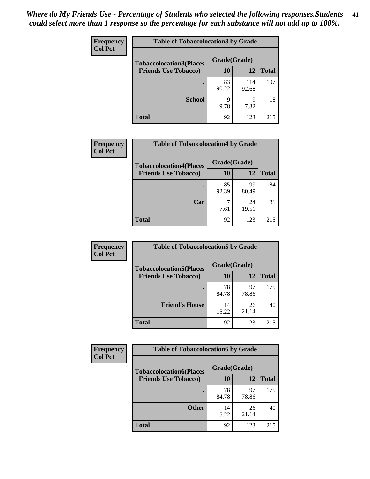| Frequency      | <b>Table of Tobaccolocation 3 by Grade</b> |              |              |              |  |
|----------------|--------------------------------------------|--------------|--------------|--------------|--|
| <b>Col Pct</b> | <b>Tobaccolocation3(Places</b>             | Grade(Grade) |              |              |  |
|                | <b>Friends Use Tobacco)</b>                | 10           | <b>12</b>    | <b>Total</b> |  |
|                | ٠                                          | 83<br>90.22  | 114<br>92.68 | 197          |  |
|                | <b>School</b>                              | q<br>9.78    | 9<br>7.32    | 18           |  |
|                | <b>Total</b>                               | 92           | 123          | 215          |  |

| Frequency<br><b>Col Pct</b> | <b>Table of Tobaccolocation4 by Grade</b> |              |             |              |
|-----------------------------|-------------------------------------------|--------------|-------------|--------------|
|                             | <b>Tobaccolocation4(Places</b>            | Grade(Grade) |             |              |
|                             | <b>Friends Use Tobacco)</b>               | 10           | 12          | <b>Total</b> |
|                             |                                           | 85<br>92.39  | 99<br>80.49 | 184          |
|                             | Car                                       | 7.61         | 24<br>19.51 | 31           |
|                             | <b>Total</b>                              | 92           | 123         | 215          |

| Frequency      | <b>Table of Tobaccolocation5 by Grade</b> |              |             |              |
|----------------|-------------------------------------------|--------------|-------------|--------------|
| <b>Col Pct</b> | <b>Tobaccolocation5(Places</b>            | Grade(Grade) |             |              |
|                | <b>Friends Use Tobacco)</b>               | 10           | 12          | <b>Total</b> |
|                |                                           | 78<br>84.78  | 97<br>78.86 | 175          |
|                | <b>Friend's House</b>                     | 14<br>15.22  | 26<br>21.14 | 40           |
|                | <b>Total</b>                              | 92           | 123         | 215          |

| <b>Frequency</b> | <b>Table of Tobaccolocation6 by Grade</b> |              |             |              |  |
|------------------|-------------------------------------------|--------------|-------------|--------------|--|
| <b>Col Pct</b>   | <b>Tobaccolocation6(Places</b>            | Grade(Grade) |             |              |  |
|                  | <b>Friends Use Tobacco)</b>               | 10           | <b>12</b>   | <b>Total</b> |  |
|                  |                                           | 78<br>84.78  | 97<br>78.86 | 175          |  |
|                  | <b>Other</b>                              | 14<br>15.22  | 26<br>21.14 | 40           |  |
|                  | <b>Total</b>                              | 92           | 123         | 215          |  |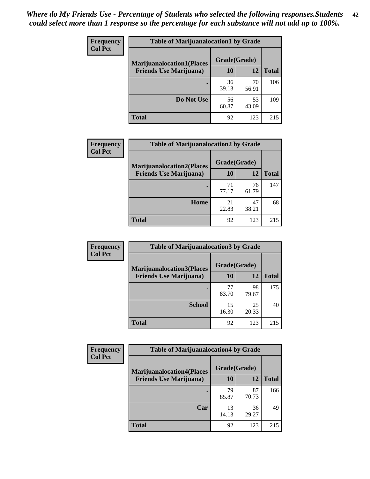| <b>Frequency</b> | <b>Table of Marijuanalocation1 by Grade</b> |              |             |              |
|------------------|---------------------------------------------|--------------|-------------|--------------|
| <b>Col Pct</b>   | <b>Marijuanalocation1(Places</b>            | Grade(Grade) |             |              |
|                  | <b>Friends Use Marijuana</b> )              | <b>10</b>    | 12          | <b>Total</b> |
|                  |                                             | 36<br>39.13  | 70<br>56.91 | 106          |
|                  | Do Not Use                                  | 56<br>60.87  | 53<br>43.09 | 109          |
|                  | <b>Total</b>                                | 92           | 123         | 215          |

| <b>Frequency</b> | <b>Table of Marijuanalocation2 by Grade</b>                        |                    |             |              |
|------------------|--------------------------------------------------------------------|--------------------|-------------|--------------|
| <b>Col Pct</b>   | <b>Marijuanalocation2(Places</b><br><b>Friends Use Marijuana</b> ) | Grade(Grade)<br>10 | 12          | <b>Total</b> |
|                  |                                                                    | 71<br>77.17        | 76<br>61.79 | 147          |
|                  | Home                                                               | 21<br>22.83        | 47<br>38.21 | 68           |
|                  | <b>Total</b>                                                       | 92                 | 123         | 215          |

| Frequency<br><b>Col Pct</b> | <b>Table of Marijuanalocation3 by Grade</b> |              |             |              |
|-----------------------------|---------------------------------------------|--------------|-------------|--------------|
|                             | <b>Marijuanalocation3</b> (Places           | Grade(Grade) |             |              |
|                             | <b>Friends Use Marijuana</b> )              | <b>10</b>    | 12          | <b>Total</b> |
|                             |                                             | 77<br>83.70  | 98<br>79.67 | 175          |
|                             | <b>School</b>                               | 15<br>16.30  | 25<br>20.33 | 40           |
|                             | <b>Total</b>                                | 92           | 123         | 215          |

| <b>Frequency</b> | <b>Table of Marijuanalocation4 by Grade</b> |              |             |              |  |
|------------------|---------------------------------------------|--------------|-------------|--------------|--|
| <b>Col Pct</b>   | <b>Marijuanalocation4(Places</b>            | Grade(Grade) |             |              |  |
|                  | <b>Friends Use Marijuana</b> )              | <b>10</b>    | 12          | <b>Total</b> |  |
|                  |                                             | 79<br>85.87  | 87<br>70.73 | 166          |  |
|                  | Car                                         | 13<br>14.13  | 36<br>29.27 | 49           |  |
|                  | <b>Total</b>                                | 92           | 123         | 215          |  |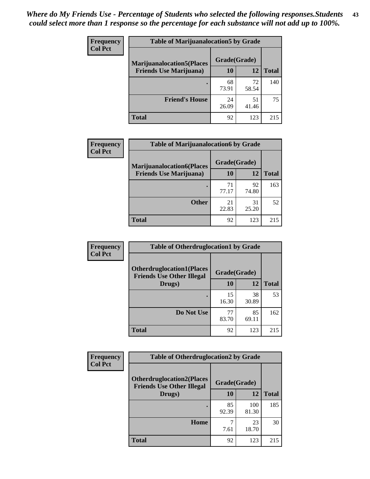| <b>Frequency</b> | <b>Table of Marijuanalocation5 by Grade</b> |              |             |              |
|------------------|---------------------------------------------|--------------|-------------|--------------|
| <b>Col Pct</b>   | <b>Marijuanalocation5</b> (Places           | Grade(Grade) |             |              |
|                  | <b>Friends Use Marijuana</b> )              | 10           | 12          | <b>Total</b> |
|                  |                                             | 68<br>73.91  | 72<br>58.54 | 140          |
|                  | <b>Friend's House</b>                       | 24<br>26.09  | 51<br>41.46 | 75           |
|                  | <b>Total</b>                                | 92           | 123         | 215          |

| <b>Frequency</b> | <b>Table of Marijuanalocation6 by Grade</b>                        |                    |             |              |
|------------------|--------------------------------------------------------------------|--------------------|-------------|--------------|
| <b>Col Pct</b>   | <b>Marijuanalocation6(Places</b><br><b>Friends Use Marijuana</b> ) | Grade(Grade)<br>10 | 12          | <b>Total</b> |
|                  |                                                                    | 71<br>77.17        | 92<br>74.80 | 163          |
|                  | <b>Other</b>                                                       | 21<br>22.83        | 31<br>25.20 | 52           |
|                  | <b>Total</b>                                                       | 92                 | 123         | 215          |

| Frequency      | <b>Table of Otherdruglocation1 by Grade</b>                          |              |             |              |
|----------------|----------------------------------------------------------------------|--------------|-------------|--------------|
| <b>Col Pct</b> | <b>Otherdruglocation1(Places</b><br><b>Friends Use Other Illegal</b> | Grade(Grade) |             |              |
|                | Drugs)                                                               | 10           | 12          | <b>Total</b> |
|                |                                                                      | 15<br>16.30  | 38<br>30.89 | 53           |
|                | Do Not Use                                                           | 77<br>83.70  | 85<br>69.11 | 162          |
|                | <b>Total</b>                                                         | 92           | 123         | 215          |

| Frequency      | <b>Table of Otherdruglocation2 by Grade</b>                          |              |              |              |
|----------------|----------------------------------------------------------------------|--------------|--------------|--------------|
| <b>Col Pct</b> | <b>Otherdruglocation2(Places</b><br><b>Friends Use Other Illegal</b> | Grade(Grade) |              |              |
|                | Drugs)                                                               | 10           | 12           | <b>Total</b> |
|                |                                                                      | 85<br>92.39  | 100<br>81.30 | 185          |
|                | <b>Home</b>                                                          | 7.61         | 23<br>18.70  | 30           |
|                | <b>Total</b>                                                         | 92           | 123          | 215          |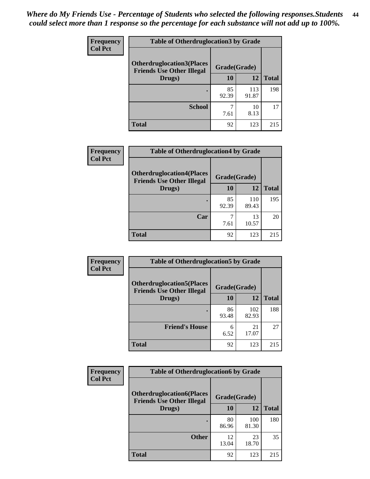| <b>Frequency</b> | <b>Table of Otherdruglocation3 by Grade</b>                          |              |              |              |
|------------------|----------------------------------------------------------------------|--------------|--------------|--------------|
| <b>Col Pct</b>   | <b>Otherdruglocation3(Places</b><br><b>Friends Use Other Illegal</b> | Grade(Grade) |              |              |
|                  | Drugs)                                                               | 10           | 12           | <b>Total</b> |
|                  |                                                                      | 85<br>92.39  | 113<br>91.87 | 198          |
|                  | <b>School</b>                                                        | 7.61         | 10<br>8.13   | 17           |
|                  | <b>Total</b>                                                         | 92           | 123          | 215          |

| <b>Frequency</b> | <b>Table of Otherdruglocation4 by Grade</b>                          |              |              |              |
|------------------|----------------------------------------------------------------------|--------------|--------------|--------------|
| <b>Col Pct</b>   | <b>Otherdruglocation4(Places</b><br><b>Friends Use Other Illegal</b> | Grade(Grade) |              |              |
|                  | Drugs)                                                               | 10           | 12           | <b>Total</b> |
|                  |                                                                      | 85<br>92.39  | 110<br>89.43 | 195          |
|                  | Car                                                                  | 7.61         | 13<br>10.57  | 20           |
|                  | <b>Total</b>                                                         | 92           | 123          | 215          |

| Frequency      | <b>Table of Otherdruglocation5 by Grade</b>                          |              |              |              |
|----------------|----------------------------------------------------------------------|--------------|--------------|--------------|
| <b>Col Pct</b> | <b>Otherdruglocation5(Places</b><br><b>Friends Use Other Illegal</b> | Grade(Grade) |              |              |
|                | Drugs)                                                               | 10           | 12           | <b>Total</b> |
|                |                                                                      | 86<br>93.48  | 102<br>82.93 | 188          |
|                | <b>Friend's House</b>                                                | 6<br>6.52    | 21<br>17.07  | 27           |
|                | Total                                                                | 92           | 123          | 215          |

| <b>Frequency</b> | <b>Table of Otherdruglocation6 by Grade</b>                          |              |              |              |
|------------------|----------------------------------------------------------------------|--------------|--------------|--------------|
| <b>Col Pct</b>   | <b>Otherdruglocation6(Places</b><br><b>Friends Use Other Illegal</b> | Grade(Grade) |              |              |
|                  | Drugs)                                                               | 10           | 12           | <b>Total</b> |
|                  |                                                                      | 80<br>86.96  | 100<br>81.30 | 180          |
|                  | <b>Other</b>                                                         | 12<br>13.04  | 23<br>18.70  | 35           |
|                  | <b>Total</b>                                                         | 92           | 123          | 215          |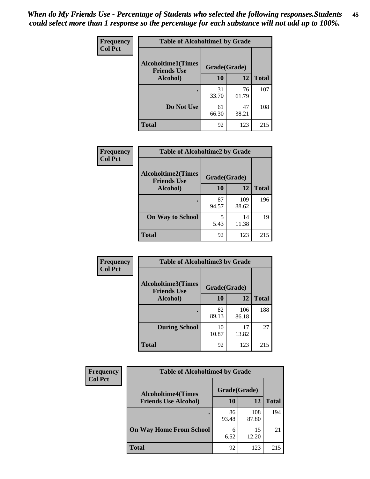| Frequency      | <b>Table of Alcoholtime1 by Grade</b>           |              |             |              |
|----------------|-------------------------------------------------|--------------|-------------|--------------|
| <b>Col Pct</b> | <b>Alcoholtime1(Times</b><br><b>Friends Use</b> | Grade(Grade) |             |              |
|                | Alcohol)                                        | <b>10</b>    | 12          | <b>Total</b> |
|                |                                                 | 31<br>33.70  | 76<br>61.79 | 107          |
|                | Do Not Use                                      | 61<br>66.30  | 47<br>38.21 | 108          |
|                | <b>Total</b>                                    | 92           | 123         | 215          |

| Frequency      | <b>Table of Alcoholtime2 by Grade</b>           |              |              |              |
|----------------|-------------------------------------------------|--------------|--------------|--------------|
| <b>Col Pct</b> | <b>Alcoholtime2(Times</b><br><b>Friends Use</b> | Grade(Grade) |              |              |
|                | Alcohol)                                        | 10           | 12           | <b>Total</b> |
|                |                                                 | 87<br>94.57  | 109<br>88.62 | 196          |
|                | <b>On Way to School</b>                         | 5.43         | 14<br>11.38  | 19           |
|                | <b>Total</b>                                    | 92           | 123          | 215          |

| Frequency      | <b>Table of Alcoholtime3 by Grade</b>           |              |              |              |
|----------------|-------------------------------------------------|--------------|--------------|--------------|
| <b>Col Pct</b> | <b>Alcoholtime3(Times</b><br><b>Friends Use</b> | Grade(Grade) |              |              |
|                | Alcohol)                                        | 10           | 12           | <b>Total</b> |
|                |                                                 | 82<br>89.13  | 106<br>86.18 | 188          |
|                | <b>During School</b>                            | 10<br>10.87  | 17<br>13.82  | 27           |
|                | <b>Total</b>                                    | 92           | 123          | 215          |

| <b>Frequency</b><br><b>Col Pct</b> | <b>Table of Alcoholtime4 by Grade</b> |              |              |              |
|------------------------------------|---------------------------------------|--------------|--------------|--------------|
|                                    | <b>Alcoholtime4(Times</b>             | Grade(Grade) |              |              |
|                                    | <b>Friends Use Alcohol)</b>           | 10           | 12           | <b>Total</b> |
|                                    |                                       | 86<br>93.48  | 108<br>87.80 | 194          |
|                                    | <b>On Way Home From School</b>        | 6<br>6.52    | 15<br>12.20  | 21           |
|                                    | <b>Total</b>                          | 92           | 123          | 215          |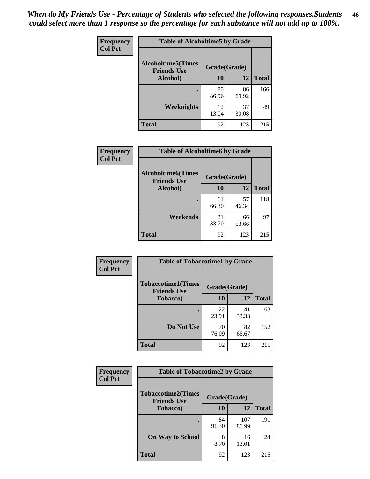*When do My Friends Use - Percentage of Students who selected the following responses.Students could select more than 1 response so the percentage for each substance will not add up to 100%.* **46**

| <b>Frequency</b> | <b>Table of Alcoholtime5 by Grade</b>            |              |             |              |
|------------------|--------------------------------------------------|--------------|-------------|--------------|
| <b>Col Pct</b>   | <b>Alcoholtime5</b> (Times<br><b>Friends Use</b> | Grade(Grade) |             |              |
|                  | Alcohol)                                         | 10           | 12          | <b>Total</b> |
|                  | ٠                                                | 80<br>86.96  | 86<br>69.92 | 166          |
|                  | Weeknights                                       | 12<br>13.04  | 37<br>30.08 | 49           |
|                  | <b>Total</b>                                     | 92           | 123         | 215          |

| Frequency      | <b>Table of Alcoholtime6 by Grade</b>           |              |             |              |
|----------------|-------------------------------------------------|--------------|-------------|--------------|
| <b>Col Pct</b> | <b>Alcoholtime6(Times</b><br><b>Friends Use</b> | Grade(Grade) |             |              |
|                | Alcohol)                                        | 10           | 12          | <b>Total</b> |
|                |                                                 | 61<br>66.30  | 57<br>46.34 | 118          |
|                | Weekends                                        | 31<br>33.70  | 66<br>53.66 | 97           |
|                | <b>Total</b>                                    | 92           | 123         | 215          |

| <b>Frequency</b> | <b>Table of Tobaccotime1 by Grade</b>           |              |             |              |
|------------------|-------------------------------------------------|--------------|-------------|--------------|
| <b>Col Pct</b>   | <b>Tobaccotime1(Times</b><br><b>Friends Use</b> | Grade(Grade) |             |              |
|                  | <b>Tobacco</b> )                                | 10           | 12          | <b>Total</b> |
|                  |                                                 | 22<br>23.91  | 41<br>33.33 | 63           |
|                  | Do Not Use                                      | 70<br>76.09  | 82<br>66.67 | 152          |
|                  | <b>Total</b>                                    | 92           | 123         | 215          |

| Frequency      | <b>Table of Tobaccotime2 by Grade</b>           |              |              |              |
|----------------|-------------------------------------------------|--------------|--------------|--------------|
| <b>Col Pct</b> | <b>Tobaccotime2(Times</b><br><b>Friends Use</b> | Grade(Grade) |              |              |
|                | <b>Tobacco</b> )                                | 10           | 12           | <b>Total</b> |
|                |                                                 | 84<br>91.30  | 107<br>86.99 | 191          |
|                | <b>On Way to School</b>                         | 8<br>8.70    | 16<br>13.01  | 24           |
|                | <b>Total</b>                                    | 92           | 123          | 215          |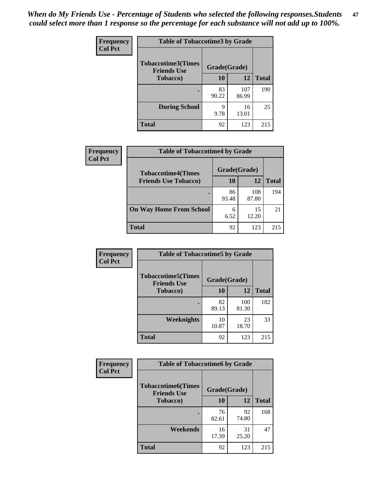*When do My Friends Use - Percentage of Students who selected the following responses.Students could select more than 1 response so the percentage for each substance will not add up to 100%.* **47**

| <b>Frequency</b> | <b>Table of Tobaccotime3 by Grade</b>           |              |              |              |  |
|------------------|-------------------------------------------------|--------------|--------------|--------------|--|
| <b>Col Pct</b>   | <b>Tobaccotime3(Times</b><br><b>Friends Use</b> | Grade(Grade) |              |              |  |
|                  | <b>Tobacco</b> )                                | 10           | 12           | <b>Total</b> |  |
|                  |                                                 | 83<br>90.22  | 107<br>86.99 | 190          |  |
|                  | <b>During School</b>                            | q<br>9.78    | 16<br>13.01  | 25           |  |
|                  | <b>Total</b>                                    | 92           | 123          | 215          |  |

| <b>Frequency</b><br><b>Col Pct</b> | <b>Table of Tobaccotime4 by Grade</b> |              |              |              |
|------------------------------------|---------------------------------------|--------------|--------------|--------------|
|                                    | <b>Tobaccotime4(Times</b>             | Grade(Grade) |              |              |
|                                    | <b>Friends Use Tobacco)</b>           | 10           | 12           | <b>Total</b> |
|                                    |                                       | 86<br>93.48  | 108<br>87.80 | 194          |
|                                    | <b>On Way Home From School</b>        | 6<br>6.52    | 15<br>12.20  | 21           |
|                                    | <b>Total</b>                          | 92           | 123          | 215          |

| <b>Frequency</b> | <b>Table of Tobaccotime5 by Grade</b>            |              |              |              |
|------------------|--------------------------------------------------|--------------|--------------|--------------|
| <b>Col Pct</b>   | <b>Tobaccotime5</b> (Times<br><b>Friends Use</b> | Grade(Grade) |              |              |
|                  | <b>Tobacco</b> )                                 | 10           | 12           | <b>Total</b> |
|                  |                                                  | 82<br>89.13  | 100<br>81.30 | 182          |
|                  | Weeknights                                       | 10<br>10.87  | 23<br>18.70  | 33           |
|                  | <b>Total</b>                                     | 92           | 123          | 215          |

| <b>Frequency</b> | <b>Table of Tobaccotime6 by Grade</b>           |              |             |              |
|------------------|-------------------------------------------------|--------------|-------------|--------------|
| <b>Col Pct</b>   | <b>Tobaccotime6(Times</b><br><b>Friends Use</b> | Grade(Grade) |             |              |
|                  | <b>Tobacco</b> )                                | 10           | 12          | <b>Total</b> |
|                  | ٠                                               | 76<br>82.61  | 92<br>74.80 | 168          |
|                  | Weekends                                        | 16<br>17.39  | 31<br>25.20 | 47           |
|                  | <b>Total</b>                                    | 92           | 123         | 215          |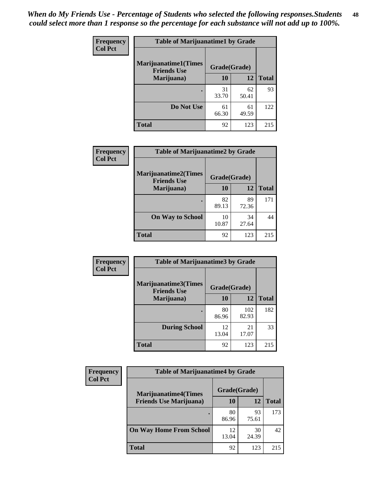| Frequency<br><b>Col Pct</b> | <b>Table of Marijuanatime1 by Grade</b>           |              |             |              |
|-----------------------------|---------------------------------------------------|--------------|-------------|--------------|
|                             | <b>Marijuanatime1(Times</b><br><b>Friends Use</b> | Grade(Grade) |             |              |
|                             | Marijuana)                                        | 10           | 12          | <b>Total</b> |
|                             |                                                   | 31<br>33.70  | 62<br>50.41 | 93           |
|                             | Do Not Use                                        | 61<br>66.30  | 61<br>49.59 | 122          |
|                             | <b>Total</b>                                      | 92           | 123         | 215          |

| <b>Frequency</b> | <b>Table of Marijuanatime2 by Grade</b>           |              |             |              |
|------------------|---------------------------------------------------|--------------|-------------|--------------|
| <b>Col Pct</b>   | <b>Marijuanatime2(Times</b><br><b>Friends Use</b> | Grade(Grade) |             |              |
|                  | Marijuana)                                        | 10           | 12          | <b>Total</b> |
|                  |                                                   | 82<br>89.13  | 89<br>72.36 | 171          |
|                  | <b>On Way to School</b>                           | 10<br>10.87  | 34<br>27.64 | 44           |
|                  | <b>Total</b>                                      | 92           | 123         | 215          |

| Frequency      | <b>Table of Marijuanatime3 by Grade</b>    |              |              |              |
|----------------|--------------------------------------------|--------------|--------------|--------------|
| <b>Col Pct</b> | Marijuanatime3(Times<br><b>Friends Use</b> | Grade(Grade) |              |              |
|                | Marijuana)                                 | 10           | 12           | <b>Total</b> |
|                |                                            | 80<br>86.96  | 102<br>82.93 | 182          |
|                | <b>During School</b>                       | 12.<br>13.04 | 21<br>17.07  | 33           |
|                | <b>Total</b>                               | 92           | 123          | 215          |

| <b>Frequency</b> | <b>Table of Marijuanatime4 by Grade</b> |              |             |              |
|------------------|-----------------------------------------|--------------|-------------|--------------|
| <b>Col Pct</b>   | <b>Marijuanatime4(Times</b>             | Grade(Grade) |             |              |
|                  | <b>Friends Use Marijuana</b> )          | 10           | 12          | <b>Total</b> |
|                  |                                         | 80<br>86.96  | 93<br>75.61 | 173          |
|                  | <b>On Way Home From School</b>          | 12<br>13.04  | 30<br>24.39 | 42           |
|                  | <b>Total</b>                            | 92           | 123         | 215          |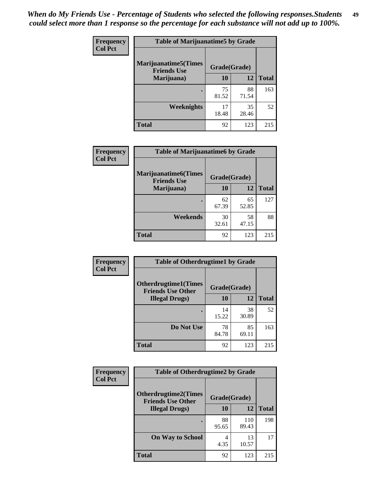| Frequency      | <b>Table of Marijuanatime5 by Grade</b>            |              |             |              |  |
|----------------|----------------------------------------------------|--------------|-------------|--------------|--|
| <b>Col Pct</b> | <b>Marijuanatime5</b> (Times<br><b>Friends Use</b> | Grade(Grade) |             |              |  |
|                | Marijuana)                                         | 10           | 12          | <b>Total</b> |  |
|                |                                                    | 75<br>81.52  | 88<br>71.54 | 163          |  |
|                | Weeknights                                         | 17<br>18.48  | 35<br>28.46 | 52           |  |
|                | <b>Total</b>                                       | 92           | 123         | 215          |  |

| Frequency      | <b>Table of Marijuanatime6 by Grade</b>            |              |             |              |
|----------------|----------------------------------------------------|--------------|-------------|--------------|
| <b>Col Pct</b> | <b>Marijuanatime6</b> (Times<br><b>Friends Use</b> | Grade(Grade) |             |              |
|                | Marijuana)                                         | 10           | 12          | <b>Total</b> |
|                |                                                    | 62<br>67.39  | 65<br>52.85 | 127          |
|                | Weekends                                           | 30<br>32.61  | 58<br>47.15 | 88           |
|                | <b>Total</b>                                       | 92           | 123         | 215          |

| <b>Frequency</b> | <b>Table of Otherdrugtime1 by Grade</b>                  |              |             |              |
|------------------|----------------------------------------------------------|--------------|-------------|--------------|
| <b>Col Pct</b>   | <b>Otherdrugtime1</b> (Times<br><b>Friends Use Other</b> | Grade(Grade) |             |              |
|                  | <b>Illegal Drugs</b> )                                   | 10           | 12          | <b>Total</b> |
|                  |                                                          | 14<br>15.22  | 38<br>30.89 | 52           |
|                  | Do Not Use                                               | 78<br>84.78  | 85<br>69.11 | 163          |
|                  | <b>Total</b>                                             | 92           | 123         | 215          |

| <b>Frequency</b><br><b>Col Pct</b> | <b>Table of Otherdrugtime2 by Grade</b>                 |              |              |              |  |
|------------------------------------|---------------------------------------------------------|--------------|--------------|--------------|--|
|                                    | <b>Otherdrugtime2(Times</b><br><b>Friends Use Other</b> | Grade(Grade) |              |              |  |
|                                    | <b>Illegal Drugs</b> )                                  | 10           | 12           | <b>Total</b> |  |
|                                    |                                                         | 88<br>95.65  | 110<br>89.43 | 198          |  |
|                                    | <b>On Way to School</b>                                 | 4<br>4.35    | 13<br>10.57  | 17           |  |
|                                    | Total                                                   | 92           | 123          | 215          |  |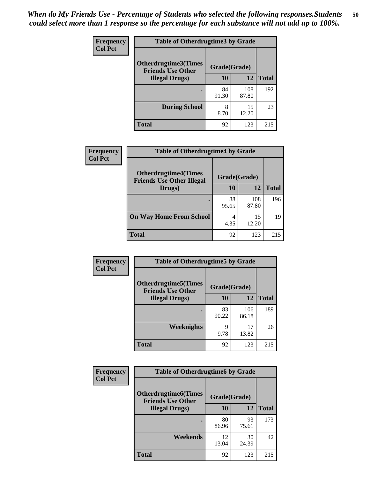| <b>Frequency</b> | <b>Table of Otherdrugtime3 by Grade</b>          |              |              |              |  |
|------------------|--------------------------------------------------|--------------|--------------|--------------|--|
| <b>Col Pct</b>   | Otherdrugtime3(Times<br><b>Friends Use Other</b> | Grade(Grade) |              |              |  |
|                  | <b>Illegal Drugs</b> )                           | 10           | 12           | <b>Total</b> |  |
|                  |                                                  | 84<br>91.30  | 108<br>87.80 | 192          |  |
|                  | <b>During School</b>                             | 8<br>8.70    | 15<br>12.20  | 23           |  |
|                  | Total                                            | 92           | 123          | 215          |  |

| <b>Frequency</b> | <b>Table of Otherdrugtime4 by Grade</b>                         |              |              |              |  |
|------------------|-----------------------------------------------------------------|--------------|--------------|--------------|--|
| <b>Col Pct</b>   | <b>Otherdrugtime4(Times</b><br><b>Friends Use Other Illegal</b> | Grade(Grade) |              |              |  |
|                  | Drugs)                                                          | 10           | 12           | <b>Total</b> |  |
|                  |                                                                 | 88<br>95.65  | 108<br>87.80 | 196          |  |
|                  | <b>On Way Home From School</b>                                  | 4<br>4.35    | 15<br>12.20  | 19           |  |
|                  | <b>Total</b>                                                    | 92           | 123          | 215          |  |

| <b>Frequency</b> | <b>Table of Otherdrugtime5 by Grade</b>                  |              |              |              |  |
|------------------|----------------------------------------------------------|--------------|--------------|--------------|--|
| <b>Col Pct</b>   | <b>Otherdrugtime5</b> (Times<br><b>Friends Use Other</b> | Grade(Grade) |              |              |  |
|                  | <b>Illegal Drugs</b> )                                   | 10           | 12           | <b>Total</b> |  |
|                  |                                                          | 83<br>90.22  | 106<br>86.18 | 189          |  |
|                  | Weeknights                                               | Q<br>9.78    | 17<br>13.82  | 26           |  |
|                  | Total                                                    | 92           | 123          | 215          |  |

| <b>Frequency</b> | <b>Table of Otherdrugtime6 by Grade</b>                 |              |             |              |  |
|------------------|---------------------------------------------------------|--------------|-------------|--------------|--|
| <b>Col Pct</b>   | <b>Otherdrugtime6(Times</b><br><b>Friends Use Other</b> | Grade(Grade) |             |              |  |
|                  | <b>Illegal Drugs</b> )                                  | 10           | 12          | <b>Total</b> |  |
|                  |                                                         | 80<br>86.96  | 93<br>75.61 | 173          |  |
|                  | Weekends                                                | 12<br>13.04  | 30<br>24.39 | 42           |  |
|                  | <b>Total</b>                                            | 92           | 123         | 215          |  |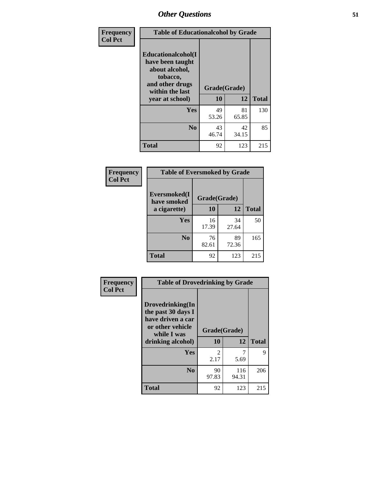| Frequency      | <b>Table of Educationalcohol by Grade</b>                                                                  |              |             |              |  |
|----------------|------------------------------------------------------------------------------------------------------------|--------------|-------------|--------------|--|
| <b>Col Pct</b> | Educationalcohol(I<br>have been taught<br>about alcohol,<br>tobacco,<br>and other drugs<br>within the last | Grade(Grade) |             |              |  |
|                | year at school)                                                                                            | 10           | 12          | <b>Total</b> |  |
|                | Yes                                                                                                        | 49<br>53.26  | 81<br>65.85 | 130          |  |
|                | N <sub>0</sub>                                                                                             | 43<br>46.74  | 42<br>34.15 | 85           |  |
|                | <b>Total</b>                                                                                               | 92           | 123         | 215          |  |

| Frequency      | <b>Table of Eversmoked by Grade</b> |              |             |              |  |  |
|----------------|-------------------------------------|--------------|-------------|--------------|--|--|
| <b>Col Pct</b> | Eversmoked(I<br>have smoked         | Grade(Grade) |             |              |  |  |
|                | a cigarette)                        | 10           | 12          | <b>Total</b> |  |  |
|                | <b>Yes</b>                          | 16<br>17.39  | 34<br>27.64 | 50           |  |  |
|                | N <sub>0</sub>                      | 76<br>82.61  | 89<br>72.36 | 165          |  |  |
|                | <b>Total</b>                        | 92           | 123         | 215          |  |  |

| Frequency<br><b>Col Pct</b> | <b>Table of Drovedrinking by Grade</b>                                                                              |                    |              |              |  |
|-----------------------------|---------------------------------------------------------------------------------------------------------------------|--------------------|--------------|--------------|--|
|                             | Drovedrinking(In<br>the past 30 days I<br>have driven a car<br>or other vehicle<br>while I was<br>drinking alcohol) | Grade(Grade)<br>10 | 12           | <b>Total</b> |  |
|                             | <b>Yes</b>                                                                                                          | 2<br>2.17          | 5.69         | 9            |  |
|                             | N <sub>0</sub>                                                                                                      | 90<br>97.83        | 116<br>94.31 | 206          |  |
|                             | <b>Total</b>                                                                                                        | 92                 | 123          | 215          |  |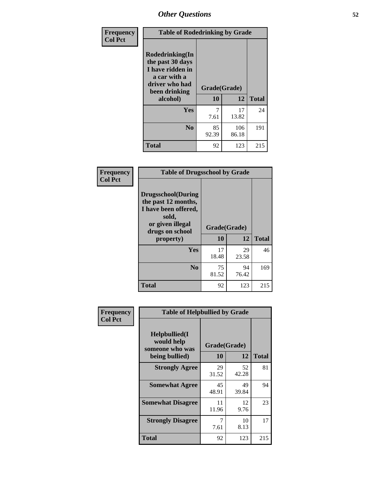| Frequency      | <b>Table of Rodedrinking by Grade</b>                                                                                      |             |              |              |  |
|----------------|----------------------------------------------------------------------------------------------------------------------------|-------------|--------------|--------------|--|
| <b>Col Pct</b> | Rodedrinking(In<br>the past 30 days<br>I have ridden in<br>a car with a<br>driver who had<br>Grade(Grade)<br>been drinking |             |              |              |  |
|                | alcohol)                                                                                                                   | 10          | 12           | <b>Total</b> |  |
|                | <b>Yes</b>                                                                                                                 | 7.61        | 17<br>13.82  | 24           |  |
|                | N <sub>0</sub>                                                                                                             | 85<br>92.39 | 106<br>86.18 | 191          |  |
|                | <b>Total</b>                                                                                                               | 92          | 123          | 215          |  |

### **Frequency Col Pct**

| <b>Table of Drugsschool by Grade</b>                                                                                      |              |             |              |  |  |
|---------------------------------------------------------------------------------------------------------------------------|--------------|-------------|--------------|--|--|
| <b>Drugsschool</b> (During<br>the past 12 months,<br>I have been offered,<br>sold,<br>or given illegal<br>drugs on school | Grade(Grade) |             |              |  |  |
| property)                                                                                                                 | 10           | 12          | <b>Total</b> |  |  |
| Yes                                                                                                                       | 17<br>18.48  | 29<br>23.58 | 46           |  |  |
| N <sub>0</sub>                                                                                                            | 75<br>81.52  | 94<br>76.42 | 169          |  |  |
| <b>Total</b>                                                                                                              | 92           | 123         | 215          |  |  |

| Frequency      | <b>Table of Helpbullied by Grade</b>                 |              |             |              |  |  |
|----------------|------------------------------------------------------|--------------|-------------|--------------|--|--|
| <b>Col Pct</b> | $Helpb$ ullied $(I$<br>would help<br>someone who was | Grade(Grade) |             |              |  |  |
|                | being bullied)                                       | 10           | 12          | <b>Total</b> |  |  |
|                | <b>Strongly Agree</b>                                | 29<br>31.52  | 52<br>42.28 | 81           |  |  |
|                | <b>Somewhat Agree</b>                                | 45<br>48.91  | 49<br>39.84 | 94           |  |  |
|                | <b>Somewhat Disagree</b>                             | 11<br>11.96  | 12<br>9.76  | 23           |  |  |
|                | <b>Strongly Disagree</b>                             | 7<br>7.61    | 10<br>8.13  | 17           |  |  |
|                | Total                                                | 92           | 123         | 215          |  |  |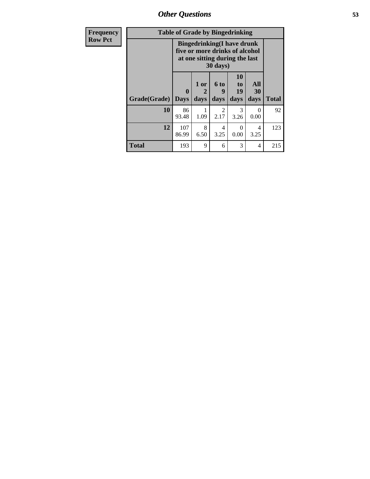| Frequency      | <b>Table of Grade by Bingedrinking</b> |                                                                                                                    |                              |                        |                        |                   |              |
|----------------|----------------------------------------|--------------------------------------------------------------------------------------------------------------------|------------------------------|------------------------|------------------------|-------------------|--------------|
| <b>Row Pct</b> |                                        | <b>Bingedrinking</b> (I have drunk<br>five or more drinks of alcohol<br>at one sitting during the last<br>30 days) |                              |                        |                        |                   |              |
|                | Grade(Grade)                           | $\mathbf{0}$<br><b>Days</b>                                                                                        | 1 or<br>$\mathbf{2}$<br>days | 6 to<br>g<br>days      | 10<br>to<br>19<br>days | All<br>30<br>days | <b>Total</b> |
|                | 10                                     | 86<br>93.48                                                                                                        | 1.09                         | $\mathfrak{D}$<br>2.17 | 3<br>3.26              | $\Omega$<br>0.00  | 92           |
|                | 12                                     | 107<br>86.99                                                                                                       | 8<br>6.50                    | 4<br>3.25              | 0<br>0.00              | 4<br>3.25         | 123          |
|                | <b>Total</b>                           | 193                                                                                                                | 9                            | 6                      | 3                      | 4                 | 215          |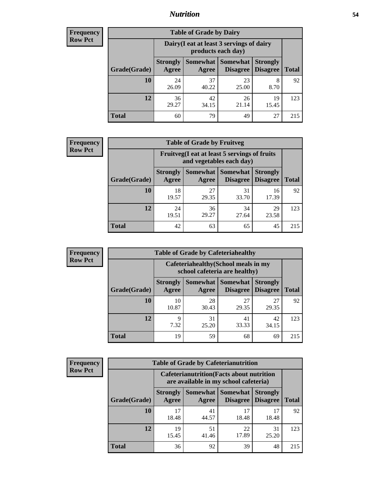## *Nutrition* **54**

| <b>Frequency</b><br>Row Pct |
|-----------------------------|
|                             |

| <b>Table of Grade by Dairy</b> |                          |                                                                 |                             |                                    |              |  |
|--------------------------------|--------------------------|-----------------------------------------------------------------|-----------------------------|------------------------------------|--------------|--|
|                                |                          | Dairy (I eat at least 3 servings of dairy<br>products each day) |                             |                                    |              |  |
| Grade(Grade)                   | <b>Strongly</b><br>Agree | Somewhat  <br>Agree                                             | <b>Somewhat</b><br>Disagree | <b>Strongly</b><br><b>Disagree</b> | <b>Total</b> |  |
| 10                             | 24<br>26.09              | 37<br>40.22                                                     | 23<br>25.00                 | 8<br>8.70                          | 92           |  |
| 12                             | 36<br>29.27              | 42<br>34.15                                                     | 26<br>21.14                 | 19<br>15.45                        | 123          |  |
| <b>Total</b>                   | 60                       | 79                                                              | 49                          | 27                                 | 215          |  |

| <b>Frequency</b> |  |
|------------------|--|
| <b>Row Pct</b>   |  |

| <b>Table of Grade by Fruitveg</b> |                          |                                                                          |                                        |                                    |              |  |
|-----------------------------------|--------------------------|--------------------------------------------------------------------------|----------------------------------------|------------------------------------|--------------|--|
|                                   |                          | Fruitveg(I eat at least 5 servings of fruits<br>and vegetables each day) |                                        |                                    |              |  |
| Grade(Grade)                      | <b>Strongly</b><br>Agree | Agree                                                                    | <b>Somewhat   Somewhat</b><br>Disagree | <b>Strongly</b><br><b>Disagree</b> | <b>Total</b> |  |
| 10                                | 18<br>19.57              | 27<br>29.35                                                              | 31<br>33.70                            | 16<br>17.39                        | 92           |  |
| 12                                | 24<br>19.51              | 36<br>29.27                                                              | 34<br>27.64                            | 29<br>23.58                        | 123          |  |
| <b>Total</b>                      | 42                       | 63                                                                       | 65                                     | 45                                 | 215          |  |

| <b>Frequency</b> |              | <b>Table of Grade by Cafeteriahealthy</b> |                                                                       |                                   |                                    |              |
|------------------|--------------|-------------------------------------------|-----------------------------------------------------------------------|-----------------------------------|------------------------------------|--------------|
| <b>Row Pct</b>   |              |                                           | Cafeteriahealthy (School meals in my<br>school cafeteria are healthy) |                                   |                                    |              |
|                  | Grade(Grade) | <b>Strongly</b><br>Agree                  | Agree                                                                 | Somewhat   Somewhat  <br>Disagree | <b>Strongly</b><br><b>Disagree</b> | <b>Total</b> |
|                  | 10           | 10<br>10.87                               | 28<br>30.43                                                           | 27<br>29.35                       | 27<br>29.35                        | 92           |
|                  | 12           | Q<br>7.32                                 | 31<br>25.20                                                           | 41<br>33.33                       | 42<br>34.15                        | 123          |
|                  | Total        | 19                                        | 59                                                                    | 68                                | 69                                 | 215          |

| <b>Frequency</b> |
|------------------|
| <b>Row Pct</b>   |

| <b>Table of Grade by Cafeterianutrition</b> |                          |                                                                                           |                             |                                    |              |  |
|---------------------------------------------|--------------------------|-------------------------------------------------------------------------------------------|-----------------------------|------------------------------------|--------------|--|
|                                             |                          | <b>Cafeterianutrition</b> (Facts about nutrition<br>are available in my school cafeteria) |                             |                                    |              |  |
| Grade(Grade)                                | <b>Strongly</b><br>Agree | Somewhat<br>Agree                                                                         | <b>Somewhat</b><br>Disagree | <b>Strongly</b><br><b>Disagree</b> | <b>Total</b> |  |
| 10                                          | 17<br>18.48              | 41<br>44.57                                                                               | 17<br>18.48                 | 17<br>18.48                        | 92           |  |
| 12                                          | 19<br>15.45              | 51<br>41.46                                                                               | 22<br>17.89                 | 31<br>25.20                        | 123          |  |
| <b>Total</b>                                | 36                       | 92                                                                                        | 39                          | 48                                 | 215          |  |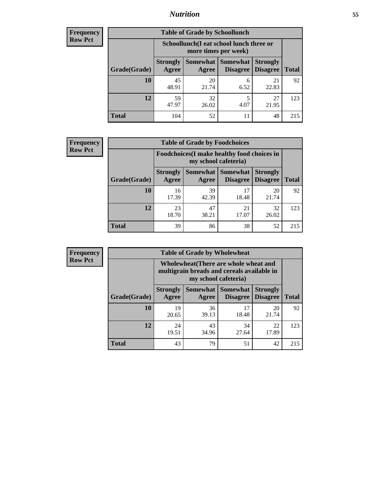## *Nutrition* **55**

| <b>Frequency</b> |
|------------------|
| <b>Row Pct</b>   |

| <b>Table of Grade by Schoollunch</b> |                          |                                                                 |                             |                                    |              |  |
|--------------------------------------|--------------------------|-----------------------------------------------------------------|-----------------------------|------------------------------------|--------------|--|
|                                      |                          | Schoollunch(I eat school lunch three or<br>more times per week) |                             |                                    |              |  |
| Grade(Grade)                         | <b>Strongly</b><br>Agree | Somewhat  <br>Agree                                             | <b>Somewhat</b><br>Disagree | <b>Strongly</b><br><b>Disagree</b> | <b>Total</b> |  |
| 10                                   | 45<br>48.91              | 20<br>21.74                                                     | 6<br>6.52                   | 21<br>22.83                        | 92           |  |
| 12                                   | 59<br>47.97              | 32<br>26.02                                                     | 5<br>4.07                   | 27<br>21.95                        | 123          |  |
| <b>Total</b>                         | 104                      | 52                                                              | 11                          | 48                                 | 215          |  |

| <b>Frequency</b> |  |
|------------------|--|
| <b>Row Pct</b>   |  |

| <b>Table of Grade by Foodchoices</b> |                          |                                                                     |                                               |                                    |              |  |
|--------------------------------------|--------------------------|---------------------------------------------------------------------|-----------------------------------------------|------------------------------------|--------------|--|
|                                      |                          | Foodchoices (I make healthy food choices in<br>my school cafeteria) |                                               |                                    |              |  |
| Grade(Grade)                         | <b>Strongly</b><br>Agree | Agree                                                               | <b>Somewhat   Somewhat</b><br><b>Disagree</b> | <b>Strongly</b><br><b>Disagree</b> | <b>Total</b> |  |
| 10                                   | 16<br>17.39              | 39<br>42.39                                                         | 17<br>18.48                                   | 20<br>21.74                        | 92           |  |
| 12                                   | 23<br>18.70              | 47<br>38.21                                                         | 21<br>17.07                                   | 32<br>26.02                        | 123          |  |
| <b>Total</b>                         | 39                       | 86                                                                  | 38                                            | 52                                 | 215          |  |

| <b>Frequency</b><br>Row Pct |
|-----------------------------|
|                             |

п

| <b>Table of Grade by Wholewheat</b> |                                                                                                             |             |                                             |                                    |              |  |
|-------------------------------------|-------------------------------------------------------------------------------------------------------------|-------------|---------------------------------------------|------------------------------------|--------------|--|
|                                     | Wholewheat (There are whole wheat and<br>multigrain breads and cereals available in<br>my school cafeteria) |             |                                             |                                    |              |  |
| Grade(Grade)                        | <b>Strongly</b><br>Agree                                                                                    | Agree       | <b>Somewhat Somewhat</b><br><b>Disagree</b> | <b>Strongly</b><br><b>Disagree</b> | <b>Total</b> |  |
| 10                                  | 19<br>20.65                                                                                                 | 36<br>39.13 | 17<br>18.48                                 | 20<br>21.74                        | 92           |  |
| 12                                  | 24<br>19.51                                                                                                 | 43<br>34.96 | 34<br>27.64                                 | 22<br>17.89                        | 123          |  |
| <b>Total</b>                        | 43                                                                                                          | 79          | 51                                          | 42                                 | 215          |  |

E.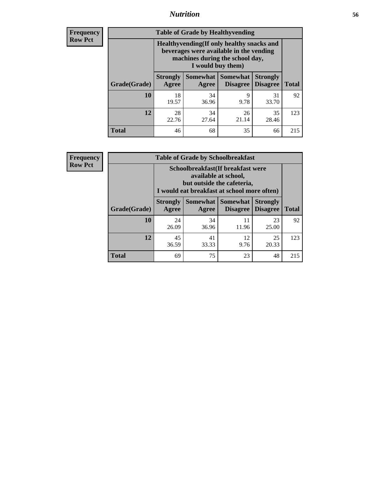## *Nutrition* **56**

**Frequency Row Pct**

| <b>Table of Grade by Healthyvending</b> |                                                                                                                                               |                          |                                    |                                    |              |  |
|-----------------------------------------|-----------------------------------------------------------------------------------------------------------------------------------------------|--------------------------|------------------------------------|------------------------------------|--------------|--|
|                                         | Healthyvending (If only healthy snacks and<br>beverages were available in the vending<br>machines during the school day,<br>I would buy them) |                          |                                    |                                    |              |  |
| Grade(Grade)                            | <b>Strongly</b><br>Agree                                                                                                                      | <b>Somewhat</b><br>Agree | <b>Somewhat</b><br><b>Disagree</b> | <b>Strongly</b><br><b>Disagree</b> | <b>Total</b> |  |
| 10                                      | 18<br>19.57                                                                                                                                   | 34<br>36.96              | 9<br>9.78                          | 31<br>33.70                        | 92           |  |
| 12                                      | 28<br>22.76                                                                                                                                   | 34<br>27.64              | 26<br>21.14                        | 35<br>28.46                        | 123          |  |
| <b>Total</b>                            | 46                                                                                                                                            | 68                       | 35                                 | 66                                 | 215          |  |

**Frequency Row Pct**

| <b>Table of Grade by Schoolbreakfast</b> |                                                                                                                                        |             |                     |                                        |              |  |
|------------------------------------------|----------------------------------------------------------------------------------------------------------------------------------------|-------------|---------------------|----------------------------------------|--------------|--|
|                                          | Schoolbreakfast(If breakfast were<br>available at school,<br>but outside the cafeteria,<br>I would eat breakfast at school more often) |             |                     |                                        |              |  |
| Grade(Grade)                             | <b>Strongly</b><br>Agree                                                                                                               | Agree       | Somewhat   Somewhat | <b>Strongly</b><br>Disagree   Disagree | <b>Total</b> |  |
| 10                                       | 24<br>26.09                                                                                                                            | 34<br>36.96 | 11<br>11.96         | 23<br>25.00                            | 92           |  |
| 12                                       | 45<br>36.59                                                                                                                            | 41<br>33.33 | 12<br>9.76          | 25<br>20.33                            | 123          |  |
| <b>Total</b>                             | 69                                                                                                                                     | 75          | 23                  | 48                                     | 215          |  |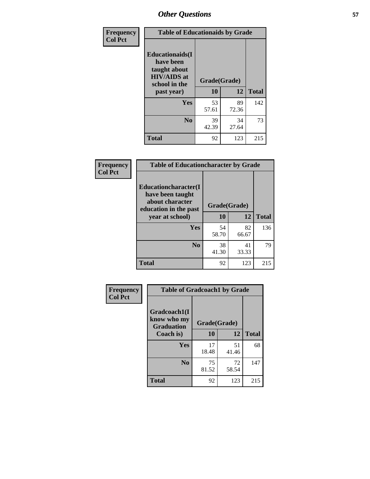| Frequency<br><b>Col Pct</b> | <b>Table of Educationaids by Grade</b>                                                                    |                    |             |              |
|-----------------------------|-----------------------------------------------------------------------------------------------------------|--------------------|-------------|--------------|
|                             | <b>Educationaids</b> (I<br>have been<br>taught about<br><b>HIV/AIDS</b> at<br>school in the<br>past year) | Grade(Grade)<br>10 | 12          | <b>Total</b> |
|                             | Yes                                                                                                       | 53<br>57.61        | 89<br>72.36 | 142          |
|                             | N <sub>0</sub>                                                                                            | 39<br>42.39        | 34<br>27.64 | 73           |
|                             | <b>Total</b>                                                                                              | 92                 | 123         | 215          |

| Frequency      | <b>Table of Educationcharacter by Grade</b>                                                  |              |             |              |
|----------------|----------------------------------------------------------------------------------------------|--------------|-------------|--------------|
| <b>Col Pct</b> | <b>Educationcharacter(I)</b><br>have been taught<br>about character<br>education in the past | Grade(Grade) |             |              |
|                | year at school)                                                                              | 10           | 12          | <b>Total</b> |
|                | Yes                                                                                          | 54<br>58.70  | 82<br>66.67 | 136          |
|                | N <sub>0</sub>                                                                               | 38<br>41.30  | 41<br>33.33 | 79           |
|                | <b>Total</b>                                                                                 | 92           | 123         | 215          |

| Frequency      | <b>Table of Gradcoach1 by Grade</b>              |              |             |              |
|----------------|--------------------------------------------------|--------------|-------------|--------------|
| <b>Col Pct</b> | Gradcoach1(I<br>know who my<br><b>Graduation</b> | Grade(Grade) |             |              |
|                | Coach is)                                        | 10           | 12          | <b>Total</b> |
|                | Yes                                              | 17<br>18.48  | 51<br>41.46 | 68           |
|                | N <sub>0</sub>                                   | 75<br>81.52  | 72<br>58.54 | 147          |
|                | <b>Total</b>                                     | 92           | 123         | 215          |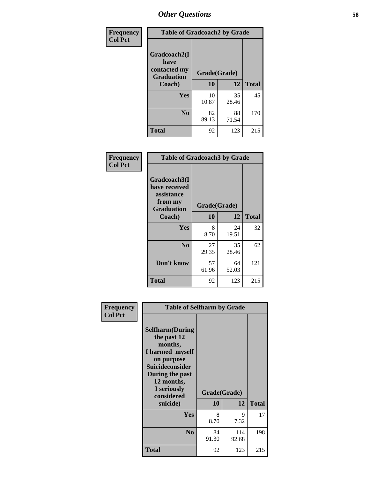| Frequency      | <b>Table of Gradcoach2 by Grade</b> |              |             |              |
|----------------|-------------------------------------|--------------|-------------|--------------|
| <b>Col Pct</b> | Gradcoach2(I<br>have                |              |             |              |
|                | contacted my<br><b>Graduation</b>   | Grade(Grade) |             |              |
|                | Coach)                              | 10           | 12          | <b>Total</b> |
|                | Yes                                 | 10<br>10.87  | 35<br>28.46 | 45           |
|                | N <sub>0</sub>                      | 82<br>89.13  | 88<br>71.54 | 170          |
|                | <b>Total</b>                        | 92           | 123         | 215          |

| <b>Frequency</b><br><b>Col Pct</b> | <b>Table of Gradcoach3 by Grade</b>                                         |              |             |              |
|------------------------------------|-----------------------------------------------------------------------------|--------------|-------------|--------------|
|                                    | Gradcoach3(I<br>have received<br>assistance<br>from my<br><b>Graduation</b> | Grade(Grade) |             |              |
|                                    | Coach)                                                                      | 10           | 12          | <b>Total</b> |
|                                    | Yes                                                                         | 8<br>8.70    | 24<br>19.51 | 32           |
|                                    | N <sub>0</sub>                                                              | 27<br>29.35  | 35<br>28.46 | 62           |
|                                    | Don't know                                                                  | 57<br>61.96  | 64<br>52.03 | 121          |
|                                    | <b>Total</b>                                                                | 92           | 123         | 215          |

| Frequency      | <b>Table of Selfharm by Grade</b>                                                                                                                            |              |              |              |
|----------------|--------------------------------------------------------------------------------------------------------------------------------------------------------------|--------------|--------------|--------------|
| <b>Col Pct</b> | <b>Selfharm</b> (During<br>the past 12<br>months,<br>I harmed myself<br>on purpose<br><b>Suicideconsider</b><br>During the past<br>12 months,<br>I seriously |              |              |              |
|                | considered                                                                                                                                                   | Grade(Grade) |              |              |
|                | suicide)                                                                                                                                                     | 10           | 12           | <b>Total</b> |
|                | Yes                                                                                                                                                          | 8<br>8.70    | 9<br>7.32    | 17           |
|                | N <sub>0</sub>                                                                                                                                               | 84<br>91.30  | 114<br>92.68 | 198          |
|                | Total                                                                                                                                                        | 92           | 123          | 215          |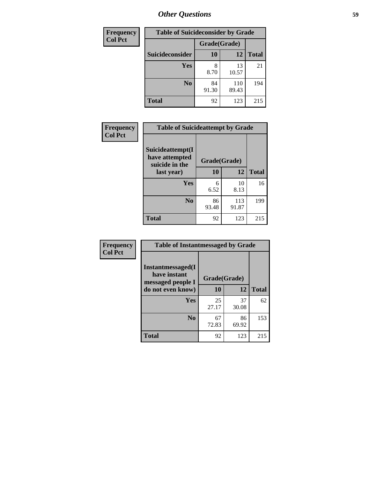| <b>Frequency</b> | <b>Table of Suicideconsider by Grade</b> |              |              |              |
|------------------|------------------------------------------|--------------|--------------|--------------|
| <b>Col Pct</b>   |                                          | Grade(Grade) |              |              |
|                  | Suicideconsider                          | <b>10</b>    | 12           | <b>Total</b> |
|                  | Yes                                      | 8<br>8.70    | 13<br>10.57  | 21           |
|                  | N <sub>0</sub>                           | 84<br>91.30  | 110<br>89.43 | 194          |
|                  | <b>Total</b>                             | 92           | 123          | 215          |

| Frequency      | <b>Table of Suicideattempt by Grade</b>                            |              |              |              |
|----------------|--------------------------------------------------------------------|--------------|--------------|--------------|
| <b>Col Pct</b> | Suicideattempt(I<br>have attempted<br>suicide in the<br>last year) | Grade(Grade) |              |              |
|                |                                                                    | 10           | 12           | <b>Total</b> |
|                | Yes                                                                | 6<br>6.52    | 10<br>8.13   | 16           |
|                | $\bf No$                                                           | 86<br>93.48  | 113<br>91.87 | 199          |
|                | <b>Total</b>                                                       | 92           | 123          | 215          |

| Frequency      | <b>Table of Instantmessaged by Grade</b>               |              |             |              |
|----------------|--------------------------------------------------------|--------------|-------------|--------------|
| <b>Col Pct</b> | Instantmessaged(I<br>have instant<br>messaged people I | Grade(Grade) |             |              |
|                | do not even know)                                      | 10           | 12          | <b>Total</b> |
|                | Yes                                                    | 25<br>27.17  | 37<br>30.08 | 62           |
|                | N <sub>0</sub>                                         | 67<br>72.83  | 86<br>69.92 | 153          |
|                | <b>Total</b>                                           | 92           | 123         | 215          |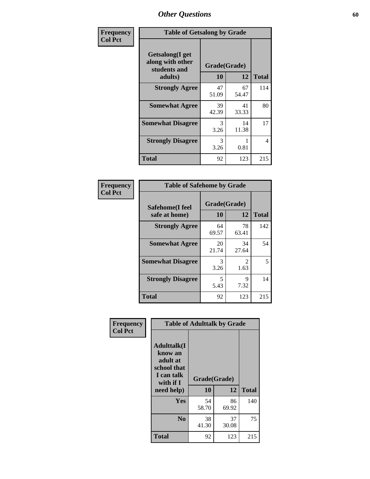| Frequency      | <b>Table of Getsalong by Grade</b>                          |             |              |              |  |  |  |
|----------------|-------------------------------------------------------------|-------------|--------------|--------------|--|--|--|
| <b>Col Pct</b> | <b>Getsalong</b> (I get<br>along with other<br>students and |             | Grade(Grade) |              |  |  |  |
|                | adults)                                                     | 10          | 12           | <b>Total</b> |  |  |  |
|                | <b>Strongly Agree</b>                                       | 47<br>51.09 | 67<br>54.47  | 114          |  |  |  |
|                | <b>Somewhat Agree</b>                                       | 39<br>42.39 | 41<br>33.33  | 80           |  |  |  |
|                | <b>Somewhat Disagree</b>                                    | 3<br>3.26   | 14<br>11.38  | 17           |  |  |  |
|                | <b>Strongly Disagree</b>                                    | 3<br>3.26   | 0.81         | 4            |  |  |  |
|                | <b>Total</b>                                                | 92          | 123          | 215          |  |  |  |

| Frequency      |                                  | <b>Table of Safehome by Grade</b> |                        |              |  |  |  |
|----------------|----------------------------------|-----------------------------------|------------------------|--------------|--|--|--|
| <b>Col Pct</b> | Safehome(I feel<br>safe at home) | Grade(Grade)<br>10                | 12                     | <b>Total</b> |  |  |  |
|                | <b>Strongly Agree</b>            | 64<br>69.57                       | 78<br>63.41            | 142          |  |  |  |
|                | <b>Somewhat Agree</b>            | 20<br>21.74                       | 34<br>27.64            | 54           |  |  |  |
|                | <b>Somewhat Disagree</b>         | 3<br>3.26                         | $\mathfrak{D}$<br>1.63 | 5            |  |  |  |
|                | <b>Strongly Disagree</b>         | 5<br>5.43                         | 9<br>7.32              | 14           |  |  |  |
|                | <b>Total</b>                     | 92                                | 123                    | 215          |  |  |  |

| Frequency      |                                                                                     | <b>Table of Adulttalk by Grade</b> |             |              |
|----------------|-------------------------------------------------------------------------------------|------------------------------------|-------------|--------------|
| <b>Col Pct</b> | <b>Adulttalk(I</b><br>know an<br>adult at<br>school that<br>I can talk<br>with if I | Grade(Grade)<br>10                 | 12          | <b>Total</b> |
|                | need help)                                                                          |                                    |             |              |
|                | <b>Yes</b>                                                                          | 54<br>58.70                        | 86<br>69.92 | 140          |
|                | N <sub>0</sub>                                                                      | 38<br>41.30                        | 37<br>30.08 | 75           |
|                | <b>Total</b>                                                                        | 92                                 | 123         | 215          |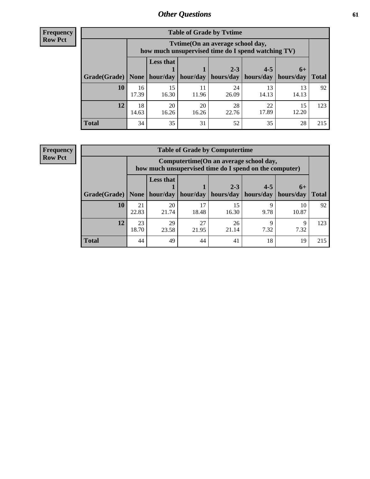**Frequency Row Pct**

| <b>Table of Grade by Tytime</b> |             |                                                                                        |             |             |             |             |              |  |  |  |
|---------------------------------|-------------|----------------------------------------------------------------------------------------|-------------|-------------|-------------|-------------|--------------|--|--|--|
|                                 |             | Tvtime(On an average school day,<br>how much unsupervised time do I spend watching TV) |             |             |             |             |              |  |  |  |
|                                 |             | <b>Less that</b>                                                                       |             | $2 - 3$     | $4 - 5$     | $6+$        |              |  |  |  |
| Grade(Grade)   None             |             | hour/day                                                                               | hour/day    | hours/day   | hours/day   | hours/day   | <b>Total</b> |  |  |  |
| 10                              | 16<br>17.39 | 15<br>16.30                                                                            | 11<br>11.96 | 24<br>26.09 | 13<br>14.13 | 13<br>14.13 | 92           |  |  |  |
| 12                              | 18<br>14.63 | 20<br>16.26                                                                            | 20<br>16.26 | 28<br>22.76 | 22<br>17.89 | 15<br>12.20 | 123          |  |  |  |
| <b>Total</b>                    | 34          | 35                                                                                     | 31          | 52          | 35          | 28          | 215          |  |  |  |

**Frequency Row Pct**

| <b>Table of Grade by Computertime</b> |             |                                                                                                   |             |                      |                      |                   |              |  |  |  |
|---------------------------------------|-------------|---------------------------------------------------------------------------------------------------|-------------|----------------------|----------------------|-------------------|--------------|--|--|--|
|                                       |             | Computertime (On an average school day,<br>how much unsupervised time do I spend on the computer) |             |                      |                      |                   |              |  |  |  |
| Grade(Grade)                          | None        | <b>Less that</b><br>hour/day                                                                      | hour/day    | $2 - 3$<br>hours/day | $4 - 5$<br>hours/day | $6+$<br>hours/day | <b>Total</b> |  |  |  |
| 10                                    | 21<br>22.83 | 20<br>21.74                                                                                       | 17<br>18.48 | 15<br>16.30          | Q<br>9.78            | 10<br>10.87       | 92           |  |  |  |
| 12                                    | 23<br>18.70 | 29<br>27<br>26<br>Q<br>Q<br>7.32<br>7.32<br>23.58<br>21.95<br>21.14                               |             |                      |                      |                   |              |  |  |  |
| <b>Total</b>                          | 44          | 49                                                                                                | 44          | 41                   | 18                   | 19                | 215          |  |  |  |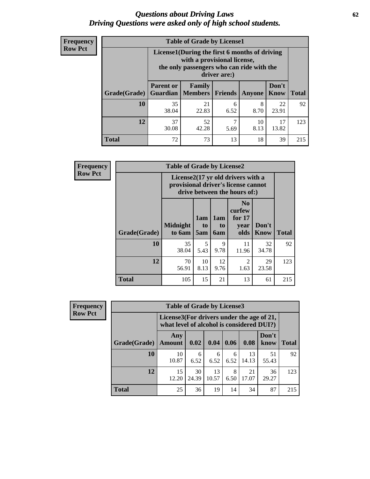## *Questions about Driving Laws* **62** *Driving Questions were asked only of high school students.*

| <b>Frequency</b> |
|------------------|
| <b>Row Pct</b>   |

| <b>Table of Grade by License1</b> |                                     |                                                                                                                                           |                |           |               |              |  |  |  |  |
|-----------------------------------|-------------------------------------|-------------------------------------------------------------------------------------------------------------------------------------------|----------------|-----------|---------------|--------------|--|--|--|--|
|                                   |                                     | License1(During the first 6 months of driving<br>with a provisional license,<br>the only passengers who can ride with the<br>driver are:) |                |           |               |              |  |  |  |  |
| Grade(Grade)                      | <b>Parent or</b><br><b>Guardian</b> | <b>Family</b><br><b>Members</b>                                                                                                           | <b>Friends</b> | Anyone    | Don't<br>Know | <b>Total</b> |  |  |  |  |
| 10                                | 35<br>38.04                         | 21<br>22.83                                                                                                                               | 6<br>6.52      | 8<br>8.70 | 22<br>23.91   | 92           |  |  |  |  |
| 12                                | 37<br>30.08                         | ℸ<br>52<br>17<br>10<br>42.28<br>13.82<br>8.13<br>5.69                                                                                     |                |           |               |              |  |  |  |  |
| <b>Total</b>                      | 72                                  | 73                                                                                                                                        | 13             | 18        | 39            | 215          |  |  |  |  |

| <b>Frequency</b> |              | <b>Table of Grade by License2</b> |                                                                                                          |                                     |                                                      |               |              |  |
|------------------|--------------|-----------------------------------|----------------------------------------------------------------------------------------------------------|-------------------------------------|------------------------------------------------------|---------------|--------------|--|
| <b>Row Pct</b>   |              |                                   | License2(17 yr old drivers with a<br>provisional driver's license cannot<br>drive between the hours of:) |                                     |                                                      |               |              |  |
|                  | Grade(Grade) | <b>Midnight</b><br>to 6am         | 1am<br>to<br>5am                                                                                         | 1am<br>t <sub>0</sub><br><b>6am</b> | N <sub>0</sub><br>curfew<br>for $17$<br>vear<br>olds | Don't<br>Know | <b>Total</b> |  |
|                  | 10           | 35<br>38.04                       | 5<br>5.43                                                                                                | 9<br>9.78                           | 11<br>11.96                                          | 32<br>34.78   | 92           |  |
|                  | 12           | 70<br>56.91                       | 10<br>8.13                                                                                               | 12<br>9.76                          | 2<br>1.63                                            | 29<br>23.58   | 123          |  |
|                  | <b>Total</b> | 105                               | 15                                                                                                       | 21                                  | 13                                                   | 61            | 215          |  |

| Frequency      |              | <b>Table of Grade by License3</b> |                                                                                        |             |           |             |               |              |  |  |
|----------------|--------------|-----------------------------------|----------------------------------------------------------------------------------------|-------------|-----------|-------------|---------------|--------------|--|--|
| <b>Row Pct</b> |              |                                   | License3(For drivers under the age of 21,<br>what level of alcohol is considered DUI?) |             |           |             |               |              |  |  |
|                | Grade(Grade) | Any<br><b>Amount</b>              | 0.02                                                                                   | 0.04        | 0.06      | 0.08        | Don't<br>know | <b>Total</b> |  |  |
|                | <b>10</b>    | 10<br>10.87                       | 6<br>6.52                                                                              | 6<br>6.52   | 6<br>6.52 | 13<br>14.13 | 51<br>55.43   | 92           |  |  |
|                | 12           | 15<br>12.20                       | 30<br>24.39                                                                            | 13<br>10.57 | 8<br>6.50 | 21<br>17.07 | 36<br>29.27   | 123          |  |  |
|                | <b>Total</b> | 25                                | 36                                                                                     | 19          | 14        | 34          | 87            | 215          |  |  |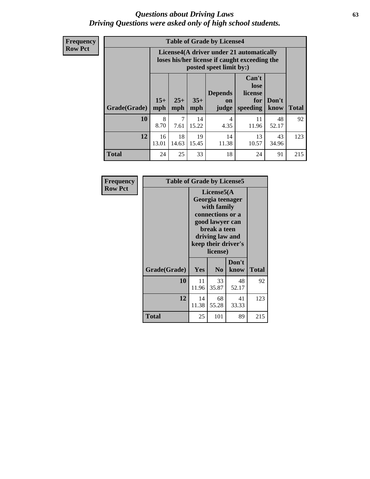## *Questions about Driving Laws* **63** *Driving Questions were asked only of high school students.*

**Frequency Row Pct**

| <b>Table of Grade by License4</b> |             |                                                                                                                                                                                                                                                                                |             |                        |             |             |     |  |  |
|-----------------------------------|-------------|--------------------------------------------------------------------------------------------------------------------------------------------------------------------------------------------------------------------------------------------------------------------------------|-------------|------------------------|-------------|-------------|-----|--|--|
|                                   |             | License4(A driver under 21 automatically<br>loses his/her license if caught exceeding the<br>posted speet limit by:)<br>Can't<br>lose<br><b>Depends</b><br>license<br>$15+$<br>$25+$<br>$35+$<br>Don't<br>for<br>on<br><b>Total</b><br>mph<br>speeding<br>know<br>mph<br>judge |             |                        |             |             |     |  |  |
| Grade(Grade)                      | mph         |                                                                                                                                                                                                                                                                                |             |                        |             |             |     |  |  |
| 10                                | 8<br>8.70   | 7<br>7.61                                                                                                                                                                                                                                                                      | 14<br>15.22 | $\overline{4}$<br>4.35 | 11<br>11.96 | 48<br>52.17 | 92  |  |  |
| 12                                | 16<br>13.01 | 19<br>18<br>14<br>13<br>43<br>11.38<br>10.57<br>34.96<br>14.63<br>15.45                                                                                                                                                                                                        |             |                        |             |             |     |  |  |
| <b>Total</b>                      | 24          | 25                                                                                                                                                                                                                                                                             | 33          | 18                     | 24          | 91          | 215 |  |  |

| Frequency      | <b>Table of Grade by License5</b> |             |                                                                                                                                      |                     |       |
|----------------|-----------------------------------|-------------|--------------------------------------------------------------------------------------------------------------------------------------|---------------------|-------|
| <b>Row Pct</b> |                                   |             | License5(A)<br>Georgia teenager<br>with family<br>connections or a<br>good lawyer can<br>break a teen<br>driving law and<br>license) | keep their driver's |       |
|                | Grade(Grade)                      | <b>Yes</b>  | N <sub>0</sub>                                                                                                                       | Don't<br>know       | Total |
|                | 10                                | 11<br>11.96 | 33<br>35.87                                                                                                                          | 48<br>52.17         | 92    |
|                | 12                                | 14<br>11.38 | 68<br>55.28                                                                                                                          | 41<br>33.33         | 123   |
|                | Total                             | 25          | 101                                                                                                                                  | 89                  | 215   |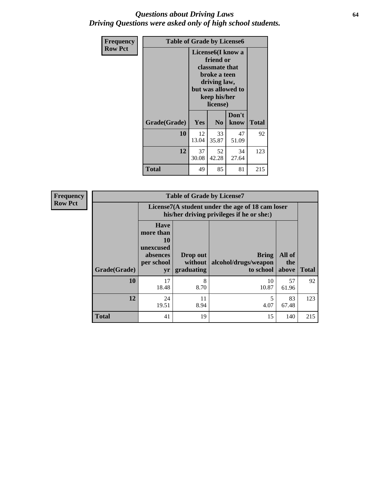## *Questions about Driving Laws* **64** *Driving Questions were asked only of high school students.*

| <b>Frequency</b> | <b>Table of Grade by License6</b> |                                                                                                                                                 |                |               |              |
|------------------|-----------------------------------|-------------------------------------------------------------------------------------------------------------------------------------------------|----------------|---------------|--------------|
| <b>Row Pct</b>   |                                   | License <sub>6</sub> (I know a<br>friend or<br>classmate that<br>broke a teen<br>driving law,<br>but was allowed to<br>keep his/her<br>license) |                |               |              |
|                  | Grade(Grade)                      | <b>Yes</b>                                                                                                                                      | N <sub>0</sub> | Don't<br>know | <b>Total</b> |
|                  | 10                                | 12<br>13.04                                                                                                                                     | 33<br>35.87    | 47<br>51.09   | 92           |
|                  | 12                                | 37<br>30.08                                                                                                                                     | 52<br>42.28    | 34<br>27.64   | 123          |
|                  | <b>Total</b>                      | 49                                                                                                                                              | 85             | 81            | 215          |

| <b>Frequency</b> | <b>Table of Grade by License7</b> |                                                                             |                                                                                               |                                                   |                        |              |  |
|------------------|-----------------------------------|-----------------------------------------------------------------------------|-----------------------------------------------------------------------------------------------|---------------------------------------------------|------------------------|--------------|--|
| <b>Row Pct</b>   |                                   |                                                                             | License7(A student under the age of 18 cam loser<br>his/her driving privileges if he or she:) |                                                   |                        |              |  |
|                  | Grade(Grade)                      | <b>Have</b><br>more than<br>10<br>unexcused<br>absences<br>per school<br>yr | Drop out<br>without  <br>graduating                                                           | <b>Bring</b><br>alcohol/drugs/weapon<br>to school | All of<br>the<br>above | <b>Total</b> |  |
|                  | 10                                | 17<br>18.48                                                                 | 8<br>8.70                                                                                     | 10<br>10.87                                       | 57<br>61.96            | 92           |  |
|                  | 12                                | 24<br>19.51                                                                 | 11<br>8.94                                                                                    | 5<br>4.07                                         | 83<br>67.48            | 123          |  |
|                  | <b>Total</b>                      | 41                                                                          | 19                                                                                            | 15                                                | 140                    | 215          |  |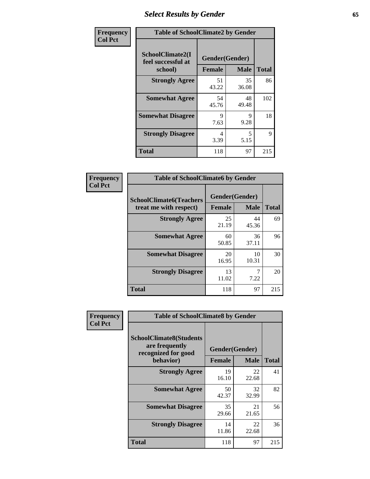# *Select Results by Gender* **65**

| Frequency      | <b>Table of SchoolClimate2 by Gender</b>          |                                 |             |              |
|----------------|---------------------------------------------------|---------------------------------|-------------|--------------|
| <b>Col Pct</b> | SchoolClimate2(I<br>feel successful at<br>school) | Gender(Gender)<br><b>Female</b> | <b>Male</b> | <b>Total</b> |
|                | <b>Strongly Agree</b>                             | 51<br>43.22                     | 35<br>36.08 | 86           |
|                | <b>Somewhat Agree</b>                             | 54<br>45.76                     | 48<br>49.48 | 102          |
|                | <b>Somewhat Disagree</b>                          | 9<br>7.63                       | 9<br>9.28   | 18           |
|                | <b>Strongly Disagree</b>                          | 4<br>3.39                       | 5<br>5.15   | 9            |
|                | <b>Total</b>                                      | 118                             | 97          | 215          |

| Frequency      | <b>Table of SchoolClimate6 by Gender</b>                 |                                 |             |              |  |
|----------------|----------------------------------------------------------|---------------------------------|-------------|--------------|--|
| <b>Col Pct</b> | <b>SchoolClimate6(Teachers</b><br>treat me with respect) | Gender(Gender)<br><b>Female</b> | <b>Male</b> | <b>Total</b> |  |
|                | <b>Strongly Agree</b>                                    | 25<br>21.19                     | 44<br>45.36 | 69           |  |
|                | <b>Somewhat Agree</b>                                    | 60<br>50.85                     | 36<br>37.11 | 96           |  |
|                | <b>Somewhat Disagree</b>                                 | 20<br>16.95                     | 10<br>10.31 | 30           |  |
|                | <b>Strongly Disagree</b>                                 | 13<br>11.02                     | 7.22        | 20           |  |
|                | <b>Total</b>                                             | 118                             | 97          | 215          |  |

| <b>Frequency</b> | <b>Table of SchoolClimate8 by Gender</b>                                             |                                 |                            |     |
|------------------|--------------------------------------------------------------------------------------|---------------------------------|----------------------------|-----|
| <b>Col Pct</b>   | <b>SchoolClimate8(Students</b><br>are frequently<br>recognized for good<br>behavior) | Gender(Gender)<br><b>Female</b> | <b>Total</b>               |     |
|                  | <b>Strongly Agree</b>                                                                | 19<br>16.10                     | <b>Male</b><br>22<br>22.68 | 41  |
|                  | <b>Somewhat Agree</b>                                                                | 50<br>42.37                     | 32<br>32.99                | 82  |
|                  | <b>Somewhat Disagree</b>                                                             | 35<br>29.66                     | 21<br>21.65                | 56  |
|                  | <b>Strongly Disagree</b>                                                             | 14<br>11.86                     | 22<br>22.68                | 36  |
|                  | Total                                                                                | 118                             | 97                         | 215 |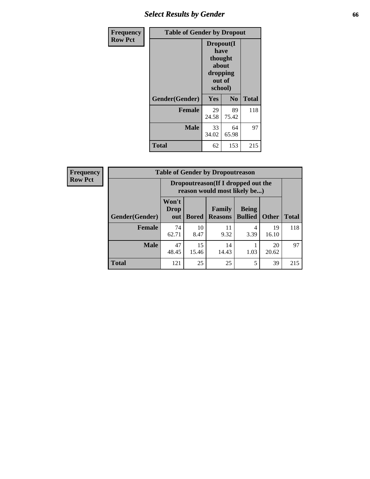# *Select Results by Gender* **66**

| <b>Frequency</b> | <b>Table of Gender by Dropout</b> |                                                                        |                |              |
|------------------|-----------------------------------|------------------------------------------------------------------------|----------------|--------------|
| <b>Row Pct</b>   |                                   | Dropout(I<br>have<br>thought<br>about<br>dropping<br>out of<br>school) |                |              |
|                  | Gender(Gender)                    | Yes                                                                    | N <sub>0</sub> | <b>Total</b> |
|                  | <b>Female</b>                     | 29<br>24.58                                                            | 89<br>75.42    | 118          |
|                  | <b>Male</b>                       | 33<br>34.02                                                            | 64<br>65.98    | 97           |
|                  | <b>Total</b>                      | 62                                                                     | 153            | 215          |

| <b>Frequency</b> | <b>Table of Gender by Dropoutreason</b> |                                                                    |              |                                 |                                |              |              |
|------------------|-----------------------------------------|--------------------------------------------------------------------|--------------|---------------------------------|--------------------------------|--------------|--------------|
| <b>Row Pct</b>   |                                         | Dropoutreason(If I dropped out the<br>reason would most likely be) |              |                                 |                                |              |              |
|                  | Gender(Gender)                          | Won't<br><b>Drop</b><br>out                                        | <b>Bored</b> | <b>Family</b><br><b>Reasons</b> | <b>Being</b><br><b>Bullied</b> | <b>Other</b> | <b>Total</b> |
|                  | <b>Female</b>                           | 74<br>62.71                                                        | 10<br>8.47   | 11<br>9.32                      | 4<br>3.39                      | 19<br>16.10  | 118          |
|                  | <b>Male</b>                             | 47<br>48.45                                                        | 15<br>15.46  | 14<br>14.43                     | 1.03                           | 20<br>20.62  | 97           |
|                  | <b>Total</b>                            | 121                                                                | 25           | 25                              | 5                              | 39           | 215          |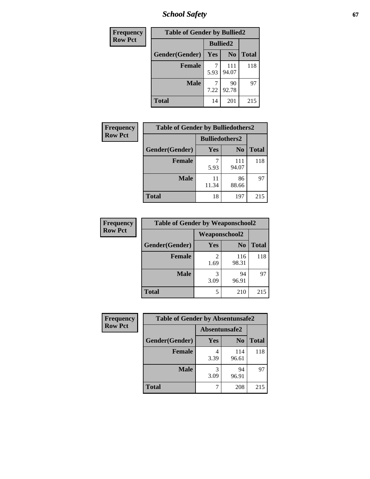*School Safety* **67**

| <b>Frequency</b> | <b>Table of Gender by Bullied2</b> |                 |                |              |
|------------------|------------------------------------|-----------------|----------------|--------------|
| <b>Row Pct</b>   |                                    | <b>Bullied2</b> |                |              |
|                  | Gender(Gender)                     | Yes             | N <sub>0</sub> | <b>Total</b> |
|                  | <b>Female</b>                      | 5.93            | 111<br>94.07   | 118          |
|                  | <b>Male</b>                        | 7.22            | 90<br>92.78    | 97           |
|                  | <b>Total</b>                       | 14              | 201            | 215          |

| Frequency      | <b>Table of Gender by Bulliedothers2</b> |                       |                |              |
|----------------|------------------------------------------|-----------------------|----------------|--------------|
| <b>Row Pct</b> |                                          | <b>Bulliedothers2</b> |                |              |
|                | Gender(Gender)                           | Yes                   | N <sub>0</sub> | <b>Total</b> |
|                | <b>Female</b>                            | 5.93                  | 111<br>94.07   | 118          |
|                | <b>Male</b>                              | 11<br>11.34           | 86<br>88.66    | 97           |
|                | <b>Total</b>                             | 18                    | 197            | 215          |

| Frequency      | <b>Table of Gender by Weaponschool2</b> |                      |                |              |
|----------------|-----------------------------------------|----------------------|----------------|--------------|
| <b>Row Pct</b> |                                         | <b>Weaponschool2</b> |                |              |
|                | Gender(Gender)                          | Yes                  | N <sub>0</sub> | <b>Total</b> |
|                | <b>Female</b>                           | 1.69                 | 116<br>98.31   | 118          |
|                | <b>Male</b>                             | 3<br>3.09            | 94<br>96.91    | 97           |
|                | <b>Total</b>                            | 5                    | 210            | 215          |

| Frequency      | <b>Table of Gender by Absentunsafe2</b> |               |                |              |
|----------------|-----------------------------------------|---------------|----------------|--------------|
| <b>Row Pct</b> |                                         | Absentunsafe2 |                |              |
|                | Gender(Gender)                          | Yes           | N <sub>0</sub> | <b>Total</b> |
|                | <b>Female</b>                           | 3.39          | 114<br>96.61   | 118          |
|                | <b>Male</b>                             | 3.09          | 94<br>96.91    | 97           |
|                | <b>Total</b>                            |               | 208            | 215          |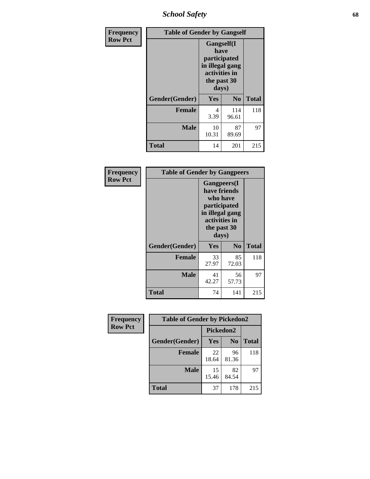*School Safety* **68**

| Frequency      | <b>Table of Gender by Gangself</b> |                                                                                                        |                |              |
|----------------|------------------------------------|--------------------------------------------------------------------------------------------------------|----------------|--------------|
| <b>Row Pct</b> |                                    | <b>Gangself</b> (I<br>have<br>participated<br>in illegal gang<br>activities in<br>the past 30<br>days) |                |              |
|                | Gender(Gender)                     | Yes                                                                                                    | N <sub>0</sub> | <b>Total</b> |
|                | <b>Female</b>                      | 4<br>3.39                                                                                              | 114<br>96.61   | 118          |
|                | <b>Male</b>                        | 10<br>10.31                                                                                            | 87<br>89.69    | 97           |
|                | <b>Total</b>                       | 14                                                                                                     | 201            | 215          |

| Frequency      | <b>Table of Gender by Gangpeers</b> |                                                                                                                             |                |              |  |
|----------------|-------------------------------------|-----------------------------------------------------------------------------------------------------------------------------|----------------|--------------|--|
| <b>Row Pct</b> |                                     | <b>Gangpeers</b> (I<br>have friends<br>who have<br>participated<br>in illegal gang<br>activities in<br>the past 30<br>days) |                |              |  |
|                | Gender(Gender)                      | <b>Yes</b>                                                                                                                  | N <sub>0</sub> | <b>Total</b> |  |
|                | <b>Female</b>                       | 33<br>27.97                                                                                                                 | 85<br>72.03    | 118          |  |
|                | <b>Male</b>                         | 41<br>42.27                                                                                                                 | 56<br>57.73    | 97           |  |
|                | <b>Total</b>                        | 74                                                                                                                          | 141            | 215          |  |

| Frequency      | <b>Table of Gender by Pickedon2</b> |             |                |              |
|----------------|-------------------------------------|-------------|----------------|--------------|
| <b>Row Pct</b> |                                     | Pickedon2   |                |              |
|                | Gender(Gender)                      | <b>Yes</b>  | N <sub>0</sub> | <b>Total</b> |
|                | <b>Female</b>                       | 22<br>18.64 | 96<br>81.36    | 118          |
|                | <b>Male</b>                         | 15<br>15.46 | 82<br>84.54    | 97           |
|                | <b>Total</b>                        | 37          | 178            | 215          |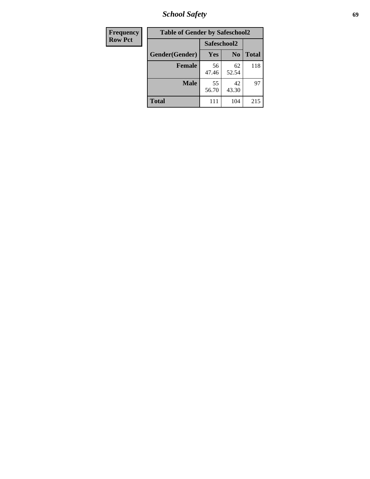*School Safety* **69**

| Frequency      | <b>Table of Gender by Safeschool2</b> |             |                |              |
|----------------|---------------------------------------|-------------|----------------|--------------|
| <b>Row Pct</b> |                                       | Safeschool2 |                |              |
|                | Gender(Gender)                        | Yes         | N <sub>0</sub> | <b>Total</b> |
|                | <b>Female</b>                         | 56<br>47.46 | 62<br>52.54    | 118          |
|                | <b>Male</b>                           | 55<br>56.70 | 42<br>43.30    | 97           |
|                | <b>Total</b>                          | 111         | 104            | 215          |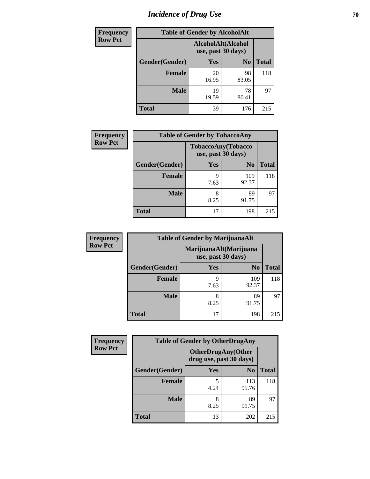# *Incidence of Drug Use* **70**

| <b>Frequency</b> |                | <b>Table of Gender by AlcoholAlt</b>     |                |              |
|------------------|----------------|------------------------------------------|----------------|--------------|
| <b>Row Pct</b>   |                | AlcoholAlt(Alcohol<br>use, past 30 days) |                |              |
|                  | Gender(Gender) | Yes                                      | N <sub>0</sub> | <b>Total</b> |
|                  | <b>Female</b>  | 20<br>16.95                              | 98<br>83.05    | 118          |
|                  | <b>Male</b>    | 19<br>19.59                              | 78<br>80.41    | 97           |
|                  | <b>Total</b>   | 39                                       | 176            | 215          |

| <b>Frequency</b> | <b>Table of Gender by TobaccoAny</b> |                    |                    |              |  |
|------------------|--------------------------------------|--------------------|--------------------|--------------|--|
| <b>Row Pct</b>   |                                      | use, past 30 days) | TobaccoAny(Tobacco |              |  |
|                  | Gender(Gender)                       | Yes                | N <sub>0</sub>     | <b>Total</b> |  |
|                  | <b>Female</b>                        | 9<br>7.63          | 109<br>92.37       | 118          |  |
|                  | Male                                 | 8<br>8.25          | 89<br>91.75        | 97           |  |
|                  | <b>Total</b>                         | 17                 | 198                | 215          |  |

| <b>Frequency</b> | <b>Table of Gender by MarijuanaAlt</b> |                                              |                |              |
|------------------|----------------------------------------|----------------------------------------------|----------------|--------------|
| <b>Row Pct</b>   |                                        | MarijuanaAlt(Marijuana<br>use, past 30 days) |                |              |
|                  | Gender(Gender)                         | Yes                                          | N <sub>0</sub> | <b>Total</b> |
|                  | Female                                 | 9<br>7.63                                    | 109<br>92.37   | 118          |
|                  | <b>Male</b>                            | 8<br>8.25                                    | 89<br>91.75    | 97           |
|                  | <b>Total</b>                           | 17                                           | 198            | 215          |

| <b>Frequency</b> | <b>Table of Gender by OtherDrugAny</b> |                                                      |                |              |
|------------------|----------------------------------------|------------------------------------------------------|----------------|--------------|
| <b>Row Pct</b>   |                                        | <b>OtherDrugAny(Other</b><br>drug use, past 30 days) |                |              |
|                  | Gender(Gender)                         | <b>Yes</b>                                           | N <sub>0</sub> | <b>Total</b> |
|                  | <b>Female</b>                          | 4.24                                                 | 113<br>95.76   | 118          |
|                  | <b>Male</b>                            | 8<br>8.25                                            | 89<br>91.75    | 97           |
|                  | <b>Total</b>                           | 13                                                   | 202            | 215          |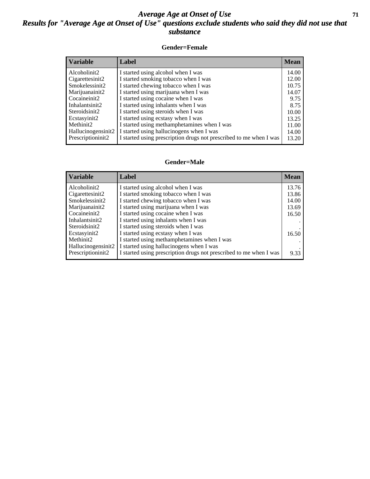## *Average Age at Onset of Use* **71** *Results for "Average Age at Onset of Use" questions exclude students who said they did not use that substance*

## **Gender=Female**

| <i><b>Variable</b></i> | <b>Label</b>                                                       | <b>Mean</b> |
|------------------------|--------------------------------------------------------------------|-------------|
| Alcoholinit2           | I started using alcohol when I was                                 | 14.00       |
| Cigarettesinit2        | I started smoking tobacco when I was                               | 12.00       |
| Smokelessinit2         | I started chewing tobacco when I was                               | 10.75       |
| Marijuanainit2         | I started using marijuana when I was                               | 14.07       |
| Cocaineinit2           | I started using cocaine when I was                                 | 9.75        |
| Inhalantsinit2         | I started using inhalants when I was                               | 8.75        |
| Steroidsinit2          | I started using steroids when I was                                | 10.00       |
| Ecstasyinit2           | I started using ecstasy when I was                                 | 13.25       |
| Methinit2              | I started using methamphetamines when I was                        | 11.00       |
| Hallucinogensinit2     | I started using hallucinogens when I was                           | 14.00       |
| Prescription in t2     | I started using prescription drugs not prescribed to me when I was | 13.20       |

### **Gender=Male**

| <b>Variable</b>    | Label                                                              | <b>Mean</b> |
|--------------------|--------------------------------------------------------------------|-------------|
| Alcoholinit2       | I started using alcohol when I was                                 | 13.76       |
| Cigarettesinit2    | I started smoking tobacco when I was                               | 13.86       |
| Smokelessinit2     | I started chewing tobacco when I was                               | 14.00       |
| Marijuanainit2     | I started using marijuana when I was                               | 13.69       |
| Cocaineinit2       | I started using cocaine when I was                                 | 16.50       |
| Inhalantsinit2     | I started using inhalants when I was                               |             |
| Steroidsinit2      | I started using steroids when I was                                |             |
| Ecstasyinit2       | I started using ecstasy when I was                                 | 16.50       |
| Methinit2          | I started using methamphetamines when I was                        |             |
| Hallucinogensinit2 | I started using hallucinogens when I was                           |             |
| Prescriptioninit2  | I started using prescription drugs not prescribed to me when I was | 9.33        |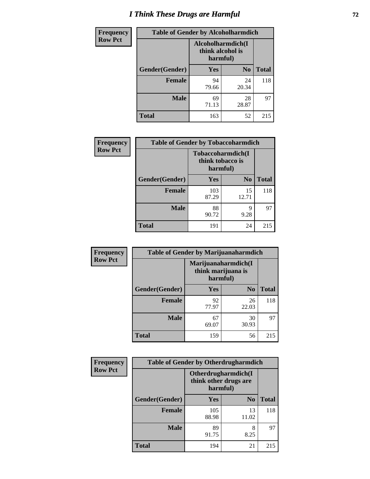# *I Think These Drugs are Harmful* **72**

| <b>Frequency</b> | <b>Table of Gender by Alcoholharmdich</b> |                                                   |                |              |
|------------------|-------------------------------------------|---------------------------------------------------|----------------|--------------|
| <b>Row Pct</b>   |                                           | Alcoholharmdich(I<br>think alcohol is<br>harmful) |                |              |
|                  | Gender(Gender)                            | Yes                                               | N <sub>0</sub> | <b>Total</b> |
|                  | Female                                    | 94<br>79.66                                       | 24<br>20.34    | 118          |
|                  | <b>Male</b>                               | 69<br>71.13                                       | 28<br>28.87    | 97           |
|                  | <b>Total</b>                              | 163                                               | 52             | 215          |

| Frequency      | <b>Table of Gender by Tobaccoharmdich</b> |                              |                   |              |
|----------------|-------------------------------------------|------------------------------|-------------------|--------------|
| <b>Row Pct</b> |                                           | think tobacco is<br>harmful) | Tobaccoharmdich(I |              |
|                | Gender(Gender)                            | <b>Yes</b>                   | N <sub>0</sub>    | <b>Total</b> |
|                | <b>Female</b>                             | 103<br>87.29                 | 15<br>12.71       | 118          |
|                | <b>Male</b>                               | 88<br>90.72                  | 9<br>9.28         | 97           |
|                | <b>Total</b>                              | 191                          | 24                | 215          |

| Frequency      | <b>Table of Gender by Marijuanaharmdich</b> |                                |                     |              |  |
|----------------|---------------------------------------------|--------------------------------|---------------------|--------------|--|
| <b>Row Pct</b> |                                             | think marijuana is<br>harmful) | Marijuanaharmdich(I |              |  |
|                | Gender(Gender)                              | <b>Yes</b>                     | N <sub>0</sub>      | <b>Total</b> |  |
|                | <b>Female</b>                               | 92<br>77.97                    | 26<br>22.03         | 118          |  |
|                | <b>Male</b>                                 | 67<br>69.07                    | 30<br>30.93         | 97           |  |
|                | <b>Total</b>                                | 159                            | 56                  | 215          |  |

| Frequency      | <b>Table of Gender by Otherdrugharmdich</b> |                                                          |                |              |
|----------------|---------------------------------------------|----------------------------------------------------------|----------------|--------------|
| <b>Row Pct</b> |                                             | Otherdrugharmdich(I<br>think other drugs are<br>harmful) |                |              |
|                | Gender(Gender)                              | <b>Yes</b>                                               | N <sub>0</sub> | <b>Total</b> |
|                | <b>Female</b>                               | 105<br>88.98                                             | 13<br>11.02    | 118          |
|                | <b>Male</b>                                 | 89<br>91.75                                              | 8<br>8.25      | 97           |
|                | <b>Total</b>                                | 194                                                      | 21             | 215          |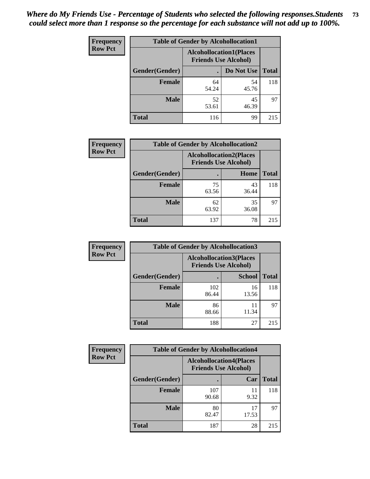| <b>Frequency</b> | <b>Table of Gender by Alcohollocation1</b> |             |                                                               |              |
|------------------|--------------------------------------------|-------------|---------------------------------------------------------------|--------------|
| <b>Row Pct</b>   |                                            |             | <b>Alcohollocation1(Places</b><br><b>Friends Use Alcohol)</b> |              |
|                  | Gender(Gender)                             |             | Do Not Use                                                    | <b>Total</b> |
|                  | <b>Female</b>                              | 64<br>54.24 | 54<br>45.76                                                   | 118          |
|                  | <b>Male</b>                                | 52<br>53.61 | 45<br>46.39                                                   | 97           |
|                  | <b>Total</b>                               | 116         | 99                                                            | 215          |

| <b>Frequency</b> |                | <b>Table of Gender by Alcohollocation2</b> |                                                               |              |
|------------------|----------------|--------------------------------------------|---------------------------------------------------------------|--------------|
| <b>Row Pct</b>   |                |                                            | <b>Alcohollocation2(Places</b><br><b>Friends Use Alcohol)</b> |              |
|                  | Gender(Gender) |                                            | Home                                                          | <b>Total</b> |
|                  | <b>Female</b>  | 75<br>63.56                                | 43<br>36.44                                                   | 118          |
|                  | <b>Male</b>    | 62<br>63.92                                | 35<br>36.08                                                   | 97           |
|                  | <b>Total</b>   | 137                                        | 78                                                            | 215          |

| Frequency      | <b>Table of Gender by Alcohollocation3</b> |                                                               |               |              |
|----------------|--------------------------------------------|---------------------------------------------------------------|---------------|--------------|
| <b>Row Pct</b> |                                            | <b>Alcohollocation3(Places</b><br><b>Friends Use Alcohol)</b> |               |              |
|                | Gender(Gender)                             |                                                               | <b>School</b> | <b>Total</b> |
|                | <b>Female</b>                              | 102<br>86.44                                                  | 16<br>13.56   | 118          |
|                | <b>Male</b>                                | 86<br>88.66                                                   | 11<br>11.34   | 97           |
|                | <b>Total</b>                               | 188                                                           | 27            | 215          |

| <b>Frequency</b> | <b>Table of Gender by Alcohollocation4</b> |                                                               |             |              |
|------------------|--------------------------------------------|---------------------------------------------------------------|-------------|--------------|
| <b>Row Pct</b>   |                                            | <b>Alcohollocation4(Places</b><br><b>Friends Use Alcohol)</b> |             |              |
|                  | Gender(Gender)                             |                                                               | Car         | <b>Total</b> |
|                  | <b>Female</b>                              | 107<br>90.68                                                  | 11<br>9.32  | 118          |
|                  | <b>Male</b>                                | 80<br>82.47                                                   | 17<br>17.53 | 97           |
|                  | <b>Total</b>                               | 187                                                           | 28          | 215          |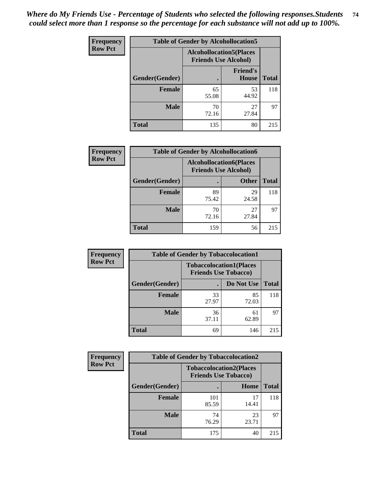| <b>Frequency</b> | <b>Table of Gender by Alcohollocation5</b> |                                                               |                          |              |
|------------------|--------------------------------------------|---------------------------------------------------------------|--------------------------|--------------|
| <b>Row Pct</b>   |                                            | <b>Alcohollocation5(Places</b><br><b>Friends Use Alcohol)</b> |                          |              |
|                  | Gender(Gender)                             | $\bullet$                                                     | <b>Friend's</b><br>House | <b>Total</b> |
|                  | <b>Female</b>                              | 65<br>55.08                                                   | 53<br>44.92              | 118          |
|                  | <b>Male</b>                                | 70<br>72.16                                                   | 27<br>27.84              | 97           |
|                  | <b>Total</b>                               | 135                                                           | 80                       | 215          |

| Frequency      | <b>Table of Gender by Alcohollocation6</b> |                                                               |              |              |
|----------------|--------------------------------------------|---------------------------------------------------------------|--------------|--------------|
| <b>Row Pct</b> |                                            | <b>Alcohollocation6(Places</b><br><b>Friends Use Alcohol)</b> |              |              |
|                | <b>Gender</b> (Gender)                     |                                                               | <b>Other</b> | <b>Total</b> |
|                | Female                                     | 89<br>75.42                                                   | 29<br>24.58  | 118          |
|                | <b>Male</b>                                | 70<br>72.16                                                   | 27<br>27.84  | 97           |
|                | <b>Total</b>                               | 159                                                           | 56           | 215          |

| Frequency      | <b>Table of Gender by Tobaccolocation1</b> |                                                               |             |              |  |
|----------------|--------------------------------------------|---------------------------------------------------------------|-------------|--------------|--|
| <b>Row Pct</b> |                                            | <b>Tobaccolocation1(Places</b><br><b>Friends Use Tobacco)</b> |             |              |  |
|                | Gender(Gender)                             |                                                               | Do Not Use  | <b>Total</b> |  |
|                | Female                                     | 33<br>27.97                                                   | 85<br>72.03 | 118          |  |
|                | <b>Male</b>                                | 36<br>37.11                                                   | 61<br>62.89 | 97           |  |
|                | <b>Total</b>                               | 69                                                            | 146         | 215          |  |

| <b>Frequency</b> | <b>Table of Gender by Tobaccolocation2</b> |                                                               |             |              |
|------------------|--------------------------------------------|---------------------------------------------------------------|-------------|--------------|
| <b>Row Pct</b>   |                                            | <b>Tobaccolocation2(Places</b><br><b>Friends Use Tobacco)</b> |             |              |
|                  | Gender(Gender)                             |                                                               | Home        | <b>Total</b> |
|                  | Female                                     | 101<br>85.59                                                  | 17<br>14.41 | 118          |
|                  | <b>Male</b>                                | 74<br>76.29                                                   | 23<br>23.71 | 97           |
|                  | <b>Total</b>                               | 175                                                           | 40          | 215          |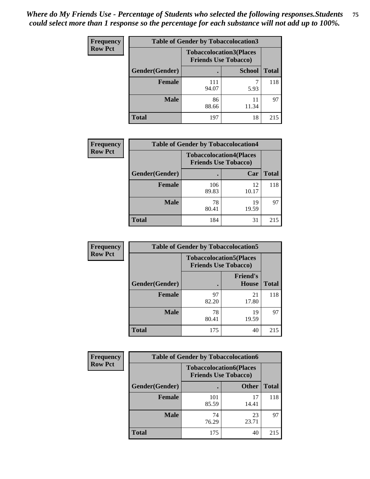| <b>Frequency</b> | <b>Table of Gender by Tobaccolocation3</b> |                             |                                |              |
|------------------|--------------------------------------------|-----------------------------|--------------------------------|--------------|
| <b>Row Pct</b>   |                                            | <b>Friends Use Tobacco)</b> | <b>Tobaccolocation3(Places</b> |              |
|                  | Gender(Gender)                             |                             | <b>School</b>                  | <b>Total</b> |
|                  | Female                                     | 111<br>94.07                | 5.93                           | 118          |
|                  | <b>Male</b>                                | 86<br>88.66                 | 11<br>11.34                    | 97           |
|                  | <b>Total</b>                               | 197                         | 18                             | 215          |

| <b>Frequency</b> | <b>Table of Gender by Tobaccolocation4</b> |                             |                                |              |
|------------------|--------------------------------------------|-----------------------------|--------------------------------|--------------|
| <b>Row Pct</b>   |                                            | <b>Friends Use Tobacco)</b> | <b>Tobaccolocation4(Places</b> |              |
|                  | Gender(Gender)                             |                             | Car                            | <b>Total</b> |
|                  | Female                                     | 106<br>89.83                | 12<br>10.17                    | 118          |
|                  | <b>Male</b>                                | 78<br>80.41                 | 19<br>19.59                    | 97           |
|                  | <b>Total</b>                               | 184                         | 31                             | 215          |

| <b>Frequency</b> | <b>Table of Gender by Tobaccolocation5</b> |                                                               |                                 |              |
|------------------|--------------------------------------------|---------------------------------------------------------------|---------------------------------|--------------|
| <b>Row Pct</b>   |                                            | <b>Tobaccolocation5(Places</b><br><b>Friends Use Tobacco)</b> |                                 |              |
|                  | Gender(Gender)                             |                                                               | <b>Friend's</b><br><b>House</b> | <b>Total</b> |
|                  | <b>Female</b>                              | 97<br>82.20                                                   | 21<br>17.80                     | 118          |
|                  | <b>Male</b>                                | 78<br>80.41                                                   | 19<br>19.59                     | 97           |
|                  | <b>Total</b>                               | 175                                                           | 40                              | 215          |

| Frequency      | <b>Table of Gender by Tobaccolocation6</b> |                                                               |              |              |
|----------------|--------------------------------------------|---------------------------------------------------------------|--------------|--------------|
| <b>Row Pct</b> |                                            | <b>Tobaccolocation6(Places</b><br><b>Friends Use Tobacco)</b> |              |              |
|                | Gender(Gender)                             |                                                               | <b>Other</b> | <b>Total</b> |
|                | Female                                     | 101<br>85.59                                                  | 17<br>14.41  | 118          |
|                | <b>Male</b>                                | 74<br>76.29                                                   | 23<br>23.71  | 97           |
|                | <b>Total</b>                               | 175                                                           | 40           | 215          |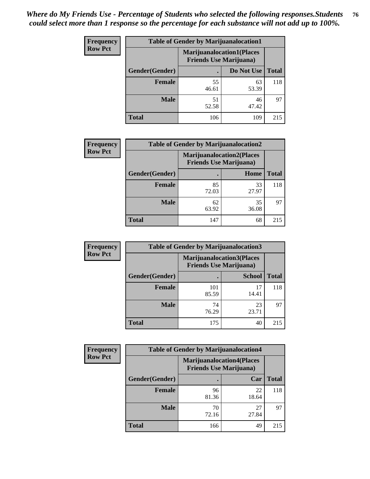| <b>Frequency</b> | <b>Table of Gender by Marijuanalocation1</b> |                                                                    |             |              |
|------------------|----------------------------------------------|--------------------------------------------------------------------|-------------|--------------|
| <b>Row Pct</b>   |                                              | <b>Marijuanalocation1(Places</b><br><b>Friends Use Marijuana</b> ) |             |              |
|                  | Gender(Gender)                               |                                                                    | Do Not Use  | <b>Total</b> |
|                  | <b>Female</b>                                | 55<br>46.61                                                        | 63<br>53.39 | 118          |
|                  | <b>Male</b>                                  | 51<br>52.58                                                        | 46<br>47.42 | 97           |
|                  | <b>Total</b>                                 | 106                                                                | 109         | 215          |

| <b>Frequency</b> | <b>Table of Gender by Marijuanalocation2</b> |                                                                    |             |              |
|------------------|----------------------------------------------|--------------------------------------------------------------------|-------------|--------------|
| <b>Row Pct</b>   |                                              | <b>Marijuanalocation2(Places</b><br><b>Friends Use Marijuana</b> ) |             |              |
|                  | Gender(Gender)                               |                                                                    | Home        | <b>Total</b> |
|                  | Female                                       | 85<br>72.03                                                        | 33<br>27.97 | 118          |
|                  | <b>Male</b>                                  | 62<br>63.92                                                        | 35<br>36.08 | 97           |
|                  | <b>Total</b>                                 | 147                                                                | 68          | 215          |

| Frequency      | <b>Table of Gender by Marijuanalocation3</b> |              |                                                                    |              |  |
|----------------|----------------------------------------------|--------------|--------------------------------------------------------------------|--------------|--|
| <b>Row Pct</b> |                                              |              | <b>Marijuanalocation3(Places</b><br><b>Friends Use Marijuana</b> ) |              |  |
|                | Gender(Gender)                               |              | <b>School</b>                                                      | <b>Total</b> |  |
|                | Female                                       | 101<br>85.59 | 17<br>14.41                                                        | 118          |  |
|                | <b>Male</b>                                  | 74<br>76.29  | 23<br>23.71                                                        | 97           |  |
|                | <b>Total</b>                                 | 175          | 40                                                                 | 215          |  |

| <b>Frequency</b> | <b>Table of Gender by Marijuanalocation4</b> |                                                                    |             |              |  |
|------------------|----------------------------------------------|--------------------------------------------------------------------|-------------|--------------|--|
| <b>Row Pct</b>   |                                              | <b>Marijuanalocation4(Places</b><br><b>Friends Use Marijuana</b> ) |             |              |  |
|                  | Gender(Gender)                               |                                                                    | Car         | <b>Total</b> |  |
|                  | Female                                       | 96<br>81.36                                                        | 22<br>18.64 | 118          |  |
|                  | <b>Male</b>                                  | 70<br>72.16                                                        | 27<br>27.84 | 97           |  |
|                  | <b>Total</b>                                 | 166                                                                | 49          | 215          |  |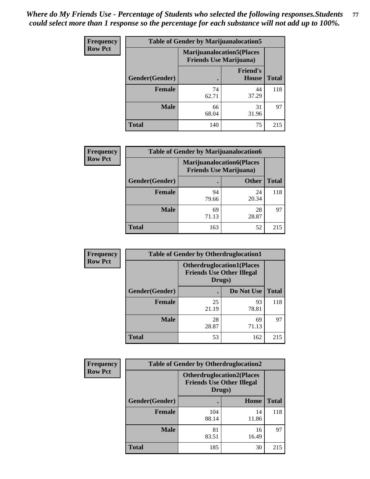| Frequency      | <b>Table of Gender by Marijuanalocation5</b> |                                                                    |                          |              |
|----------------|----------------------------------------------|--------------------------------------------------------------------|--------------------------|--------------|
| <b>Row Pct</b> |                                              | <b>Marijuanalocation5(Places</b><br><b>Friends Use Marijuana</b> ) |                          |              |
|                | Gender(Gender)                               |                                                                    | <b>Friend's</b><br>House | <b>Total</b> |
|                | <b>Female</b>                                | 74<br>62.71                                                        | 44<br>37.29              | 118          |
|                | <b>Male</b>                                  | 66<br>68.04                                                        | 31<br>31.96              | 97           |
|                | <b>Total</b>                                 | 140                                                                | 75                       | 215          |

| <b>Frequency</b> | <b>Table of Gender by Marijuanalocation6</b> |                                                                    |              |              |
|------------------|----------------------------------------------|--------------------------------------------------------------------|--------------|--------------|
| <b>Row Pct</b>   |                                              | <b>Marijuanalocation6(Places</b><br><b>Friends Use Marijuana</b> ) |              |              |
|                  | Gender(Gender)                               |                                                                    | <b>Other</b> | <b>Total</b> |
|                  | <b>Female</b>                                | 94<br>79.66                                                        | 24<br>20.34  | 118          |
|                  | <b>Male</b>                                  | 69<br>71.13                                                        | 28<br>28.87  | 97           |
|                  | <b>Total</b>                                 | 163                                                                | 52           | 215          |

| <b>Frequency</b> | <b>Table of Gender by Otherdruglocation1</b> |                                                                                |             |              |
|------------------|----------------------------------------------|--------------------------------------------------------------------------------|-------------|--------------|
| <b>Row Pct</b>   |                                              | <b>Otherdruglocation1(Places</b><br><b>Friends Use Other Illegal</b><br>Drugs) |             |              |
|                  | <b>Gender</b> (Gender)                       |                                                                                | Do Not Use  | <b>Total</b> |
|                  | <b>Female</b>                                | 25<br>21.19                                                                    | 93<br>78.81 | 118          |
|                  | <b>Male</b>                                  | 28<br>28.87                                                                    | 69<br>71.13 | 97           |
|                  | <b>Total</b>                                 | 53                                                                             | 162         | 215          |

| Frequency      | <b>Table of Gender by Otherdruglocation2</b> |                                                                                |             |              |
|----------------|----------------------------------------------|--------------------------------------------------------------------------------|-------------|--------------|
| <b>Row Pct</b> |                                              | <b>Otherdruglocation2(Places</b><br><b>Friends Use Other Illegal</b><br>Drugs) |             |              |
|                | Gender(Gender)                               |                                                                                | Home        | <b>Total</b> |
|                | Female                                       | 104<br>88.14                                                                   | 14<br>11.86 | 118          |
|                | <b>Male</b>                                  | 81<br>83.51                                                                    | 16<br>16.49 | 97           |
|                | <b>Total</b>                                 | 185                                                                            | 30          | 215          |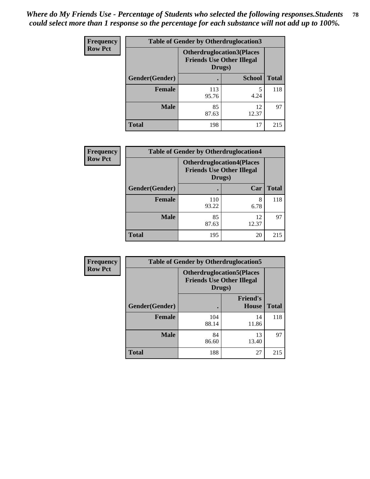| <b>Frequency</b> | <b>Table of Gender by Otherdruglocation3</b> |                                                                                |               |              |
|------------------|----------------------------------------------|--------------------------------------------------------------------------------|---------------|--------------|
| <b>Row Pct</b>   |                                              | <b>Otherdruglocation3(Places</b><br><b>Friends Use Other Illegal</b><br>Drugs) |               |              |
|                  | Gender(Gender)                               |                                                                                | <b>School</b> | <b>Total</b> |
|                  | <b>Female</b>                                | 113<br>95.76                                                                   | 5<br>4.24     | 118          |
|                  | <b>Male</b>                                  | 85<br>87.63                                                                    | 12<br>12.37   | 97           |
|                  | <b>Total</b>                                 | 198                                                                            | 17            | 215          |

| <b>Frequency</b> | <b>Table of Gender by Otherdruglocation4</b> |                                                                                |             |              |
|------------------|----------------------------------------------|--------------------------------------------------------------------------------|-------------|--------------|
| <b>Row Pct</b>   |                                              | <b>Otherdruglocation4(Places</b><br><b>Friends Use Other Illegal</b><br>Drugs) |             |              |
|                  | Gender(Gender)                               |                                                                                | Car         | <b>Total</b> |
|                  | <b>Female</b>                                | 110<br>93.22                                                                   | 8<br>6.78   | 118          |
|                  | <b>Male</b>                                  | 85<br>87.63                                                                    | 12<br>12.37 | 97           |
|                  | <b>Total</b>                                 | 195                                                                            | 20          | 215          |

| Frequency      | <b>Table of Gender by Otherdruglocation5</b> |                                                                                |                                 |              |
|----------------|----------------------------------------------|--------------------------------------------------------------------------------|---------------------------------|--------------|
| <b>Row Pct</b> |                                              | <b>Otherdruglocation5(Places</b><br><b>Friends Use Other Illegal</b><br>Drugs) |                                 |              |
|                | Gender(Gender)                               |                                                                                | <b>Friend's</b><br><b>House</b> | <b>Total</b> |
|                | <b>Female</b>                                | 104<br>88.14                                                                   | 14<br>11.86                     | 118          |
|                | <b>Male</b>                                  | 84<br>86.60                                                                    | 13<br>13.40                     | 97           |
|                | <b>Total</b>                                 | 188                                                                            | 27                              | 215          |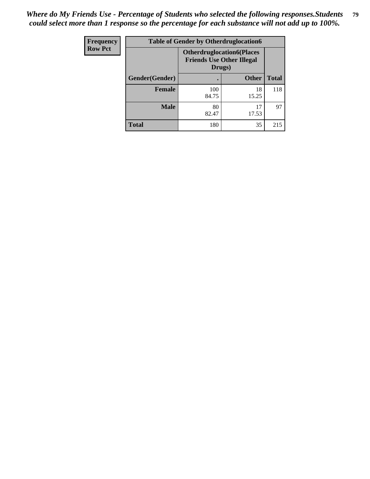| <b>Frequency</b> | <b>Table of Gender by Otherdruglocation6</b> |                                                                                |              |              |
|------------------|----------------------------------------------|--------------------------------------------------------------------------------|--------------|--------------|
| <b>Row Pct</b>   |                                              | <b>Otherdruglocation6(Places</b><br><b>Friends Use Other Illegal</b><br>Drugs) |              |              |
|                  | Gender(Gender)                               |                                                                                | <b>Other</b> | <b>Total</b> |
|                  | Female                                       | 100<br>84.75                                                                   | 18<br>15.25  | 118          |
|                  | <b>Male</b>                                  | 80<br>82.47                                                                    | 17<br>17.53  | 97           |
|                  | <b>Total</b>                                 | 180                                                                            | 35           | 215          |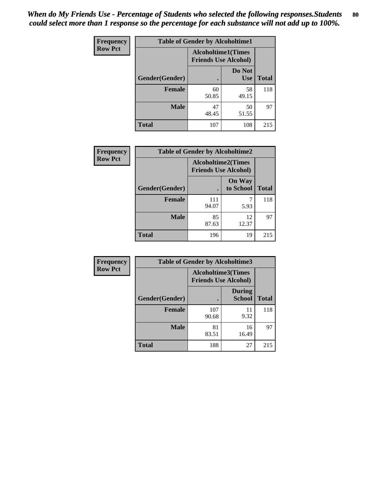| <b>Frequency</b> | <b>Table of Gender by Alcoholtime1</b> |                                                          |                      |              |
|------------------|----------------------------------------|----------------------------------------------------------|----------------------|--------------|
| <b>Row Pct</b>   |                                        | <b>Alcoholtime1(Times</b><br><b>Friends Use Alcohol)</b> |                      |              |
|                  | Gender(Gender)                         | $\bullet$                                                | Do Not<br><b>Use</b> | <b>Total</b> |
|                  | <b>Female</b>                          | 60<br>50.85                                              | 58<br>49.15          | 118          |
|                  | <b>Male</b>                            | 47<br>48.45                                              | 50<br>51.55          | 97           |
|                  | <b>Total</b>                           | 107                                                      | 108                  | 215          |

| Frequency      | <b>Table of Gender by Alcoholtime2</b> |                                                          |                            |              |
|----------------|----------------------------------------|----------------------------------------------------------|----------------------------|--------------|
| <b>Row Pct</b> |                                        | <b>Alcoholtime2(Times</b><br><b>Friends Use Alcohol)</b> |                            |              |
|                | Gender(Gender)                         |                                                          | <b>On Way</b><br>to School | <b>Total</b> |
|                | <b>Female</b>                          | 111<br>94.07                                             | 5.93                       | 118          |
|                | <b>Male</b>                            | 85<br>87.63                                              | 12<br>12.37                | 97           |
|                | <b>Total</b>                           | 196                                                      | 19                         | 215          |

| Frequency      | <b>Table of Gender by Alcoholtime3</b> |                                                   |                                |              |
|----------------|----------------------------------------|---------------------------------------------------|--------------------------------|--------------|
| <b>Row Pct</b> |                                        | Alcoholtime3(Times<br><b>Friends Use Alcohol)</b> |                                |              |
|                | Gender(Gender)                         |                                                   | <b>During</b><br><b>School</b> | <b>Total</b> |
|                | Female                                 | 107<br>90.68                                      | 11<br>9.32                     | 118          |
|                | <b>Male</b>                            | 81<br>83.51                                       | 16<br>16.49                    | 97           |
|                | <b>Total</b>                           | 188                                               | 27                             | 215          |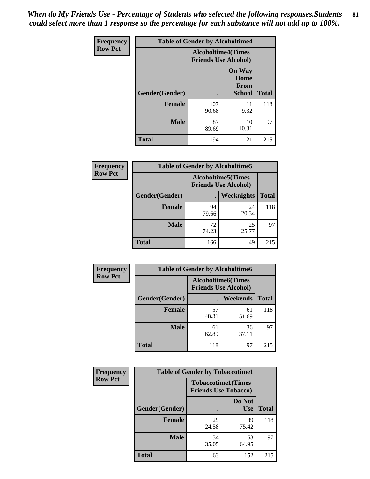*When do My Friends Use - Percentage of Students who selected the following responses.Students could select more than 1 response so the percentage for each substance will not add up to 100%.* **81**

| <b>Frequency</b> | <b>Table of Gender by Alcoholtime4</b> |                                                          |                                                       |              |
|------------------|----------------------------------------|----------------------------------------------------------|-------------------------------------------------------|--------------|
| <b>Row Pct</b>   |                                        | <b>Alcoholtime4(Times</b><br><b>Friends Use Alcohol)</b> |                                                       |              |
|                  | <b>Gender</b> (Gender)                 |                                                          | <b>On Way</b><br>Home<br><b>From</b><br><b>School</b> | <b>Total</b> |
|                  | <b>Female</b>                          | 107<br>90.68                                             | 11<br>9.32                                            | 118          |
|                  | <b>Male</b>                            | 87<br>89.69                                              | 10<br>10.31                                           | 97           |
|                  | <b>Total</b>                           | 194                                                      | 21                                                    | 215          |

| <b>Frequency</b> | <b>Table of Gender by Alcoholtime5</b> |                                                           |             |              |
|------------------|----------------------------------------|-----------------------------------------------------------|-------------|--------------|
| <b>Row Pct</b>   |                                        | <b>Alcoholtime5</b> (Times<br><b>Friends Use Alcohol)</b> |             |              |
|                  | Gender(Gender)                         |                                                           | Weeknights  | <b>Total</b> |
|                  | <b>Female</b>                          | 94<br>79.66                                               | 24<br>20.34 | 118          |
|                  | <b>Male</b>                            | 72<br>74.23                                               | 25<br>25.77 | 97           |
|                  | <b>Total</b>                           | 166                                                       | 49          | 215          |

| <b>Frequency</b> | <b>Table of Gender by Alcoholtime6</b> |             |                                                           |              |  |
|------------------|----------------------------------------|-------------|-----------------------------------------------------------|--------------|--|
| <b>Row Pct</b>   |                                        |             | <b>Alcoholtime6</b> (Times<br><b>Friends Use Alcohol)</b> |              |  |
|                  | Gender(Gender)                         |             | <b>Weekends</b>                                           | <b>Total</b> |  |
|                  | <b>Female</b>                          | 57<br>48.31 | 61<br>51.69                                               | 118          |  |
|                  | <b>Male</b>                            | 61<br>62.89 | 36<br>37.11                                               | 97           |  |
|                  | Total                                  | 118         | 97                                                        | 215          |  |

| Frequency      | <b>Table of Gender by Tobaccotime1</b> |                                                          |                      |              |
|----------------|----------------------------------------|----------------------------------------------------------|----------------------|--------------|
| <b>Row Pct</b> |                                        | <b>Tobaccotime1(Times</b><br><b>Friends Use Tobacco)</b> |                      |              |
|                | Gender(Gender)                         |                                                          | Do Not<br><b>Use</b> | <b>Total</b> |
|                | <b>Female</b>                          | 29<br>24.58                                              | 89<br>75.42          | 118          |
|                | <b>Male</b>                            | 34<br>35.05                                              | 63<br>64.95          | 97           |
|                | <b>Total</b>                           | 63                                                       | 152                  | 215          |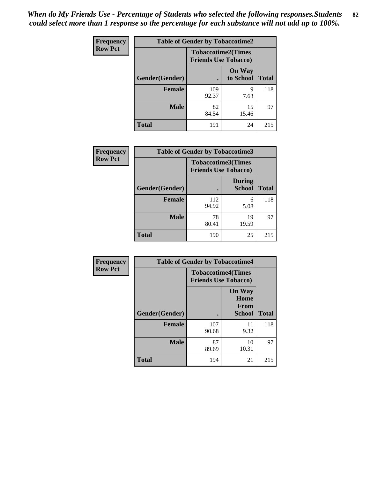| <b>Frequency</b> | <b>Table of Gender by Tobaccotime2</b> |                                                          |                            |              |
|------------------|----------------------------------------|----------------------------------------------------------|----------------------------|--------------|
| <b>Row Pct</b>   |                                        | <b>Tobaccotime2(Times</b><br><b>Friends Use Tobacco)</b> |                            |              |
|                  | Gender(Gender)                         | $\bullet$                                                | <b>On Way</b><br>to School | <b>Total</b> |
|                  | Female                                 | 109<br>92.37                                             | q<br>7.63                  | 118          |
|                  | <b>Male</b>                            | 82<br>84.54                                              | 15<br>15.46                | 97           |
|                  | <b>Total</b>                           | 191                                                      | 24                         | 215          |

| Frequency      | <b>Table of Gender by Tobaccotime3</b> |                                                          |                                |              |
|----------------|----------------------------------------|----------------------------------------------------------|--------------------------------|--------------|
| <b>Row Pct</b> |                                        | <b>Tobaccotime3(Times</b><br><b>Friends Use Tobacco)</b> |                                |              |
|                | Gender(Gender)                         |                                                          | <b>During</b><br><b>School</b> | <b>Total</b> |
|                | Female                                 | 112<br>94.92                                             | 6<br>5.08                      | 118          |
|                | <b>Male</b>                            | 78<br>80.41                                              | 19<br>19.59                    | 97           |
|                | <b>Total</b>                           | 190                                                      | 25                             | 215          |

| <b>Frequency</b> | <b>Table of Gender by Tobaccotime4</b> |                                                          |                                                       |              |
|------------------|----------------------------------------|----------------------------------------------------------|-------------------------------------------------------|--------------|
| <b>Row Pct</b>   |                                        | <b>Tobaccotime4(Times</b><br><b>Friends Use Tobacco)</b> |                                                       |              |
|                  | Gender(Gender)                         |                                                          | <b>On Way</b><br>Home<br><b>From</b><br><b>School</b> | <b>Total</b> |
|                  | <b>Female</b>                          | 107<br>90.68                                             | 11<br>9.32                                            | 118          |
|                  | <b>Male</b>                            | 87<br>89.69                                              | 10<br>10.31                                           | 97           |
|                  | <b>Total</b>                           | 194                                                      | 21                                                    | 215          |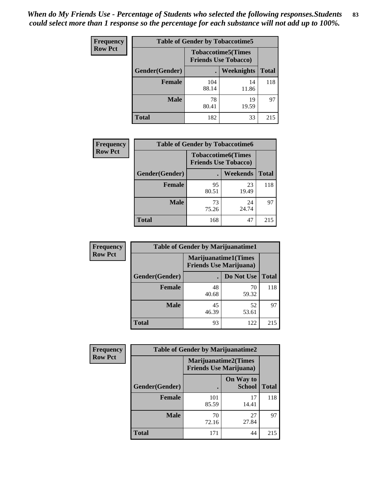| <b>Frequency</b> |                |              | <b>Table of Gender by Tobaccotime5</b>                    |              |
|------------------|----------------|--------------|-----------------------------------------------------------|--------------|
| <b>Row Pct</b>   |                |              | <b>Tobaccotime5</b> (Times<br><b>Friends Use Tobacco)</b> |              |
|                  | Gender(Gender) |              | <b>Weeknights</b>                                         | <b>Total</b> |
|                  | <b>Female</b>  | 104<br>88.14 | 14<br>11.86                                               | 118          |
|                  | <b>Male</b>    | 78<br>80.41  | 19<br>19.59                                               | 97           |
|                  | <b>Total</b>   | 182          | 33                                                        | 215          |

| Frequency      | <b>Table of Gender by Tobaccotime6</b> |                                                          |                 |              |
|----------------|----------------------------------------|----------------------------------------------------------|-----------------|--------------|
| <b>Row Pct</b> |                                        | <b>Tobaccotime6(Times</b><br><b>Friends Use Tobacco)</b> |                 |              |
|                | Gender(Gender)                         |                                                          | <b>Weekends</b> | <b>Total</b> |
|                | <b>Female</b>                          | 95<br>80.51                                              | 23<br>19.49     | 118          |
|                | <b>Male</b>                            | 73<br>75.26                                              | 24<br>24.74     | 97           |
|                | <b>Total</b>                           | 168                                                      | 47              | 215          |

| <b>Frequency</b> | <b>Table of Gender by Marijuanatime1</b> |                                |                             |              |
|------------------|------------------------------------------|--------------------------------|-----------------------------|--------------|
| <b>Row Pct</b>   |                                          | <b>Friends Use Marijuana</b> ) | <b>Marijuanatime1(Times</b> |              |
|                  | Gender(Gender)                           |                                | Do Not Use                  | <b>Total</b> |
|                  | <b>Female</b>                            | 48<br>40.68                    | 70<br>59.32                 | 118          |
|                  | <b>Male</b>                              | 45<br>46.39                    | 52<br>53.61                 | 97           |
|                  | <b>Total</b>                             | 93                             | 122                         | 215          |

| <b>Frequency</b> | <b>Table of Gender by Marijuanatime2</b> |                                                               |                            |              |
|------------------|------------------------------------------|---------------------------------------------------------------|----------------------------|--------------|
| <b>Row Pct</b>   |                                          | <b>Marijuanatime2(Times</b><br><b>Friends Use Marijuana</b> ) |                            |              |
|                  | Gender(Gender)                           |                                                               | On Way to<br><b>School</b> | <b>Total</b> |
|                  | Female                                   | 101<br>85.59                                                  | 17<br>14.41                | 118          |
|                  | <b>Male</b>                              | 70<br>72.16                                                   | 27<br>27.84                | 97           |
|                  | <b>Total</b>                             | 171                                                           | 44                         | 215          |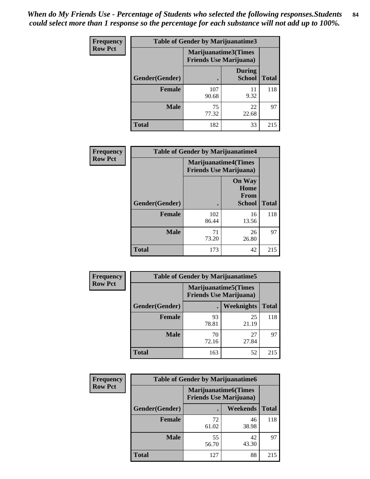*When do My Friends Use - Percentage of Students who selected the following responses.Students could select more than 1 response so the percentage for each substance will not add up to 100%.* **84**

| <b>Frequency</b> | Table of Gender by Marijuanatime3 |                                                        |                                |              |
|------------------|-----------------------------------|--------------------------------------------------------|--------------------------------|--------------|
| <b>Row Pct</b>   |                                   | Marijuanatime3(Times<br><b>Friends Use Marijuana</b> ) |                                |              |
|                  | Gender(Gender)                    |                                                        | <b>During</b><br><b>School</b> | <b>Total</b> |
|                  | <b>Female</b>                     | 107<br>90.68                                           | 11<br>9.32                     | 118          |
|                  | <b>Male</b>                       | 75<br>77.32                                            | 22<br>22.68                    | 97           |
|                  | <b>Total</b>                      | 182                                                    | 33                             | 215          |

| Frequency      | <b>Table of Gender by Marijuanatime4</b> |                                |                                                       |              |
|----------------|------------------------------------------|--------------------------------|-------------------------------------------------------|--------------|
| <b>Row Pct</b> |                                          | <b>Friends Use Marijuana</b> ) | <b>Marijuanatime4</b> (Times                          |              |
|                | Gender(Gender)                           |                                | <b>On Way</b><br>Home<br><b>From</b><br><b>School</b> | <b>Total</b> |
|                | <b>Female</b>                            | 102<br>86.44                   | 16<br>13.56                                           | 118          |
|                | <b>Male</b>                              | 71<br>73.20                    | 26<br>26.80                                           | 97           |
|                | <b>Total</b>                             | 173                            | 42                                                    | 215          |

| Frequency      | <b>Table of Gender by Marijuanatime5</b> |                                                                |                   |              |  |
|----------------|------------------------------------------|----------------------------------------------------------------|-------------------|--------------|--|
| <b>Row Pct</b> |                                          | <b>Marijuanatime5</b> (Times<br><b>Friends Use Marijuana</b> ) |                   |              |  |
|                | Gender(Gender)                           |                                                                | <b>Weeknights</b> | <b>Total</b> |  |
|                | Female                                   | 93<br>78.81                                                    | 25<br>21.19       | 118          |  |
|                | <b>Male</b>                              | 70<br>72.16                                                    | 27<br>27.84       | 97           |  |
|                | <b>Total</b>                             | 163                                                            | 52                | 215          |  |

| Frequency      | <b>Table of Gender by Marijuanatime6</b> |                                                               |             |              |
|----------------|------------------------------------------|---------------------------------------------------------------|-------------|--------------|
| <b>Row Pct</b> |                                          | <b>Marijuanatime6(Times</b><br><b>Friends Use Marijuana</b> ) |             |              |
|                | Gender(Gender)                           |                                                               | Weekends    | <b>Total</b> |
|                | <b>Female</b>                            | 72<br>61.02                                                   | 46<br>38.98 | 118          |
|                | <b>Male</b>                              | 55<br>56.70                                                   | 42<br>43.30 | 97           |
|                | <b>Total</b>                             | 127                                                           | 88          | 215          |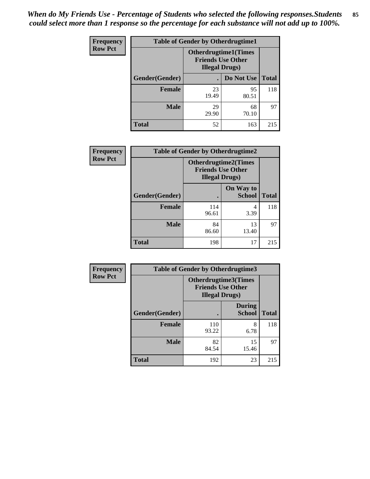| <b>Frequency</b> | <b>Table of Gender by Otherdrugtime1</b> |                                                                                    |             |              |
|------------------|------------------------------------------|------------------------------------------------------------------------------------|-------------|--------------|
| <b>Row Pct</b>   |                                          | <b>Otherdrugtime1</b> (Times<br><b>Friends Use Other</b><br><b>Illegal Drugs</b> ) |             |              |
|                  | Gender(Gender)                           |                                                                                    | Do Not Use  | <b>Total</b> |
|                  | <b>Female</b>                            | 23<br>19.49                                                                        | 95<br>80.51 | 118          |
|                  | Male                                     | 29<br>29.90                                                                        | 68<br>70.10 | 97           |
|                  | <b>Total</b>                             | 52                                                                                 | 163         | 215          |

| Frequency      | <b>Table of Gender by Otherdrugtime2</b> |                                                                                   |                            |              |
|----------------|------------------------------------------|-----------------------------------------------------------------------------------|----------------------------|--------------|
| <b>Row Pct</b> |                                          | <b>Otherdrugtime2(Times</b><br><b>Friends Use Other</b><br><b>Illegal Drugs</b> ) |                            |              |
|                | Gender(Gender)                           |                                                                                   | On Way to<br><b>School</b> | <b>Total</b> |
|                | <b>Female</b>                            | 114<br>96.61                                                                      | 4<br>3.39                  | 118          |
|                | <b>Male</b>                              | 84<br>86.60                                                                       | 13<br>13.40                | 97           |
|                | <b>Total</b>                             | 198                                                                               | 17                         | 215          |

| Frequency      |                | <b>Table of Gender by Otherdrugtime3</b>           |                                |              |
|----------------|----------------|----------------------------------------------------|--------------------------------|--------------|
| <b>Row Pct</b> |                | <b>Friends Use Other</b><br><b>Illegal Drugs</b> ) | <b>Otherdrugtime3(Times</b>    |              |
|                | Gender(Gender) |                                                    | <b>During</b><br><b>School</b> | <b>Total</b> |
|                | <b>Female</b>  | 110<br>93.22                                       | 8<br>6.78                      | 118          |
|                | <b>Male</b>    | 82<br>84.54                                        | 15<br>15.46                    | 97           |
|                | <b>Total</b>   | 192                                                | 23                             | 215          |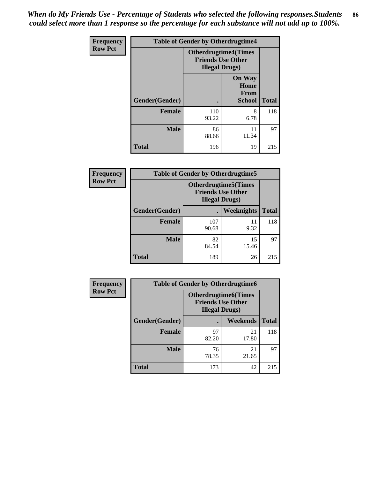*When do My Friends Use - Percentage of Students who selected the following responses.Students could select more than 1 response so the percentage for each substance will not add up to 100%.* **86**

| <b>Frequency</b> | <b>Table of Gender by Otherdrugtime4</b> |                                                    |                                                |              |
|------------------|------------------------------------------|----------------------------------------------------|------------------------------------------------|--------------|
| <b>Row Pct</b>   |                                          | <b>Friends Use Other</b><br><b>Illegal Drugs</b> ) | <b>Otherdrugtime4(Times</b>                    |              |
|                  | Gender(Gender)                           |                                                    | <b>On Way</b><br>Home<br>From<br><b>School</b> | <b>Total</b> |
|                  | Female                                   | 110<br>93.22                                       | 8<br>6.78                                      | 118          |
|                  | <b>Male</b>                              | 86<br>88.66                                        | 11<br>11.34                                    | 97           |
|                  | <b>Total</b>                             | 196                                                | 19                                             | 215          |

| Frequency      | <b>Table of Gender by Otherdrugtime5</b> |                                                                                    |             |              |
|----------------|------------------------------------------|------------------------------------------------------------------------------------|-------------|--------------|
| <b>Row Pct</b> |                                          | <b>Otherdrugtime5</b> (Times<br><b>Friends Use Other</b><br><b>Illegal Drugs</b> ) |             |              |
|                | Gender(Gender)                           |                                                                                    | Weeknights  | <b>Total</b> |
|                | <b>Female</b>                            | 107<br>90.68                                                                       | 11<br>9.32  | 118          |
|                | <b>Male</b>                              | 82<br>84.54                                                                        | 15<br>15.46 | 97           |
|                | <b>Total</b>                             | 189                                                                                | 26          | 215          |

| <b>Frequency</b> | <b>Table of Gender by Otherdrugtime6</b> |                                                                                   |             |              |  |
|------------------|------------------------------------------|-----------------------------------------------------------------------------------|-------------|--------------|--|
| <b>Row Pct</b>   |                                          | <b>Otherdrugtime6(Times</b><br><b>Friends Use Other</b><br><b>Illegal Drugs</b> ) |             |              |  |
|                  | Gender(Gender)                           |                                                                                   | Weekends    | <b>Total</b> |  |
|                  | <b>Female</b>                            | 97<br>82.20                                                                       | 21<br>17.80 | 118          |  |
|                  | <b>Male</b>                              | 76<br>78.35                                                                       | 21<br>21.65 | 97           |  |
|                  | <b>Total</b>                             | 173                                                                               | 42          | 215          |  |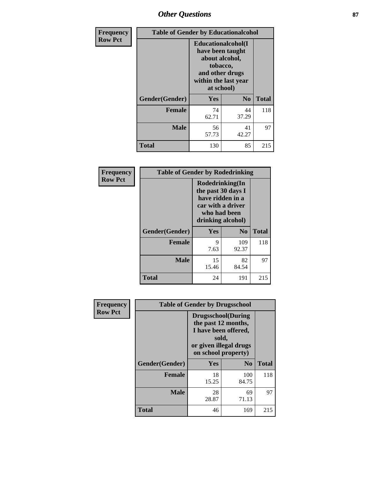## *Other Questions* **87**

| <b>Frequency</b> | <b>Table of Gender by Educationalcohol</b> |                                                                                                                                       |             |              |
|------------------|--------------------------------------------|---------------------------------------------------------------------------------------------------------------------------------------|-------------|--------------|
| <b>Row Pct</b>   |                                            | <b>Educationalcohol</b> (I<br>have been taught<br>about alcohol,<br>tobacco,<br>and other drugs<br>within the last year<br>at school) |             |              |
|                  | Gender(Gender)                             | <b>Yes</b>                                                                                                                            | $\bf No$    | <b>Total</b> |
|                  | <b>Female</b>                              | 74<br>62.71                                                                                                                           | 44<br>37.29 | 118          |
|                  | <b>Male</b>                                | 56<br>57.73                                                                                                                           | 41<br>42.27 | 97           |
|                  | <b>Total</b>                               | 130                                                                                                                                   | 85          | 215          |

| Frequency      | <b>Table of Gender by Rodedrinking</b> |                                                                                                                     |              |              |
|----------------|----------------------------------------|---------------------------------------------------------------------------------------------------------------------|--------------|--------------|
| <b>Row Pct</b> |                                        | Rodedrinking(In<br>the past 30 days I<br>have ridden in a<br>car with a driver<br>who had been<br>drinking alcohol) |              |              |
|                | Gender(Gender)                         | Yes                                                                                                                 | $\bf No$     | <b>Total</b> |
|                | <b>Female</b>                          | 9<br>7.63                                                                                                           | 109<br>92.37 | 118          |
|                | <b>Male</b>                            | 15<br>15.46                                                                                                         | 82<br>84.54  | 97           |
|                | <b>Total</b>                           | 24                                                                                                                  | 191          | 215          |

| Frequency      | <b>Table of Gender by Drugsschool</b> |                                                                                                                                     |                |              |  |
|----------------|---------------------------------------|-------------------------------------------------------------------------------------------------------------------------------------|----------------|--------------|--|
| <b>Row Pct</b> |                                       | <b>Drugsschool</b> (During<br>the past 12 months,<br>I have been offered,<br>sold,<br>or given illegal drugs<br>on school property) |                |              |  |
|                | Gender(Gender)                        | Yes                                                                                                                                 | N <sub>0</sub> | <b>Total</b> |  |
|                | <b>Female</b>                         | 18<br>15.25                                                                                                                         | 100<br>84.75   | 118          |  |
|                | <b>Male</b>                           | 28<br>28.87                                                                                                                         | 69<br>71.13    | 97           |  |
|                | <b>Total</b>                          | 46                                                                                                                                  | 169            | 215          |  |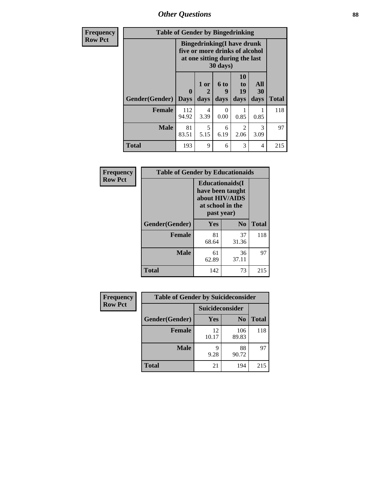*Other Questions* **88**

| Frequency      | <b>Table of Gender by Bingedrinking</b> |                                                                                                                             |              |                   |                        |                       |              |
|----------------|-----------------------------------------|-----------------------------------------------------------------------------------------------------------------------------|--------------|-------------------|------------------------|-----------------------|--------------|
| <b>Row Pct</b> |                                         | <b>Bingedrinking</b> (I have drunk<br>five or more drinks of alcohol<br>at one sitting during the last<br>$30 \text{ days}$ |              |                   |                        |                       |              |
|                | Gender(Gender)                          | $\mathbf{0}$<br><b>Days</b>                                                                                                 | 1 or<br>days | 6 to<br>9<br>days | 10<br>to<br>19<br>days | All<br>30<br>days     | <b>Total</b> |
|                | Female                                  | 112<br>94.92                                                                                                                | 4<br>3.39    | $\Omega$<br>0.00  | 0.85                   | 0.85                  | 118          |
|                | <b>Male</b>                             | 81<br>83.51                                                                                                                 | 5<br>5.15    | 6<br>6.19         | $\mathfrak{D}$<br>2.06 | $\mathcal{R}$<br>3.09 | 97           |
|                | <b>Total</b>                            | 193                                                                                                                         | 9            | 6                 | 3                      | 4                     | 215          |

| Frequency      | <b>Table of Gender by Educationaids</b> |                                                                                                 |             |              |  |
|----------------|-----------------------------------------|-------------------------------------------------------------------------------------------------|-------------|--------------|--|
| <b>Row Pct</b> |                                         | <b>Educationaids</b> (I<br>have been taught<br>about HIV/AIDS<br>at school in the<br>past year) |             |              |  |
|                | Gender(Gender)                          | Yes                                                                                             | $\bf N_0$   | <b>Total</b> |  |
|                | <b>Female</b>                           | 81<br>68.64                                                                                     | 37<br>31.36 | 118          |  |
|                | <b>Male</b>                             | 61<br>62.89                                                                                     | 36<br>37.11 | 97           |  |
|                | <b>Total</b>                            | 142                                                                                             | 73          | 215          |  |

| Frequency      |                | <b>Table of Gender by Suicideconsider</b> |                |              |
|----------------|----------------|-------------------------------------------|----------------|--------------|
| <b>Row Pct</b> |                | Suicideconsider                           |                |              |
|                | Gender(Gender) | Yes                                       | N <sub>0</sub> | <b>Total</b> |
|                | <b>Female</b>  | 12<br>10.17                               | 106<br>89.83   | 118          |
|                | <b>Male</b>    | q<br>9.28                                 | 88<br>90.72    | 97           |
|                | <b>Total</b>   | 21                                        | 194            | 215          |